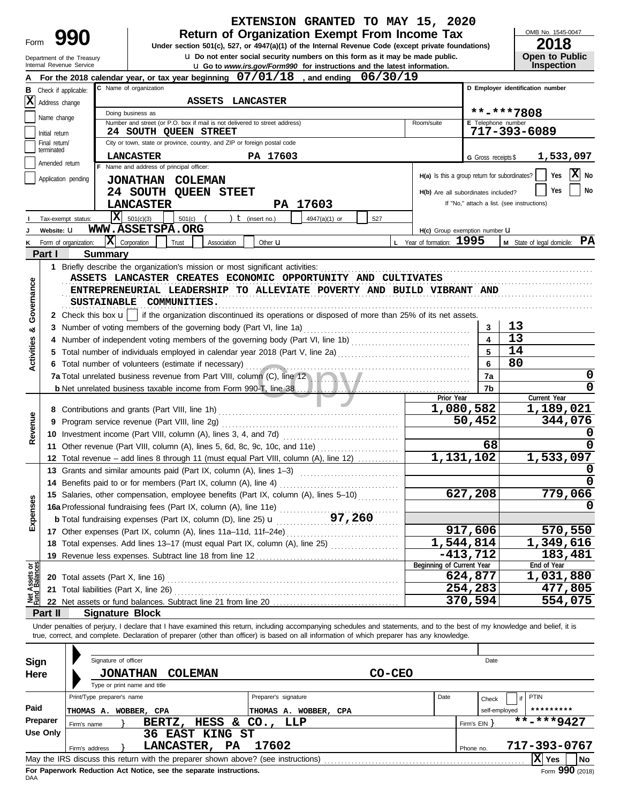|                                                                                                                                                                                                                                                                                                                    |                             |                                                                            |                                                      |                                                                                                          |                      | EXTENSION GRANTED TO MAY 15, 2020                                                                                                                                          |        |                                     |                |                         |                                                      |                                     |
|--------------------------------------------------------------------------------------------------------------------------------------------------------------------------------------------------------------------------------------------------------------------------------------------------------------------|-----------------------------|----------------------------------------------------------------------------|------------------------------------------------------|----------------------------------------------------------------------------------------------------------|----------------------|----------------------------------------------------------------------------------------------------------------------------------------------------------------------------|--------|-------------------------------------|----------------|-------------------------|------------------------------------------------------|-------------------------------------|
|                                                                                                                                                                                                                                                                                                                    |                             |                                                                            |                                                      |                                                                                                          |                      | <b>Return of Organization Exempt From Income Tax</b>                                                                                                                       |        |                                     |                |                         | OMB No. 1545-0047                                    |                                     |
| Form                                                                                                                                                                                                                                                                                                               |                             |                                                                            |                                                      |                                                                                                          |                      | Under section 501(c), 527, or 4947(a)(1) of the Internal Revenue Code (except private foundations)                                                                         |        |                                     |                |                         | 2018                                                 |                                     |
| <b>u</b> Do not enter social security numbers on this form as it may be made public.<br>Department of the Treasury<br>Internal Revenue Service<br>u Go to www.irs.gov/Form990 for instructions and the latest information.<br>For the 2018 calendar year, or tax year beginning $07/01/18$ , and ending $06/30/19$ |                             |                                                                            |                                                      |                                                                                                          |                      |                                                                                                                                                                            |        |                                     |                |                         |                                                      | Open to Public<br><b>Inspection</b> |
|                                                                                                                                                                                                                                                                                                                    |                             |                                                                            |                                                      |                                                                                                          |                      |                                                                                                                                                                            |        |                                     |                |                         |                                                      |                                     |
|                                                                                                                                                                                                                                                                                                                    |                             | <b>B</b> Check if applicable:                                              | C Name of organization                               |                                                                                                          |                      |                                                                                                                                                                            |        |                                     |                |                         | D Employer identification number                     |                                     |
|                                                                                                                                                                                                                                                                                                                    | $\mathbf{X}$ Address change |                                                                            |                                                      | ASSETS LANCASTER                                                                                         |                      |                                                                                                                                                                            |        |                                     |                |                         |                                                      |                                     |
|                                                                                                                                                                                                                                                                                                                    | Name change                 |                                                                            | Doing business as                                    |                                                                                                          |                      |                                                                                                                                                                            |        |                                     |                |                         | **-***7808                                           |                                     |
|                                                                                                                                                                                                                                                                                                                    | Initial return              | Number and street (or P.O. box if mail is not delivered to street address) |                                                      | E Telephone number<br>717-393-6089                                                                       |                      |                                                                                                                                                                            |        |                                     |                |                         |                                                      |                                     |
|                                                                                                                                                                                                                                                                                                                    | Final return/               |                                                                            |                                                      | <b>24 SOUTH QUEEN STREET</b><br>City or town, state or province, country, and ZIP or foreign postal code |                      |                                                                                                                                                                            |        |                                     |                |                         |                                                      |                                     |
|                                                                                                                                                                                                                                                                                                                    | terminated                  |                                                                            | <b>LANCASTER</b>                                     |                                                                                                          | PA 17603             |                                                                                                                                                                            |        |                                     |                | G Gross receipts \$     | 1,533,097                                            |                                     |
|                                                                                                                                                                                                                                                                                                                    | Amended return              |                                                                            | Name and address of principal officer:               |                                                                                                          |                      |                                                                                                                                                                            |        |                                     |                |                         |                                                      |                                     |
|                                                                                                                                                                                                                                                                                                                    |                             | Application pending                                                        | JONATHAN COLEMAN                                     |                                                                                                          |                      |                                                                                                                                                                            |        |                                     |                |                         | Yes<br>H(a) Is this a group return for subordinates? | X No                                |
|                                                                                                                                                                                                                                                                                                                    |                             |                                                                            |                                                      | 24 SOUTH QUEEN STEET                                                                                     |                      |                                                                                                                                                                            |        | H(b) Are all subordinates included? |                |                         | Yes                                                  | <b>No</b>                           |
|                                                                                                                                                                                                                                                                                                                    |                             |                                                                            | <b>LANCASTER</b>                                     |                                                                                                          |                      | PA 17603                                                                                                                                                                   |        |                                     |                |                         | If "No," attach a list. (see instructions)           |                                     |
|                                                                                                                                                                                                                                                                                                                    |                             | Tax-exempt status:                                                         | $\overline{\mathbf{X}}$ 501(c)(3)                    | 501(c)                                                                                                   | ) $t$ (insert no.)   | 4947(a)(1) or                                                                                                                                                              | 527    |                                     |                |                         |                                                      |                                     |
|                                                                                                                                                                                                                                                                                                                    | Website: U                  |                                                                            | WWW.ASSETSPA.ORG                                     |                                                                                                          |                      |                                                                                                                                                                            |        | H(c) Group exemption number U       |                |                         |                                                      |                                     |
| ĸ                                                                                                                                                                                                                                                                                                                  |                             | Form of organization:                                                      | $ \mathbf{X} $ Corporation                           | Trust<br>Association                                                                                     | Other $\mathbf u$    |                                                                                                                                                                            |        | L Year of formation: 1995           |                |                         | M State of legal domicile: PA                        |                                     |
|                                                                                                                                                                                                                                                                                                                    | Part I                      | <b>Summary</b>                                                             |                                                      |                                                                                                          |                      |                                                                                                                                                                            |        |                                     |                |                         |                                                      |                                     |
|                                                                                                                                                                                                                                                                                                                    |                             |                                                                            |                                                      |                                                                                                          |                      |                                                                                                                                                                            |        |                                     |                |                         |                                                      |                                     |
|                                                                                                                                                                                                                                                                                                                    |                             |                                                                            |                                                      |                                                                                                          |                      | ASSETS LANCASTER CREATES ECONOMIC OPPORTUNITY AND CULTIVATES                                                                                                               |        |                                     |                |                         |                                                      |                                     |
|                                                                                                                                                                                                                                                                                                                    |                             |                                                                            |                                                      |                                                                                                          |                      | ENTREPRENEURIAL LEADERSHIP TO ALLEVIATE POVERTY AND BUILD VIBRANT AND                                                                                                      |        |                                     |                |                         |                                                      |                                     |
|                                                                                                                                                                                                                                                                                                                    |                             |                                                                            | SUSTAINABLE COMMUNITIES.                             |                                                                                                          |                      |                                                                                                                                                                            |        |                                     |                |                         |                                                      |                                     |
| Governance                                                                                                                                                                                                                                                                                                         |                             |                                                                            |                                                      |                                                                                                          |                      | 2 Check this box <b>u</b>   if the organization discontinued its operations or disposed of more than 25% of its net assets.                                                |        |                                     |                |                         |                                                      |                                     |
| ಂಶ                                                                                                                                                                                                                                                                                                                 |                             |                                                                            |                                                      | 3 Number of voting members of the governing body (Part VI, line 1a)                                      |                      |                                                                                                                                                                            |        |                                     |                | 3                       | 13                                                   |                                     |
|                                                                                                                                                                                                                                                                                                                    |                             |                                                                            |                                                      |                                                                                                          |                      |                                                                                                                                                                            |        |                                     |                | $\overline{\mathbf{4}}$ | $\overline{13}$                                      |                                     |
| Activities                                                                                                                                                                                                                                                                                                         |                             |                                                                            |                                                      |                                                                                                          |                      |                                                                                                                                                                            |        |                                     |                | 5                       | 14<br>80                                             |                                     |
|                                                                                                                                                                                                                                                                                                                    |                             |                                                                            | 6 Total number of volunteers (estimate if necessary) |                                                                                                          | 6                    |                                                                                                                                                                            | 0      |                                     |                |                         |                                                      |                                     |
|                                                                                                                                                                                                                                                                                                                    |                             |                                                                            |                                                      |                                                                                                          |                      | 7a Total unrelated business revenue from Part VIII, column (C), line 12                                                                                                    |        |                                     |                | 7a<br>7b                |                                                      | 0                                   |
|                                                                                                                                                                                                                                                                                                                    |                             |                                                                            |                                                      |                                                                                                          |                      |                                                                                                                                                                            |        | Prior Year                          |                |                         | Current Year                                         |                                     |
|                                                                                                                                                                                                                                                                                                                    |                             |                                                                            |                                                      |                                                                                                          |                      |                                                                                                                                                                            |        | 1,080,582                           |                |                         | 1,189,021                                            |                                     |
|                                                                                                                                                                                                                                                                                                                    |                             |                                                                            |                                                      |                                                                                                          |                      |                                                                                                                                                                            |        |                                     | 50,452         |                         |                                                      | 344,076                             |
| Revenue                                                                                                                                                                                                                                                                                                            |                             |                                                                            |                                                      |                                                                                                          |                      |                                                                                                                                                                            |        |                                     |                |                         |                                                      |                                     |
|                                                                                                                                                                                                                                                                                                                    |                             |                                                                            |                                                      |                                                                                                          |                      | 11 Other revenue (Part VIII, column (A), lines 5, 6d, 8c, 9c, 10c, and 11e)                                                                                                |        |                                     |                | 68                      |                                                      | 0                                   |
|                                                                                                                                                                                                                                                                                                                    |                             |                                                                            |                                                      |                                                                                                          |                      | 12 Total revenue - add lines 8 through 11 (must equal Part VIII, column (A), line 12)                                                                                      |        | 1,131,102                           |                |                         | 1,533,097                                            |                                     |
|                                                                                                                                                                                                                                                                                                                    |                             |                                                                            |                                                      | 13 Grants and similar amounts paid (Part IX, column (A), lines 1-3)                                      |                      |                                                                                                                                                                            |        |                                     |                |                         |                                                      |                                     |
|                                                                                                                                                                                                                                                                                                                    |                             |                                                                            |                                                      |                                                                                                          |                      |                                                                                                                                                                            |        |                                     |                |                         |                                                      | 0                                   |
|                                                                                                                                                                                                                                                                                                                    |                             |                                                                            |                                                      |                                                                                                          |                      | 15 Salaries, other compensation, employee benefits (Part IX, column (A), lines 5-10)                                                                                       |        |                                     | 627,208        |                         |                                                      | 779,066                             |
| Expenses                                                                                                                                                                                                                                                                                                           |                             |                                                                            |                                                      |                                                                                                          |                      |                                                                                                                                                                            |        |                                     |                |                         |                                                      | O                                   |
|                                                                                                                                                                                                                                                                                                                    |                             |                                                                            |                                                      |                                                                                                          |                      |                                                                                                                                                                            |        |                                     |                |                         |                                                      |                                     |
|                                                                                                                                                                                                                                                                                                                    |                             |                                                                            |                                                      |                                                                                                          |                      |                                                                                                                                                                            |        | $\overline{1,}$ 544, 814            | 917,606        |                         | 1,349,616                                            | 570,550                             |
|                                                                                                                                                                                                                                                                                                                    |                             |                                                                            |                                                      |                                                                                                          |                      | 18 Total expenses. Add lines 13-17 (must equal Part IX, column (A), line 25)                                                                                               |        |                                     | $-413,712$     |                         |                                                      | 183,481                             |
|                                                                                                                                                                                                                                                                                                                    |                             |                                                                            |                                                      |                                                                                                          |                      |                                                                                                                                                                            |        | Beginning of Current Year           |                |                         | End of Year                                          |                                     |
| Net Assets or<br>Fund Balances                                                                                                                                                                                                                                                                                     |                             |                                                                            | <b>20</b> Total assets (Part X, line 16)             |                                                                                                          |                      |                                                                                                                                                                            |        |                                     | 624,877        |                         | 1,031,880                                            |                                     |
|                                                                                                                                                                                                                                                                                                                    |                             |                                                                            | 21 Total liabilities (Part X, line 26)               |                                                                                                          |                      |                                                                                                                                                                            |        |                                     | 254,283        |                         |                                                      | 477,805                             |
|                                                                                                                                                                                                                                                                                                                    |                             |                                                                            |                                                      |                                                                                                          |                      |                                                                                                                                                                            |        |                                     | 370,594        |                         |                                                      | 554,075                             |
|                                                                                                                                                                                                                                                                                                                    | Part II                     |                                                                            | <b>Signature Block</b>                               |                                                                                                          |                      |                                                                                                                                                                            |        |                                     |                |                         |                                                      |                                     |
|                                                                                                                                                                                                                                                                                                                    |                             |                                                                            |                                                      |                                                                                                          |                      | Under penalties of perjury, I declare that I have examined this return, including accompanying schedules and statements, and to the best of my knowledge and belief, it is |        |                                     |                |                         |                                                      |                                     |
|                                                                                                                                                                                                                                                                                                                    |                             |                                                                            |                                                      |                                                                                                          |                      | true, correct, and complete. Declaration of preparer (other than officer) is based on all information of which preparer has any knowledge.                                 |        |                                     |                |                         |                                                      |                                     |
|                                                                                                                                                                                                                                                                                                                    |                             |                                                                            | Signature of officer                                 |                                                                                                          |                      |                                                                                                                                                                            |        |                                     |                |                         |                                                      |                                     |
| <b>Sign</b>                                                                                                                                                                                                                                                                                                        |                             |                                                                            |                                                      |                                                                                                          |                      |                                                                                                                                                                            |        |                                     |                | Date                    |                                                      |                                     |
| Here                                                                                                                                                                                                                                                                                                               |                             |                                                                            | <b>JONATHAN</b><br>Type or print name and title      | <b>COLEMAN</b>                                                                                           |                      |                                                                                                                                                                            | CO-CEO |                                     |                |                         |                                                      |                                     |
|                                                                                                                                                                                                                                                                                                                    |                             | Print/Type preparer's name                                                 |                                                      |                                                                                                          | Preparer's signature |                                                                                                                                                                            |        | Date                                |                |                         | <b>PTIN</b><br>if                                    |                                     |
| Paid                                                                                                                                                                                                                                                                                                               |                             |                                                                            | THOMAS A. WOBBER, CPA                                |                                                                                                          |                      | THOMAS A. WOBBER, CPA                                                                                                                                                      |        |                                     |                | Check                   | self-employed<br>*********                           |                                     |
|                                                                                                                                                                                                                                                                                                                    | Preparer                    | Firm's name                                                                |                                                      | BERTZ, HESS & CO.,                                                                                       |                      | LLP                                                                                                                                                                        |        |                                     | Firm's $EIN$ } |                         | **-***9427                                           |                                     |
|                                                                                                                                                                                                                                                                                                                    | <b>Use Only</b>             |                                                                            |                                                      | 36 EAST KING ST                                                                                          |                      |                                                                                                                                                                            |        |                                     |                |                         |                                                      |                                     |
|                                                                                                                                                                                                                                                                                                                    |                             | Firm's address                                                             |                                                      | LANCASTER, PA                                                                                            | 17602                |                                                                                                                                                                            |        |                                     | Phone no.      |                         | 717-393-0767                                         |                                     |
|                                                                                                                                                                                                                                                                                                                    |                             |                                                                            |                                                      |                                                                                                          |                      | May the IRS discuss this return with the preparer shown above? (see instructions)                                                                                          |        |                                     |                |                         | $X$ Yes                                              | No                                  |

| Sign     | Signature of officer                                                                                                                                                                                                           |                       |      | Date          |                        |
|----------|--------------------------------------------------------------------------------------------------------------------------------------------------------------------------------------------------------------------------------|-----------------------|------|---------------|------------------------|
| Here     | <b>JONATHAN</b><br><b>COLEMAN</b>                                                                                                                                                                                              | CO-CEO                |      |               |                        |
|          | Type or print name and title                                                                                                                                                                                                   |                       |      |               |                        |
|          | Print/Type preparer's name                                                                                                                                                                                                     | Preparer's signature  | Date | Check         | PTIN                   |
| Paid     | THOMAS A. WOBBER, CPA                                                                                                                                                                                                          | THOMAS A. WOBBER, CPA |      | self-employed | *********              |
| Preparer | BERTZ,<br>Firm's name                                                                                                                                                                                                          | HESS & CO., LLP       |      | Firm's EIN    | **-***9427             |
| Use Only | <b>EAST KING ST</b><br>36                                                                                                                                                                                                      |                       |      |               |                        |
|          | <b>LANCASTER,</b><br><b>PA</b><br>Firm's address                                                                                                                                                                               | 17602                 |      | Phone no.     | 717-393-0767           |
|          | May the IRS discuss this return with the preparer shown above? (see instructions)                                                                                                                                              |                       |      |               | $ X $ Yes<br><b>No</b> |
|          | First Floor construct Floor Hotel Control and Alleged and Control and Controlled Association of the American Control of the American Control of the American Control of the American Control of the American Control of the Am |                       |      |               | nnn.                   |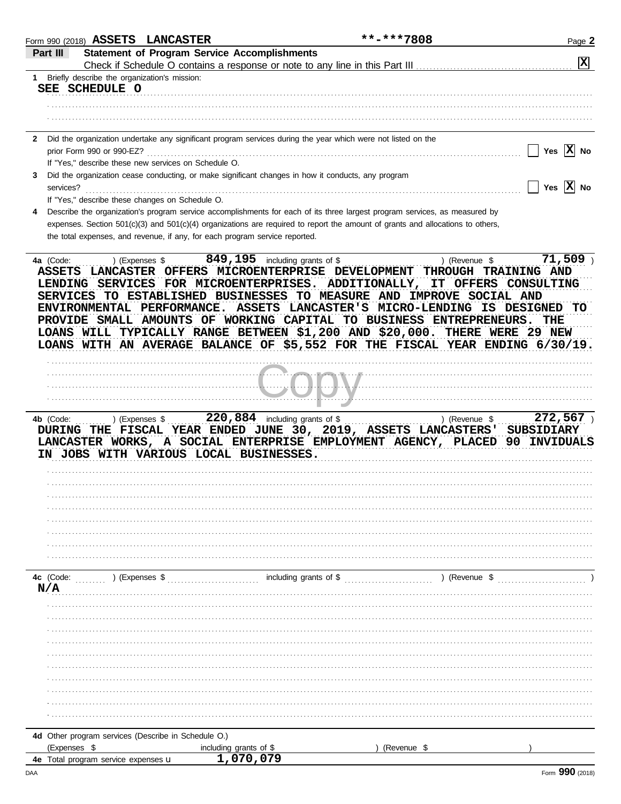|                  | Form 990 (2018) ASSETS LANCASTER                               |                                                                             |                                                                                                                                                                                                                                                                                                                 | **-***7808    | Page 2                         |
|------------------|----------------------------------------------------------------|-----------------------------------------------------------------------------|-----------------------------------------------------------------------------------------------------------------------------------------------------------------------------------------------------------------------------------------------------------------------------------------------------------------|---------------|--------------------------------|
| Part III         |                                                                | <b>Statement of Program Service Accomplishments</b>                         |                                                                                                                                                                                                                                                                                                                 |               |                                |
|                  |                                                                |                                                                             |                                                                                                                                                                                                                                                                                                                 |               | $\overline{\mathbf{x}}$        |
| $1 \quad$        | Briefly describe the organization's mission:<br>SEE SCHEDULE O |                                                                             |                                                                                                                                                                                                                                                                                                                 |               |                                |
|                  |                                                                |                                                                             |                                                                                                                                                                                                                                                                                                                 |               |                                |
|                  |                                                                |                                                                             |                                                                                                                                                                                                                                                                                                                 |               |                                |
|                  |                                                                |                                                                             |                                                                                                                                                                                                                                                                                                                 |               |                                |
| $\mathbf{2}$     |                                                                |                                                                             | Did the organization undertake any significant program services during the year which were not listed on the                                                                                                                                                                                                    |               |                                |
|                  | prior Form 990 or 990-EZ?                                      |                                                                             |                                                                                                                                                                                                                                                                                                                 |               | Yes $ \overline{X} $ No        |
|                  | If "Yes," describe these new services on Schedule O.           |                                                                             |                                                                                                                                                                                                                                                                                                                 |               |                                |
| 3<br>services?   |                                                                |                                                                             | Did the organization cease conducting, or make significant changes in how it conducts, any program                                                                                                                                                                                                              |               | Yes $ X $ No                   |
|                  | If "Yes," describe these changes on Schedule O.                |                                                                             |                                                                                                                                                                                                                                                                                                                 |               |                                |
| 4                |                                                                |                                                                             | Describe the organization's program service accomplishments for each of its three largest program services, as measured by                                                                                                                                                                                      |               |                                |
|                  |                                                                |                                                                             | expenses. Section 501(c)(3) and 501(c)(4) organizations are required to report the amount of grants and allocations to others,                                                                                                                                                                                  |               |                                |
|                  |                                                                | the total expenses, and revenue, if any, for each program service reported. |                                                                                                                                                                                                                                                                                                                 |               |                                |
| 4a (Code:        | ) (Expenses \$                                                 |                                                                             | 849, 195 including grants of \$                                                                                                                                                                                                                                                                                 | ) (Revenue \$ | $71,509$ )                     |
|                  |                                                                |                                                                             | ENVIRONMENTAL PERFORMANCE. ASSETS LANCASTER'S MICRO-LENDING IS DESIGNED TO<br>PROVIDE SMALL AMOUNTS OF WORKING CAPITAL TO BUSINESS ENTREPRENEURS.<br>LOANS WILL TYPICALLY RANGE BETWEEN \$1,200 AND \$20,000. THERE WERE 29 NEW<br>LOANS WITH AN AVERAGE BALANCE OF \$5,552 FOR THE FISCAL YEAR ENDING 6/30/19. |               | THE                            |
|                  |                                                                |                                                                             |                                                                                                                                                                                                                                                                                                                 |               |                                |
|                  |                                                                |                                                                             |                                                                                                                                                                                                                                                                                                                 |               |                                |
| 4b (Code:        | ) (Expenses \$                                                 | IN JOBS WITH VARIOUS LOCAL BUSINESSES.                                      | $220,884$ including grants of \$<br>DURING THE FISCAL YEAR ENDED JUNE 30, 2019, ASSETS LANCASTERS' SUBSIDIARY<br>LANCASTER WORKS, A SOCIAL ENTERPRISE EMPLOYMENT AGENCY, PLACED                                                                                                                                 | ) (Revenue \$ | 272,567<br><b>90 INVIDUALS</b> |
|                  |                                                                |                                                                             |                                                                                                                                                                                                                                                                                                                 |               |                                |
|                  |                                                                |                                                                             |                                                                                                                                                                                                                                                                                                                 |               |                                |
|                  |                                                                |                                                                             |                                                                                                                                                                                                                                                                                                                 |               |                                |
|                  |                                                                |                                                                             |                                                                                                                                                                                                                                                                                                                 |               |                                |
|                  |                                                                |                                                                             |                                                                                                                                                                                                                                                                                                                 |               |                                |
| 4c (Code:<br>N/A | ) (Expenses \$                                                 |                                                                             | including grants of \$                                                                                                                                                                                                                                                                                          | ) (Revenue \$ |                                |
|                  |                                                                |                                                                             |                                                                                                                                                                                                                                                                                                                 |               |                                |
|                  |                                                                |                                                                             |                                                                                                                                                                                                                                                                                                                 |               |                                |
|                  |                                                                |                                                                             |                                                                                                                                                                                                                                                                                                                 |               |                                |
|                  |                                                                |                                                                             |                                                                                                                                                                                                                                                                                                                 |               |                                |
|                  |                                                                |                                                                             |                                                                                                                                                                                                                                                                                                                 |               |                                |
|                  |                                                                |                                                                             |                                                                                                                                                                                                                                                                                                                 |               |                                |
|                  |                                                                |                                                                             |                                                                                                                                                                                                                                                                                                                 |               |                                |
|                  |                                                                |                                                                             |                                                                                                                                                                                                                                                                                                                 |               |                                |
|                  |                                                                |                                                                             |                                                                                                                                                                                                                                                                                                                 |               |                                |
|                  |                                                                |                                                                             |                                                                                                                                                                                                                                                                                                                 |               |                                |
|                  |                                                                |                                                                             |                                                                                                                                                                                                                                                                                                                 |               |                                |
|                  | 4d Other program services (Describe in Schedule O.)            |                                                                             |                                                                                                                                                                                                                                                                                                                 |               |                                |
|                  | (Expenses \$<br>4e Total program service expenses u            | including grants of \$                                                      |                                                                                                                                                                                                                                                                                                                 | (Revenue \$   |                                |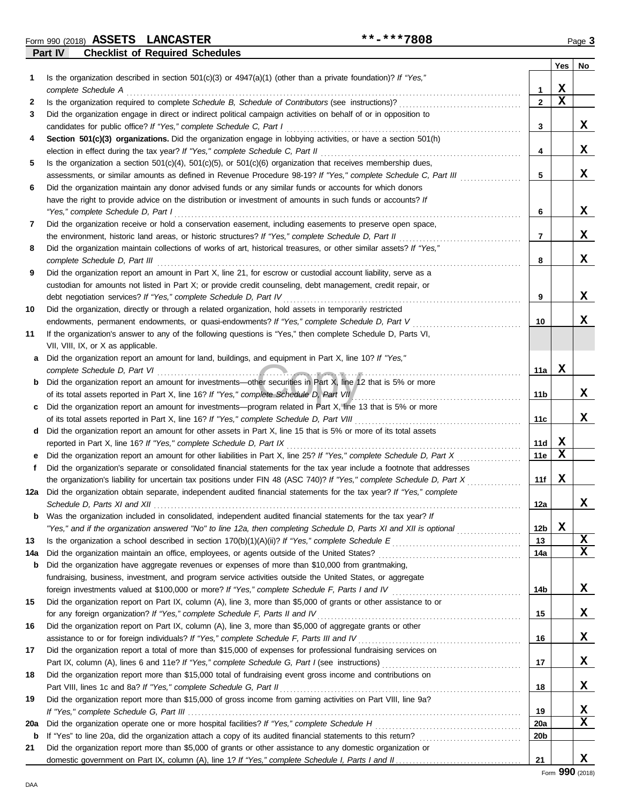Form 990 (2018) Page **3 ASSETS LANCASTER \*\*-\*\*\*7808**

**Part IV Checklist of Required Schedules**

|     | shoomot of hoquilou conouur                                                                                                                                                                                   |                 |             |    |
|-----|---------------------------------------------------------------------------------------------------------------------------------------------------------------------------------------------------------------|-----------------|-------------|----|
| 1   | Is the organization described in section $501(c)(3)$ or $4947(a)(1)$ (other than a private foundation)? If "Yes,"                                                                                             |                 | Yes         | No |
|     | complete Schedule A                                                                                                                                                                                           | 1               | х           |    |
| 2   | Is the organization required to complete Schedule B, Schedule of Contributors (see instructions)?                                                                                                             | $\overline{2}$  | $\mathbf x$ |    |
| 3   | Did the organization engage in direct or indirect political campaign activities on behalf of or in opposition to                                                                                              |                 |             |    |
|     | candidates for public office? If "Yes," complete Schedule C, Part I                                                                                                                                           | 3               |             | X  |
| 4   | Section 501(c)(3) organizations. Did the organization engage in lobbying activities, or have a section 501(h)                                                                                                 |                 |             |    |
|     | election in effect during the tax year? If "Yes," complete Schedule C, Part II                                                                                                                                | 4               |             | X  |
| 5   | Is the organization a section $501(c)(4)$ , $501(c)(5)$ , or $501(c)(6)$ organization that receives membership dues,                                                                                          |                 |             |    |
|     | assessments, or similar amounts as defined in Revenue Procedure 98-19? If "Yes," complete Schedule C, Part III                                                                                                | 5               |             | x  |
| 6   | Did the organization maintain any donor advised funds or any similar funds or accounts for which donors                                                                                                       |                 |             |    |
|     | have the right to provide advice on the distribution or investment of amounts in such funds or accounts? If                                                                                                   |                 |             |    |
|     | "Yes," complete Schedule D, Part I                                                                                                                                                                            | 6               |             | x  |
| 7   | Did the organization receive or hold a conservation easement, including easements to preserve open space,                                                                                                     |                 |             |    |
|     | the environment, historic land areas, or historic structures? If "Yes," complete Schedule D, Part II                                                                                                          | 7               |             | x  |
| 8   | Did the organization maintain collections of works of art, historical treasures, or other similar assets? If "Yes,"<br>complete Schedule D, Part III                                                          | 8               |             | x  |
| 9   | Did the organization report an amount in Part X, line 21, for escrow or custodial account liability, serve as a                                                                                               |                 |             |    |
|     | custodian for amounts not listed in Part X; or provide credit counseling, debt management, credit repair, or                                                                                                  |                 |             |    |
|     | debt negotiation services? If "Yes," complete Schedule D, Part IV                                                                                                                                             | 9               |             | x  |
| 10  | Did the organization, directly or through a related organization, hold assets in temporarily restricted                                                                                                       |                 |             |    |
|     | endowments, permanent endowments, or quasi-endowments? If "Yes," complete Schedule D, Part V                                                                                                                  | 10              |             | x  |
| 11  | If the organization's answer to any of the following questions is "Yes," then complete Schedule D, Parts VI,                                                                                                  |                 |             |    |
|     | VII, VIII, IX, or X as applicable.                                                                                                                                                                            |                 |             |    |
| a   | Did the organization report an amount for land, buildings, and equipment in Part X, line 10? If "Yes,"                                                                                                        |                 |             |    |
|     | complete Schedule D, Part VI                                                                                                                                                                                  | 11a             | X           |    |
| b   | Did the organization report an amount for investments—other securities in Part X, line 12 that is 5% or more                                                                                                  |                 |             |    |
|     | of its total assets reported in Part X, line 16? If "Yes," complete Schedule D, Part VII                                                                                                                      | 11b             |             | X  |
| c   | Did the organization report an amount for investments—program related in Part X, line 13 that is 5% or more                                                                                                   |                 |             | x  |
| d   | of its total assets reported in Part X, line 16? If "Yes," complete Schedule D, Part VIII<br>Did the organization report an amount for other assets in Part X, line 15 that is 5% or more of its total assets | 11c             |             |    |
|     | reported in Part X, line 16? If "Yes," complete Schedule D, Part IX                                                                                                                                           | 11d             | X           |    |
| е   | Did the organization report an amount for other liabilities in Part X, line 25? If "Yes," complete Schedule D, Part X                                                                                         | 11e             | X           |    |
| f   | Did the organization's separate or consolidated financial statements for the tax year include a footnote that addresses                                                                                       |                 |             |    |
|     | the organization's liability for uncertain tax positions under FIN 48 (ASC 740)? If "Yes," complete Schedule D, Part X                                                                                        | 11f             | X           |    |
| 12a | Did the organization obtain separate, independent audited financial statements for the tax year? If "Yes," complete                                                                                           |                 |             |    |
|     |                                                                                                                                                                                                               | 12a             |             | x  |
| b   | Was the organization included in consolidated, independent audited financial statements for the tax year? If                                                                                                  |                 |             |    |
|     | "Yes," and if the organization answered "No" to line 12a, then completing Schedule D, Parts XI and XII is optional                                                                                            | 12 <sub>b</sub> | X           |    |
| 13  |                                                                                                                                                                                                               | 13              |             | X  |
| 14a | Did the organization maintain an office, employees, or agents outside of the United States?                                                                                                                   | 14a             |             | X  |
| b   | Did the organization have aggregate revenues or expenses of more than \$10,000 from grantmaking,                                                                                                              |                 |             |    |
|     | fundraising, business, investment, and program service activities outside the United States, or aggregate                                                                                                     |                 |             |    |
|     |                                                                                                                                                                                                               | 14b             |             | X  |
| 15  | Did the organization report on Part IX, column (A), line 3, more than \$5,000 of grants or other assistance to or                                                                                             |                 |             |    |
|     | for any foreign organization? If "Yes," complete Schedule F, Parts II and IV                                                                                                                                  | 15              |             | X  |
| 16  | Did the organization report on Part IX, column (A), line 3, more than \$5,000 of aggregate grants or other                                                                                                    |                 |             |    |
|     | assistance to or for foreign individuals? If "Yes," complete Schedule F, Parts III and IV                                                                                                                     | 16              |             | X  |
| 17  | Did the organization report a total of more than \$15,000 of expenses for professional fundraising services on                                                                                                |                 |             |    |
|     |                                                                                                                                                                                                               | 17              |             | X  |
| 18  | Did the organization report more than \$15,000 total of fundraising event gross income and contributions on                                                                                                   |                 |             |    |
|     | Part VIII, lines 1c and 8a? If "Yes," complete Schedule G, Part II                                                                                                                                            | 18              |             | X  |
| 19  | Did the organization report more than \$15,000 of gross income from gaming activities on Part VIII, line 9a?                                                                                                  |                 |             |    |
|     |                                                                                                                                                                                                               | 19              |             | x  |
| 20a |                                                                                                                                                                                                               | <b>20a</b>      |             | X  |
| b   |                                                                                                                                                                                                               | 20b             |             |    |
| 21  | Did the organization report more than \$5,000 of grants or other assistance to any domestic organization or                                                                                                   |                 |             |    |
|     |                                                                                                                                                                                                               | 21              |             | X  |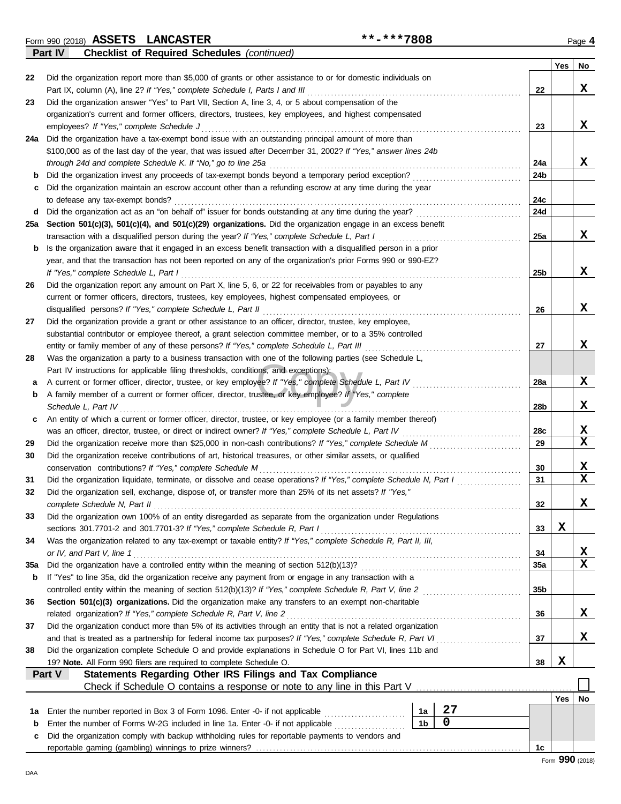Form 990 (2018) Page **4 ASSETS LANCASTER \*\*-\*\*\*7808**

**Part IV Checklist of Required Schedules** *(continued)*

| Did the organization report more than \$5,000 of grants or other assistance to or for domestic individuals on<br>22<br>x<br>Part IX, column (A), line 2? If "Yes," complete Schedule I, Parts I and III<br>22<br>Did the organization answer "Yes" to Part VII, Section A, line 3, 4, or 5 about compensation of the<br>23<br>organization's current and former officers, directors, trustees, key employees, and highest compensated<br>x<br>employees? If "Yes," complete Schedule J<br>23<br>Did the organization have a tax-exempt bond issue with an outstanding principal amount of more than<br>24a<br>\$100,000 as of the last day of the year, that was issued after December 31, 2002? If "Yes," answer lines 24b<br>x<br>through 24d and complete Schedule K. If "No," go to line 25a<br>24a<br>Did the organization invest any proceeds of tax-exempt bonds beyond a temporary period exception?<br>24b<br>b<br>Did the organization maintain an escrow account other than a refunding escrow at any time during the year<br>c<br>24c<br>to defease any tax-exempt bonds?<br>Did the organization act as an "on behalf of" issuer for bonds outstanding at any time during the year?<br>24d<br>d<br>Section 501(c)(3), 501(c)(4), and 501(c)(29) organizations. Did the organization engage in an excess benefit<br>25а<br>x<br>transaction with a disqualified person during the year? If "Yes," complete Schedule L, Part I<br>25a<br>Is the organization aware that it engaged in an excess benefit transaction with a disqualified person in a prior<br>b<br>year, and that the transaction has not been reported on any of the organization's prior Forms 990 or 990-EZ?<br>x<br>If "Yes," complete Schedule L, Part I<br>25b<br>Did the organization report any amount on Part X, line 5, 6, or 22 for receivables from or payables to any<br>26<br>current or former officers, directors, trustees, key employees, highest compensated employees, or<br>x<br>disqualified persons? If "Yes," complete Schedule L, Part II<br>26<br>Did the organization provide a grant or other assistance to an officer, director, trustee, key employee,<br>27<br>substantial contributor or employee thereof, a grant selection committee member, or to a 35% controlled<br>x<br>entity or family member of any of these persons? If "Yes," complete Schedule L, Part III<br>27<br>Was the organization a party to a business transaction with one of the following parties (see Schedule L,<br>28<br>Part IV instructions for applicable filing thresholds, conditions, and exceptions):<br>x<br>A current or former officer, director, trustee, or key employee? If "Yes," complete Schedule L, Part IV<br>28a<br>а<br>A family member of a current or former officer, director, trustee, or key employee? If "Yes," complete<br>b<br>x<br>Schedule L, Part IV<br>28b<br>An entity of which a current or former officer, director, trustee, or key employee (or a family member thereof)<br>c<br>x<br>was an officer, director, trustee, or direct or indirect owner? If "Yes," complete Schedule L, Part IV<br>28c<br>$\mathbf x$<br>29<br>Did the organization receive more than \$25,000 in non-cash contributions? If "Yes," complete Schedule M<br>29<br>Did the organization receive contributions of art, historical treasures, or other similar assets, or qualified<br>30<br>x<br>conservation contributions? If "Yes," complete Schedule M<br>30<br>X<br>Did the organization liquidate, terminate, or dissolve and cease operations? If "Yes," complete Schedule N, Part I<br>31<br>31<br>Did the organization sell, exchange, dispose of, or transfer more than 25% of its net assets? If "Yes,"<br>32<br>x<br>complete Schedule N, Part II<br>32<br>Did the organization own 100% of an entity disregarded as separate from the organization under Regulations<br>33<br>X<br>sections 301.7701-2 and 301.7701-3? If "Yes," complete Schedule R, Part I<br>33<br>Was the organization related to any tax-exempt or taxable entity? If "Yes," complete Schedule R, Part II, III,<br>34<br>X<br>or IV, and Part V, line 1<br>34<br>$\mathbf x$<br>35a<br>35a<br>If "Yes" to line 35a, did the organization receive any payment from or engage in any transaction with a<br>b<br>35 <sub>b</sub><br>Section 501(c)(3) organizations. Did the organization make any transfers to an exempt non-charitable<br>36<br>x<br>related organization? If "Yes," complete Schedule R, Part V, line 2<br>36<br>Did the organization conduct more than 5% of its activities through an entity that is not a related organization<br>37<br>x<br>37<br>Did the organization complete Schedule O and provide explanations in Schedule O for Part VI, lines 11b and<br>38<br>X<br>19? Note. All Form 990 filers are required to complete Schedule O.<br>38<br>Statements Regarding Other IRS Filings and Tax Compliance<br>Part V<br>Check if Schedule O contains a response or note to any line in this Part V<br>Yes<br>No<br>27<br>Enter the number reported in Box 3 of Form 1096. Enter -0- if not applicable [<br>1a<br>1a<br>0<br>1 <sub>b</sub><br>Enter the number of Forms W-2G included in line 1a. Enter -0- if not applicable<br>b<br>Did the organization comply with backup withholding rules for reportable payments to vendors and<br>c<br>1c |  | Yes | No |
|------------------------------------------------------------------------------------------------------------------------------------------------------------------------------------------------------------------------------------------------------------------------------------------------------------------------------------------------------------------------------------------------------------------------------------------------------------------------------------------------------------------------------------------------------------------------------------------------------------------------------------------------------------------------------------------------------------------------------------------------------------------------------------------------------------------------------------------------------------------------------------------------------------------------------------------------------------------------------------------------------------------------------------------------------------------------------------------------------------------------------------------------------------------------------------------------------------------------------------------------------------------------------------------------------------------------------------------------------------------------------------------------------------------------------------------------------------------------------------------------------------------------------------------------------------------------------------------------------------------------------------------------------------------------------------------------------------------------------------------------------------------------------------------------------------------------------------------------------------------------------------------------------------------------------------------------------------------------------------------------------------------------------------------------------------------------------------------------------------------------------------------------------------------------------------------------------------------------------------------------------------------------------------------------------------------------------------------------------------------------------------------------------------------------------------------------------------------------------------------------------------------------------------------------------------------------------------------------------------------------------------------------------------------------------------------------------------------------------------------------------------------------------------------------------------------------------------------------------------------------------------------------------------------------------------------------------------------------------------------------------------------------------------------------------------------------------------------------------------------------------------------------------------------------------------------------------------------------------------------------------------------------------------------------------------------------------------------------------------------------------------------------------------------------------------------------------------------------------------------------------------------------------------------------------------------------------------------------------------------------------------------------------------------------------------------------------------------------------------------------------------------------------------------------------------------------------------------------------------------------------------------------------------------------------------------------------------------------------------------------------------------------------------------------------------------------------------------------------------------------------------------------------------------------------------------------------------------------------------------------------------------------------------------------------------------------------------------------------------------------------------------------------------------------------------------------------------------------------------------------------------------------------------------------------------------------------------------------------------------------------------------------------------------------------------------------------------------------------------------------------------------------------------------------------------------------------------------------------------------------------------------------------------------------------------------------------------------------------------------------------------------------------------------------------------------------------------------------------------------------------------------------------------------------------------------------------------------------------------------------------------------------------------------------------------------------------------------------------------------|--|-----|----|
|                                                                                                                                                                                                                                                                                                                                                                                                                                                                                                                                                                                                                                                                                                                                                                                                                                                                                                                                                                                                                                                                                                                                                                                                                                                                                                                                                                                                                                                                                                                                                                                                                                                                                                                                                                                                                                                                                                                                                                                                                                                                                                                                                                                                                                                                                                                                                                                                                                                                                                                                                                                                                                                                                                                                                                                                                                                                                                                                                                                                                                                                                                                                                                                                                                                                                                                                                                                                                                                                                                                                                                                                                                                                                                                                                                                                                                                                                                                                                                                                                                                                                                                                                                                                                                                                                                                                                                                                                                                                                                                                                                                                                                                                                                                                                                                                                                                                                                                                                                                                                                                                                                                                                                                                                                                                                                                                                                  |  |     |    |
|                                                                                                                                                                                                                                                                                                                                                                                                                                                                                                                                                                                                                                                                                                                                                                                                                                                                                                                                                                                                                                                                                                                                                                                                                                                                                                                                                                                                                                                                                                                                                                                                                                                                                                                                                                                                                                                                                                                                                                                                                                                                                                                                                                                                                                                                                                                                                                                                                                                                                                                                                                                                                                                                                                                                                                                                                                                                                                                                                                                                                                                                                                                                                                                                                                                                                                                                                                                                                                                                                                                                                                                                                                                                                                                                                                                                                                                                                                                                                                                                                                                                                                                                                                                                                                                                                                                                                                                                                                                                                                                                                                                                                                                                                                                                                                                                                                                                                                                                                                                                                                                                                                                                                                                                                                                                                                                                                                  |  |     |    |
|                                                                                                                                                                                                                                                                                                                                                                                                                                                                                                                                                                                                                                                                                                                                                                                                                                                                                                                                                                                                                                                                                                                                                                                                                                                                                                                                                                                                                                                                                                                                                                                                                                                                                                                                                                                                                                                                                                                                                                                                                                                                                                                                                                                                                                                                                                                                                                                                                                                                                                                                                                                                                                                                                                                                                                                                                                                                                                                                                                                                                                                                                                                                                                                                                                                                                                                                                                                                                                                                                                                                                                                                                                                                                                                                                                                                                                                                                                                                                                                                                                                                                                                                                                                                                                                                                                                                                                                                                                                                                                                                                                                                                                                                                                                                                                                                                                                                                                                                                                                                                                                                                                                                                                                                                                                                                                                                                                  |  |     |    |
|                                                                                                                                                                                                                                                                                                                                                                                                                                                                                                                                                                                                                                                                                                                                                                                                                                                                                                                                                                                                                                                                                                                                                                                                                                                                                                                                                                                                                                                                                                                                                                                                                                                                                                                                                                                                                                                                                                                                                                                                                                                                                                                                                                                                                                                                                                                                                                                                                                                                                                                                                                                                                                                                                                                                                                                                                                                                                                                                                                                                                                                                                                                                                                                                                                                                                                                                                                                                                                                                                                                                                                                                                                                                                                                                                                                                                                                                                                                                                                                                                                                                                                                                                                                                                                                                                                                                                                                                                                                                                                                                                                                                                                                                                                                                                                                                                                                                                                                                                                                                                                                                                                                                                                                                                                                                                                                                                                  |  |     |    |
|                                                                                                                                                                                                                                                                                                                                                                                                                                                                                                                                                                                                                                                                                                                                                                                                                                                                                                                                                                                                                                                                                                                                                                                                                                                                                                                                                                                                                                                                                                                                                                                                                                                                                                                                                                                                                                                                                                                                                                                                                                                                                                                                                                                                                                                                                                                                                                                                                                                                                                                                                                                                                                                                                                                                                                                                                                                                                                                                                                                                                                                                                                                                                                                                                                                                                                                                                                                                                                                                                                                                                                                                                                                                                                                                                                                                                                                                                                                                                                                                                                                                                                                                                                                                                                                                                                                                                                                                                                                                                                                                                                                                                                                                                                                                                                                                                                                                                                                                                                                                                                                                                                                                                                                                                                                                                                                                                                  |  |     |    |
|                                                                                                                                                                                                                                                                                                                                                                                                                                                                                                                                                                                                                                                                                                                                                                                                                                                                                                                                                                                                                                                                                                                                                                                                                                                                                                                                                                                                                                                                                                                                                                                                                                                                                                                                                                                                                                                                                                                                                                                                                                                                                                                                                                                                                                                                                                                                                                                                                                                                                                                                                                                                                                                                                                                                                                                                                                                                                                                                                                                                                                                                                                                                                                                                                                                                                                                                                                                                                                                                                                                                                                                                                                                                                                                                                                                                                                                                                                                                                                                                                                                                                                                                                                                                                                                                                                                                                                                                                                                                                                                                                                                                                                                                                                                                                                                                                                                                                                                                                                                                                                                                                                                                                                                                                                                                                                                                                                  |  |     |    |
|                                                                                                                                                                                                                                                                                                                                                                                                                                                                                                                                                                                                                                                                                                                                                                                                                                                                                                                                                                                                                                                                                                                                                                                                                                                                                                                                                                                                                                                                                                                                                                                                                                                                                                                                                                                                                                                                                                                                                                                                                                                                                                                                                                                                                                                                                                                                                                                                                                                                                                                                                                                                                                                                                                                                                                                                                                                                                                                                                                                                                                                                                                                                                                                                                                                                                                                                                                                                                                                                                                                                                                                                                                                                                                                                                                                                                                                                                                                                                                                                                                                                                                                                                                                                                                                                                                                                                                                                                                                                                                                                                                                                                                                                                                                                                                                                                                                                                                                                                                                                                                                                                                                                                                                                                                                                                                                                                                  |  |     |    |
|                                                                                                                                                                                                                                                                                                                                                                                                                                                                                                                                                                                                                                                                                                                                                                                                                                                                                                                                                                                                                                                                                                                                                                                                                                                                                                                                                                                                                                                                                                                                                                                                                                                                                                                                                                                                                                                                                                                                                                                                                                                                                                                                                                                                                                                                                                                                                                                                                                                                                                                                                                                                                                                                                                                                                                                                                                                                                                                                                                                                                                                                                                                                                                                                                                                                                                                                                                                                                                                                                                                                                                                                                                                                                                                                                                                                                                                                                                                                                                                                                                                                                                                                                                                                                                                                                                                                                                                                                                                                                                                                                                                                                                                                                                                                                                                                                                                                                                                                                                                                                                                                                                                                                                                                                                                                                                                                                                  |  |     |    |
|                                                                                                                                                                                                                                                                                                                                                                                                                                                                                                                                                                                                                                                                                                                                                                                                                                                                                                                                                                                                                                                                                                                                                                                                                                                                                                                                                                                                                                                                                                                                                                                                                                                                                                                                                                                                                                                                                                                                                                                                                                                                                                                                                                                                                                                                                                                                                                                                                                                                                                                                                                                                                                                                                                                                                                                                                                                                                                                                                                                                                                                                                                                                                                                                                                                                                                                                                                                                                                                                                                                                                                                                                                                                                                                                                                                                                                                                                                                                                                                                                                                                                                                                                                                                                                                                                                                                                                                                                                                                                                                                                                                                                                                                                                                                                                                                                                                                                                                                                                                                                                                                                                                                                                                                                                                                                                                                                                  |  |     |    |
|                                                                                                                                                                                                                                                                                                                                                                                                                                                                                                                                                                                                                                                                                                                                                                                                                                                                                                                                                                                                                                                                                                                                                                                                                                                                                                                                                                                                                                                                                                                                                                                                                                                                                                                                                                                                                                                                                                                                                                                                                                                                                                                                                                                                                                                                                                                                                                                                                                                                                                                                                                                                                                                                                                                                                                                                                                                                                                                                                                                                                                                                                                                                                                                                                                                                                                                                                                                                                                                                                                                                                                                                                                                                                                                                                                                                                                                                                                                                                                                                                                                                                                                                                                                                                                                                                                                                                                                                                                                                                                                                                                                                                                                                                                                                                                                                                                                                                                                                                                                                                                                                                                                                                                                                                                                                                                                                                                  |  |     |    |
|                                                                                                                                                                                                                                                                                                                                                                                                                                                                                                                                                                                                                                                                                                                                                                                                                                                                                                                                                                                                                                                                                                                                                                                                                                                                                                                                                                                                                                                                                                                                                                                                                                                                                                                                                                                                                                                                                                                                                                                                                                                                                                                                                                                                                                                                                                                                                                                                                                                                                                                                                                                                                                                                                                                                                                                                                                                                                                                                                                                                                                                                                                                                                                                                                                                                                                                                                                                                                                                                                                                                                                                                                                                                                                                                                                                                                                                                                                                                                                                                                                                                                                                                                                                                                                                                                                                                                                                                                                                                                                                                                                                                                                                                                                                                                                                                                                                                                                                                                                                                                                                                                                                                                                                                                                                                                                                                                                  |  |     |    |
|                                                                                                                                                                                                                                                                                                                                                                                                                                                                                                                                                                                                                                                                                                                                                                                                                                                                                                                                                                                                                                                                                                                                                                                                                                                                                                                                                                                                                                                                                                                                                                                                                                                                                                                                                                                                                                                                                                                                                                                                                                                                                                                                                                                                                                                                                                                                                                                                                                                                                                                                                                                                                                                                                                                                                                                                                                                                                                                                                                                                                                                                                                                                                                                                                                                                                                                                                                                                                                                                                                                                                                                                                                                                                                                                                                                                                                                                                                                                                                                                                                                                                                                                                                                                                                                                                                                                                                                                                                                                                                                                                                                                                                                                                                                                                                                                                                                                                                                                                                                                                                                                                                                                                                                                                                                                                                                                                                  |  |     |    |
|                                                                                                                                                                                                                                                                                                                                                                                                                                                                                                                                                                                                                                                                                                                                                                                                                                                                                                                                                                                                                                                                                                                                                                                                                                                                                                                                                                                                                                                                                                                                                                                                                                                                                                                                                                                                                                                                                                                                                                                                                                                                                                                                                                                                                                                                                                                                                                                                                                                                                                                                                                                                                                                                                                                                                                                                                                                                                                                                                                                                                                                                                                                                                                                                                                                                                                                                                                                                                                                                                                                                                                                                                                                                                                                                                                                                                                                                                                                                                                                                                                                                                                                                                                                                                                                                                                                                                                                                                                                                                                                                                                                                                                                                                                                                                                                                                                                                                                                                                                                                                                                                                                                                                                                                                                                                                                                                                                  |  |     |    |
|                                                                                                                                                                                                                                                                                                                                                                                                                                                                                                                                                                                                                                                                                                                                                                                                                                                                                                                                                                                                                                                                                                                                                                                                                                                                                                                                                                                                                                                                                                                                                                                                                                                                                                                                                                                                                                                                                                                                                                                                                                                                                                                                                                                                                                                                                                                                                                                                                                                                                                                                                                                                                                                                                                                                                                                                                                                                                                                                                                                                                                                                                                                                                                                                                                                                                                                                                                                                                                                                                                                                                                                                                                                                                                                                                                                                                                                                                                                                                                                                                                                                                                                                                                                                                                                                                                                                                                                                                                                                                                                                                                                                                                                                                                                                                                                                                                                                                                                                                                                                                                                                                                                                                                                                                                                                                                                                                                  |  |     |    |
|                                                                                                                                                                                                                                                                                                                                                                                                                                                                                                                                                                                                                                                                                                                                                                                                                                                                                                                                                                                                                                                                                                                                                                                                                                                                                                                                                                                                                                                                                                                                                                                                                                                                                                                                                                                                                                                                                                                                                                                                                                                                                                                                                                                                                                                                                                                                                                                                                                                                                                                                                                                                                                                                                                                                                                                                                                                                                                                                                                                                                                                                                                                                                                                                                                                                                                                                                                                                                                                                                                                                                                                                                                                                                                                                                                                                                                                                                                                                                                                                                                                                                                                                                                                                                                                                                                                                                                                                                                                                                                                                                                                                                                                                                                                                                                                                                                                                                                                                                                                                                                                                                                                                                                                                                                                                                                                                                                  |  |     |    |
|                                                                                                                                                                                                                                                                                                                                                                                                                                                                                                                                                                                                                                                                                                                                                                                                                                                                                                                                                                                                                                                                                                                                                                                                                                                                                                                                                                                                                                                                                                                                                                                                                                                                                                                                                                                                                                                                                                                                                                                                                                                                                                                                                                                                                                                                                                                                                                                                                                                                                                                                                                                                                                                                                                                                                                                                                                                                                                                                                                                                                                                                                                                                                                                                                                                                                                                                                                                                                                                                                                                                                                                                                                                                                                                                                                                                                                                                                                                                                                                                                                                                                                                                                                                                                                                                                                                                                                                                                                                                                                                                                                                                                                                                                                                                                                                                                                                                                                                                                                                                                                                                                                                                                                                                                                                                                                                                                                  |  |     |    |
|                                                                                                                                                                                                                                                                                                                                                                                                                                                                                                                                                                                                                                                                                                                                                                                                                                                                                                                                                                                                                                                                                                                                                                                                                                                                                                                                                                                                                                                                                                                                                                                                                                                                                                                                                                                                                                                                                                                                                                                                                                                                                                                                                                                                                                                                                                                                                                                                                                                                                                                                                                                                                                                                                                                                                                                                                                                                                                                                                                                                                                                                                                                                                                                                                                                                                                                                                                                                                                                                                                                                                                                                                                                                                                                                                                                                                                                                                                                                                                                                                                                                                                                                                                                                                                                                                                                                                                                                                                                                                                                                                                                                                                                                                                                                                                                                                                                                                                                                                                                                                                                                                                                                                                                                                                                                                                                                                                  |  |     |    |
|                                                                                                                                                                                                                                                                                                                                                                                                                                                                                                                                                                                                                                                                                                                                                                                                                                                                                                                                                                                                                                                                                                                                                                                                                                                                                                                                                                                                                                                                                                                                                                                                                                                                                                                                                                                                                                                                                                                                                                                                                                                                                                                                                                                                                                                                                                                                                                                                                                                                                                                                                                                                                                                                                                                                                                                                                                                                                                                                                                                                                                                                                                                                                                                                                                                                                                                                                                                                                                                                                                                                                                                                                                                                                                                                                                                                                                                                                                                                                                                                                                                                                                                                                                                                                                                                                                                                                                                                                                                                                                                                                                                                                                                                                                                                                                                                                                                                                                                                                                                                                                                                                                                                                                                                                                                                                                                                                                  |  |     |    |
|                                                                                                                                                                                                                                                                                                                                                                                                                                                                                                                                                                                                                                                                                                                                                                                                                                                                                                                                                                                                                                                                                                                                                                                                                                                                                                                                                                                                                                                                                                                                                                                                                                                                                                                                                                                                                                                                                                                                                                                                                                                                                                                                                                                                                                                                                                                                                                                                                                                                                                                                                                                                                                                                                                                                                                                                                                                                                                                                                                                                                                                                                                                                                                                                                                                                                                                                                                                                                                                                                                                                                                                                                                                                                                                                                                                                                                                                                                                                                                                                                                                                                                                                                                                                                                                                                                                                                                                                                                                                                                                                                                                                                                                                                                                                                                                                                                                                                                                                                                                                                                                                                                                                                                                                                                                                                                                                                                  |  |     |    |
|                                                                                                                                                                                                                                                                                                                                                                                                                                                                                                                                                                                                                                                                                                                                                                                                                                                                                                                                                                                                                                                                                                                                                                                                                                                                                                                                                                                                                                                                                                                                                                                                                                                                                                                                                                                                                                                                                                                                                                                                                                                                                                                                                                                                                                                                                                                                                                                                                                                                                                                                                                                                                                                                                                                                                                                                                                                                                                                                                                                                                                                                                                                                                                                                                                                                                                                                                                                                                                                                                                                                                                                                                                                                                                                                                                                                                                                                                                                                                                                                                                                                                                                                                                                                                                                                                                                                                                                                                                                                                                                                                                                                                                                                                                                                                                                                                                                                                                                                                                                                                                                                                                                                                                                                                                                                                                                                                                  |  |     |    |
|                                                                                                                                                                                                                                                                                                                                                                                                                                                                                                                                                                                                                                                                                                                                                                                                                                                                                                                                                                                                                                                                                                                                                                                                                                                                                                                                                                                                                                                                                                                                                                                                                                                                                                                                                                                                                                                                                                                                                                                                                                                                                                                                                                                                                                                                                                                                                                                                                                                                                                                                                                                                                                                                                                                                                                                                                                                                                                                                                                                                                                                                                                                                                                                                                                                                                                                                                                                                                                                                                                                                                                                                                                                                                                                                                                                                                                                                                                                                                                                                                                                                                                                                                                                                                                                                                                                                                                                                                                                                                                                                                                                                                                                                                                                                                                                                                                                                                                                                                                                                                                                                                                                                                                                                                                                                                                                                                                  |  |     |    |
|                                                                                                                                                                                                                                                                                                                                                                                                                                                                                                                                                                                                                                                                                                                                                                                                                                                                                                                                                                                                                                                                                                                                                                                                                                                                                                                                                                                                                                                                                                                                                                                                                                                                                                                                                                                                                                                                                                                                                                                                                                                                                                                                                                                                                                                                                                                                                                                                                                                                                                                                                                                                                                                                                                                                                                                                                                                                                                                                                                                                                                                                                                                                                                                                                                                                                                                                                                                                                                                                                                                                                                                                                                                                                                                                                                                                                                                                                                                                                                                                                                                                                                                                                                                                                                                                                                                                                                                                                                                                                                                                                                                                                                                                                                                                                                                                                                                                                                                                                                                                                                                                                                                                                                                                                                                                                                                                                                  |  |     |    |
|                                                                                                                                                                                                                                                                                                                                                                                                                                                                                                                                                                                                                                                                                                                                                                                                                                                                                                                                                                                                                                                                                                                                                                                                                                                                                                                                                                                                                                                                                                                                                                                                                                                                                                                                                                                                                                                                                                                                                                                                                                                                                                                                                                                                                                                                                                                                                                                                                                                                                                                                                                                                                                                                                                                                                                                                                                                                                                                                                                                                                                                                                                                                                                                                                                                                                                                                                                                                                                                                                                                                                                                                                                                                                                                                                                                                                                                                                                                                                                                                                                                                                                                                                                                                                                                                                                                                                                                                                                                                                                                                                                                                                                                                                                                                                                                                                                                                                                                                                                                                                                                                                                                                                                                                                                                                                                                                                                  |  |     |    |
|                                                                                                                                                                                                                                                                                                                                                                                                                                                                                                                                                                                                                                                                                                                                                                                                                                                                                                                                                                                                                                                                                                                                                                                                                                                                                                                                                                                                                                                                                                                                                                                                                                                                                                                                                                                                                                                                                                                                                                                                                                                                                                                                                                                                                                                                                                                                                                                                                                                                                                                                                                                                                                                                                                                                                                                                                                                                                                                                                                                                                                                                                                                                                                                                                                                                                                                                                                                                                                                                                                                                                                                                                                                                                                                                                                                                                                                                                                                                                                                                                                                                                                                                                                                                                                                                                                                                                                                                                                                                                                                                                                                                                                                                                                                                                                                                                                                                                                                                                                                                                                                                                                                                                                                                                                                                                                                                                                  |  |     |    |
| Form 990 (2018)                                                                                                                                                                                                                                                                                                                                                                                                                                                                                                                                                                                                                                                                                                                                                                                                                                                                                                                                                                                                                                                                                                                                                                                                                                                                                                                                                                                                                                                                                                                                                                                                                                                                                                                                                                                                                                                                                                                                                                                                                                                                                                                                                                                                                                                                                                                                                                                                                                                                                                                                                                                                                                                                                                                                                                                                                                                                                                                                                                                                                                                                                                                                                                                                                                                                                                                                                                                                                                                                                                                                                                                                                                                                                                                                                                                                                                                                                                                                                                                                                                                                                                                                                                                                                                                                                                                                                                                                                                                                                                                                                                                                                                                                                                                                                                                                                                                                                                                                                                                                                                                                                                                                                                                                                                                                                                                                                  |  |     |    |
|                                                                                                                                                                                                                                                                                                                                                                                                                                                                                                                                                                                                                                                                                                                                                                                                                                                                                                                                                                                                                                                                                                                                                                                                                                                                                                                                                                                                                                                                                                                                                                                                                                                                                                                                                                                                                                                                                                                                                                                                                                                                                                                                                                                                                                                                                                                                                                                                                                                                                                                                                                                                                                                                                                                                                                                                                                                                                                                                                                                                                                                                                                                                                                                                                                                                                                                                                                                                                                                                                                                                                                                                                                                                                                                                                                                                                                                                                                                                                                                                                                                                                                                                                                                                                                                                                                                                                                                                                                                                                                                                                                                                                                                                                                                                                                                                                                                                                                                                                                                                                                                                                                                                                                                                                                                                                                                                                                  |  |     |    |
|                                                                                                                                                                                                                                                                                                                                                                                                                                                                                                                                                                                                                                                                                                                                                                                                                                                                                                                                                                                                                                                                                                                                                                                                                                                                                                                                                                                                                                                                                                                                                                                                                                                                                                                                                                                                                                                                                                                                                                                                                                                                                                                                                                                                                                                                                                                                                                                                                                                                                                                                                                                                                                                                                                                                                                                                                                                                                                                                                                                                                                                                                                                                                                                                                                                                                                                                                                                                                                                                                                                                                                                                                                                                                                                                                                                                                                                                                                                                                                                                                                                                                                                                                                                                                                                                                                                                                                                                                                                                                                                                                                                                                                                                                                                                                                                                                                                                                                                                                                                                                                                                                                                                                                                                                                                                                                                                                                  |  |     |    |
|                                                                                                                                                                                                                                                                                                                                                                                                                                                                                                                                                                                                                                                                                                                                                                                                                                                                                                                                                                                                                                                                                                                                                                                                                                                                                                                                                                                                                                                                                                                                                                                                                                                                                                                                                                                                                                                                                                                                                                                                                                                                                                                                                                                                                                                                                                                                                                                                                                                                                                                                                                                                                                                                                                                                                                                                                                                                                                                                                                                                                                                                                                                                                                                                                                                                                                                                                                                                                                                                                                                                                                                                                                                                                                                                                                                                                                                                                                                                                                                                                                                                                                                                                                                                                                                                                                                                                                                                                                                                                                                                                                                                                                                                                                                                                                                                                                                                                                                                                                                                                                                                                                                                                                                                                                                                                                                                                                  |  |     |    |
|                                                                                                                                                                                                                                                                                                                                                                                                                                                                                                                                                                                                                                                                                                                                                                                                                                                                                                                                                                                                                                                                                                                                                                                                                                                                                                                                                                                                                                                                                                                                                                                                                                                                                                                                                                                                                                                                                                                                                                                                                                                                                                                                                                                                                                                                                                                                                                                                                                                                                                                                                                                                                                                                                                                                                                                                                                                                                                                                                                                                                                                                                                                                                                                                                                                                                                                                                                                                                                                                                                                                                                                                                                                                                                                                                                                                                                                                                                                                                                                                                                                                                                                                                                                                                                                                                                                                                                                                                                                                                                                                                                                                                                                                                                                                                                                                                                                                                                                                                                                                                                                                                                                                                                                                                                                                                                                                                                  |  |     |    |
|                                                                                                                                                                                                                                                                                                                                                                                                                                                                                                                                                                                                                                                                                                                                                                                                                                                                                                                                                                                                                                                                                                                                                                                                                                                                                                                                                                                                                                                                                                                                                                                                                                                                                                                                                                                                                                                                                                                                                                                                                                                                                                                                                                                                                                                                                                                                                                                                                                                                                                                                                                                                                                                                                                                                                                                                                                                                                                                                                                                                                                                                                                                                                                                                                                                                                                                                                                                                                                                                                                                                                                                                                                                                                                                                                                                                                                                                                                                                                                                                                                                                                                                                                                                                                                                                                                                                                                                                                                                                                                                                                                                                                                                                                                                                                                                                                                                                                                                                                                                                                                                                                                                                                                                                                                                                                                                                                                  |  |     |    |
|                                                                                                                                                                                                                                                                                                                                                                                                                                                                                                                                                                                                                                                                                                                                                                                                                                                                                                                                                                                                                                                                                                                                                                                                                                                                                                                                                                                                                                                                                                                                                                                                                                                                                                                                                                                                                                                                                                                                                                                                                                                                                                                                                                                                                                                                                                                                                                                                                                                                                                                                                                                                                                                                                                                                                                                                                                                                                                                                                                                                                                                                                                                                                                                                                                                                                                                                                                                                                                                                                                                                                                                                                                                                                                                                                                                                                                                                                                                                                                                                                                                                                                                                                                                                                                                                                                                                                                                                                                                                                                                                                                                                                                                                                                                                                                                                                                                                                                                                                                                                                                                                                                                                                                                                                                                                                                                                                                  |  |     |    |
|                                                                                                                                                                                                                                                                                                                                                                                                                                                                                                                                                                                                                                                                                                                                                                                                                                                                                                                                                                                                                                                                                                                                                                                                                                                                                                                                                                                                                                                                                                                                                                                                                                                                                                                                                                                                                                                                                                                                                                                                                                                                                                                                                                                                                                                                                                                                                                                                                                                                                                                                                                                                                                                                                                                                                                                                                                                                                                                                                                                                                                                                                                                                                                                                                                                                                                                                                                                                                                                                                                                                                                                                                                                                                                                                                                                                                                                                                                                                                                                                                                                                                                                                                                                                                                                                                                                                                                                                                                                                                                                                                                                                                                                                                                                                                                                                                                                                                                                                                                                                                                                                                                                                                                                                                                                                                                                                                                  |  |     |    |
|                                                                                                                                                                                                                                                                                                                                                                                                                                                                                                                                                                                                                                                                                                                                                                                                                                                                                                                                                                                                                                                                                                                                                                                                                                                                                                                                                                                                                                                                                                                                                                                                                                                                                                                                                                                                                                                                                                                                                                                                                                                                                                                                                                                                                                                                                                                                                                                                                                                                                                                                                                                                                                                                                                                                                                                                                                                                                                                                                                                                                                                                                                                                                                                                                                                                                                                                                                                                                                                                                                                                                                                                                                                                                                                                                                                                                                                                                                                                                                                                                                                                                                                                                                                                                                                                                                                                                                                                                                                                                                                                                                                                                                                                                                                                                                                                                                                                                                                                                                                                                                                                                                                                                                                                                                                                                                                                                                  |  |     |    |
|                                                                                                                                                                                                                                                                                                                                                                                                                                                                                                                                                                                                                                                                                                                                                                                                                                                                                                                                                                                                                                                                                                                                                                                                                                                                                                                                                                                                                                                                                                                                                                                                                                                                                                                                                                                                                                                                                                                                                                                                                                                                                                                                                                                                                                                                                                                                                                                                                                                                                                                                                                                                                                                                                                                                                                                                                                                                                                                                                                                                                                                                                                                                                                                                                                                                                                                                                                                                                                                                                                                                                                                                                                                                                                                                                                                                                                                                                                                                                                                                                                                                                                                                                                                                                                                                                                                                                                                                                                                                                                                                                                                                                                                                                                                                                                                                                                                                                                                                                                                                                                                                                                                                                                                                                                                                                                                                                                  |  |     |    |
|                                                                                                                                                                                                                                                                                                                                                                                                                                                                                                                                                                                                                                                                                                                                                                                                                                                                                                                                                                                                                                                                                                                                                                                                                                                                                                                                                                                                                                                                                                                                                                                                                                                                                                                                                                                                                                                                                                                                                                                                                                                                                                                                                                                                                                                                                                                                                                                                                                                                                                                                                                                                                                                                                                                                                                                                                                                                                                                                                                                                                                                                                                                                                                                                                                                                                                                                                                                                                                                                                                                                                                                                                                                                                                                                                                                                                                                                                                                                                                                                                                                                                                                                                                                                                                                                                                                                                                                                                                                                                                                                                                                                                                                                                                                                                                                                                                                                                                                                                                                                                                                                                                                                                                                                                                                                                                                                                                  |  |     |    |
|                                                                                                                                                                                                                                                                                                                                                                                                                                                                                                                                                                                                                                                                                                                                                                                                                                                                                                                                                                                                                                                                                                                                                                                                                                                                                                                                                                                                                                                                                                                                                                                                                                                                                                                                                                                                                                                                                                                                                                                                                                                                                                                                                                                                                                                                                                                                                                                                                                                                                                                                                                                                                                                                                                                                                                                                                                                                                                                                                                                                                                                                                                                                                                                                                                                                                                                                                                                                                                                                                                                                                                                                                                                                                                                                                                                                                                                                                                                                                                                                                                                                                                                                                                                                                                                                                                                                                                                                                                                                                                                                                                                                                                                                                                                                                                                                                                                                                                                                                                                                                                                                                                                                                                                                                                                                                                                                                                  |  |     |    |
|                                                                                                                                                                                                                                                                                                                                                                                                                                                                                                                                                                                                                                                                                                                                                                                                                                                                                                                                                                                                                                                                                                                                                                                                                                                                                                                                                                                                                                                                                                                                                                                                                                                                                                                                                                                                                                                                                                                                                                                                                                                                                                                                                                                                                                                                                                                                                                                                                                                                                                                                                                                                                                                                                                                                                                                                                                                                                                                                                                                                                                                                                                                                                                                                                                                                                                                                                                                                                                                                                                                                                                                                                                                                                                                                                                                                                                                                                                                                                                                                                                                                                                                                                                                                                                                                                                                                                                                                                                                                                                                                                                                                                                                                                                                                                                                                                                                                                                                                                                                                                                                                                                                                                                                                                                                                                                                                                                  |  |     |    |
|                                                                                                                                                                                                                                                                                                                                                                                                                                                                                                                                                                                                                                                                                                                                                                                                                                                                                                                                                                                                                                                                                                                                                                                                                                                                                                                                                                                                                                                                                                                                                                                                                                                                                                                                                                                                                                                                                                                                                                                                                                                                                                                                                                                                                                                                                                                                                                                                                                                                                                                                                                                                                                                                                                                                                                                                                                                                                                                                                                                                                                                                                                                                                                                                                                                                                                                                                                                                                                                                                                                                                                                                                                                                                                                                                                                                                                                                                                                                                                                                                                                                                                                                                                                                                                                                                                                                                                                                                                                                                                                                                                                                                                                                                                                                                                                                                                                                                                                                                                                                                                                                                                                                                                                                                                                                                                                                                                  |  |     |    |
|                                                                                                                                                                                                                                                                                                                                                                                                                                                                                                                                                                                                                                                                                                                                                                                                                                                                                                                                                                                                                                                                                                                                                                                                                                                                                                                                                                                                                                                                                                                                                                                                                                                                                                                                                                                                                                                                                                                                                                                                                                                                                                                                                                                                                                                                                                                                                                                                                                                                                                                                                                                                                                                                                                                                                                                                                                                                                                                                                                                                                                                                                                                                                                                                                                                                                                                                                                                                                                                                                                                                                                                                                                                                                                                                                                                                                                                                                                                                                                                                                                                                                                                                                                                                                                                                                                                                                                                                                                                                                                                                                                                                                                                                                                                                                                                                                                                                                                                                                                                                                                                                                                                                                                                                                                                                                                                                                                  |  |     |    |
|                                                                                                                                                                                                                                                                                                                                                                                                                                                                                                                                                                                                                                                                                                                                                                                                                                                                                                                                                                                                                                                                                                                                                                                                                                                                                                                                                                                                                                                                                                                                                                                                                                                                                                                                                                                                                                                                                                                                                                                                                                                                                                                                                                                                                                                                                                                                                                                                                                                                                                                                                                                                                                                                                                                                                                                                                                                                                                                                                                                                                                                                                                                                                                                                                                                                                                                                                                                                                                                                                                                                                                                                                                                                                                                                                                                                                                                                                                                                                                                                                                                                                                                                                                                                                                                                                                                                                                                                                                                                                                                                                                                                                                                                                                                                                                                                                                                                                                                                                                                                                                                                                                                                                                                                                                                                                                                                                                  |  |     |    |
|                                                                                                                                                                                                                                                                                                                                                                                                                                                                                                                                                                                                                                                                                                                                                                                                                                                                                                                                                                                                                                                                                                                                                                                                                                                                                                                                                                                                                                                                                                                                                                                                                                                                                                                                                                                                                                                                                                                                                                                                                                                                                                                                                                                                                                                                                                                                                                                                                                                                                                                                                                                                                                                                                                                                                                                                                                                                                                                                                                                                                                                                                                                                                                                                                                                                                                                                                                                                                                                                                                                                                                                                                                                                                                                                                                                                                                                                                                                                                                                                                                                                                                                                                                                                                                                                                                                                                                                                                                                                                                                                                                                                                                                                                                                                                                                                                                                                                                                                                                                                                                                                                                                                                                                                                                                                                                                                                                  |  |     |    |
|                                                                                                                                                                                                                                                                                                                                                                                                                                                                                                                                                                                                                                                                                                                                                                                                                                                                                                                                                                                                                                                                                                                                                                                                                                                                                                                                                                                                                                                                                                                                                                                                                                                                                                                                                                                                                                                                                                                                                                                                                                                                                                                                                                                                                                                                                                                                                                                                                                                                                                                                                                                                                                                                                                                                                                                                                                                                                                                                                                                                                                                                                                                                                                                                                                                                                                                                                                                                                                                                                                                                                                                                                                                                                                                                                                                                                                                                                                                                                                                                                                                                                                                                                                                                                                                                                                                                                                                                                                                                                                                                                                                                                                                                                                                                                                                                                                                                                                                                                                                                                                                                                                                                                                                                                                                                                                                                                                  |  |     |    |
|                                                                                                                                                                                                                                                                                                                                                                                                                                                                                                                                                                                                                                                                                                                                                                                                                                                                                                                                                                                                                                                                                                                                                                                                                                                                                                                                                                                                                                                                                                                                                                                                                                                                                                                                                                                                                                                                                                                                                                                                                                                                                                                                                                                                                                                                                                                                                                                                                                                                                                                                                                                                                                                                                                                                                                                                                                                                                                                                                                                                                                                                                                                                                                                                                                                                                                                                                                                                                                                                                                                                                                                                                                                                                                                                                                                                                                                                                                                                                                                                                                                                                                                                                                                                                                                                                                                                                                                                                                                                                                                                                                                                                                                                                                                                                                                                                                                                                                                                                                                                                                                                                                                                                                                                                                                                                                                                                                  |  |     |    |
|                                                                                                                                                                                                                                                                                                                                                                                                                                                                                                                                                                                                                                                                                                                                                                                                                                                                                                                                                                                                                                                                                                                                                                                                                                                                                                                                                                                                                                                                                                                                                                                                                                                                                                                                                                                                                                                                                                                                                                                                                                                                                                                                                                                                                                                                                                                                                                                                                                                                                                                                                                                                                                                                                                                                                                                                                                                                                                                                                                                                                                                                                                                                                                                                                                                                                                                                                                                                                                                                                                                                                                                                                                                                                                                                                                                                                                                                                                                                                                                                                                                                                                                                                                                                                                                                                                                                                                                                                                                                                                                                                                                                                                                                                                                                                                                                                                                                                                                                                                                                                                                                                                                                                                                                                                                                                                                                                                  |  |     |    |
|                                                                                                                                                                                                                                                                                                                                                                                                                                                                                                                                                                                                                                                                                                                                                                                                                                                                                                                                                                                                                                                                                                                                                                                                                                                                                                                                                                                                                                                                                                                                                                                                                                                                                                                                                                                                                                                                                                                                                                                                                                                                                                                                                                                                                                                                                                                                                                                                                                                                                                                                                                                                                                                                                                                                                                                                                                                                                                                                                                                                                                                                                                                                                                                                                                                                                                                                                                                                                                                                                                                                                                                                                                                                                                                                                                                                                                                                                                                                                                                                                                                                                                                                                                                                                                                                                                                                                                                                                                                                                                                                                                                                                                                                                                                                                                                                                                                                                                                                                                                                                                                                                                                                                                                                                                                                                                                                                                  |  |     |    |
|                                                                                                                                                                                                                                                                                                                                                                                                                                                                                                                                                                                                                                                                                                                                                                                                                                                                                                                                                                                                                                                                                                                                                                                                                                                                                                                                                                                                                                                                                                                                                                                                                                                                                                                                                                                                                                                                                                                                                                                                                                                                                                                                                                                                                                                                                                                                                                                                                                                                                                                                                                                                                                                                                                                                                                                                                                                                                                                                                                                                                                                                                                                                                                                                                                                                                                                                                                                                                                                                                                                                                                                                                                                                                                                                                                                                                                                                                                                                                                                                                                                                                                                                                                                                                                                                                                                                                                                                                                                                                                                                                                                                                                                                                                                                                                                                                                                                                                                                                                                                                                                                                                                                                                                                                                                                                                                                                                  |  |     |    |
|                                                                                                                                                                                                                                                                                                                                                                                                                                                                                                                                                                                                                                                                                                                                                                                                                                                                                                                                                                                                                                                                                                                                                                                                                                                                                                                                                                                                                                                                                                                                                                                                                                                                                                                                                                                                                                                                                                                                                                                                                                                                                                                                                                                                                                                                                                                                                                                                                                                                                                                                                                                                                                                                                                                                                                                                                                                                                                                                                                                                                                                                                                                                                                                                                                                                                                                                                                                                                                                                                                                                                                                                                                                                                                                                                                                                                                                                                                                                                                                                                                                                                                                                                                                                                                                                                                                                                                                                                                                                                                                                                                                                                                                                                                                                                                                                                                                                                                                                                                                                                                                                                                                                                                                                                                                                                                                                                                  |  |     |    |
|                                                                                                                                                                                                                                                                                                                                                                                                                                                                                                                                                                                                                                                                                                                                                                                                                                                                                                                                                                                                                                                                                                                                                                                                                                                                                                                                                                                                                                                                                                                                                                                                                                                                                                                                                                                                                                                                                                                                                                                                                                                                                                                                                                                                                                                                                                                                                                                                                                                                                                                                                                                                                                                                                                                                                                                                                                                                                                                                                                                                                                                                                                                                                                                                                                                                                                                                                                                                                                                                                                                                                                                                                                                                                                                                                                                                                                                                                                                                                                                                                                                                                                                                                                                                                                                                                                                                                                                                                                                                                                                                                                                                                                                                                                                                                                                                                                                                                                                                                                                                                                                                                                                                                                                                                                                                                                                                                                  |  |     |    |
|                                                                                                                                                                                                                                                                                                                                                                                                                                                                                                                                                                                                                                                                                                                                                                                                                                                                                                                                                                                                                                                                                                                                                                                                                                                                                                                                                                                                                                                                                                                                                                                                                                                                                                                                                                                                                                                                                                                                                                                                                                                                                                                                                                                                                                                                                                                                                                                                                                                                                                                                                                                                                                                                                                                                                                                                                                                                                                                                                                                                                                                                                                                                                                                                                                                                                                                                                                                                                                                                                                                                                                                                                                                                                                                                                                                                                                                                                                                                                                                                                                                                                                                                                                                                                                                                                                                                                                                                                                                                                                                                                                                                                                                                                                                                                                                                                                                                                                                                                                                                                                                                                                                                                                                                                                                                                                                                                                  |  |     |    |
|                                                                                                                                                                                                                                                                                                                                                                                                                                                                                                                                                                                                                                                                                                                                                                                                                                                                                                                                                                                                                                                                                                                                                                                                                                                                                                                                                                                                                                                                                                                                                                                                                                                                                                                                                                                                                                                                                                                                                                                                                                                                                                                                                                                                                                                                                                                                                                                                                                                                                                                                                                                                                                                                                                                                                                                                                                                                                                                                                                                                                                                                                                                                                                                                                                                                                                                                                                                                                                                                                                                                                                                                                                                                                                                                                                                                                                                                                                                                                                                                                                                                                                                                                                                                                                                                                                                                                                                                                                                                                                                                                                                                                                                                                                                                                                                                                                                                                                                                                                                                                                                                                                                                                                                                                                                                                                                                                                  |  |     |    |
|                                                                                                                                                                                                                                                                                                                                                                                                                                                                                                                                                                                                                                                                                                                                                                                                                                                                                                                                                                                                                                                                                                                                                                                                                                                                                                                                                                                                                                                                                                                                                                                                                                                                                                                                                                                                                                                                                                                                                                                                                                                                                                                                                                                                                                                                                                                                                                                                                                                                                                                                                                                                                                                                                                                                                                                                                                                                                                                                                                                                                                                                                                                                                                                                                                                                                                                                                                                                                                                                                                                                                                                                                                                                                                                                                                                                                                                                                                                                                                                                                                                                                                                                                                                                                                                                                                                                                                                                                                                                                                                                                                                                                                                                                                                                                                                                                                                                                                                                                                                                                                                                                                                                                                                                                                                                                                                                                                  |  |     |    |
|                                                                                                                                                                                                                                                                                                                                                                                                                                                                                                                                                                                                                                                                                                                                                                                                                                                                                                                                                                                                                                                                                                                                                                                                                                                                                                                                                                                                                                                                                                                                                                                                                                                                                                                                                                                                                                                                                                                                                                                                                                                                                                                                                                                                                                                                                                                                                                                                                                                                                                                                                                                                                                                                                                                                                                                                                                                                                                                                                                                                                                                                                                                                                                                                                                                                                                                                                                                                                                                                                                                                                                                                                                                                                                                                                                                                                                                                                                                                                                                                                                                                                                                                                                                                                                                                                                                                                                                                                                                                                                                                                                                                                                                                                                                                                                                                                                                                                                                                                                                                                                                                                                                                                                                                                                                                                                                                                                  |  |     |    |
|                                                                                                                                                                                                                                                                                                                                                                                                                                                                                                                                                                                                                                                                                                                                                                                                                                                                                                                                                                                                                                                                                                                                                                                                                                                                                                                                                                                                                                                                                                                                                                                                                                                                                                                                                                                                                                                                                                                                                                                                                                                                                                                                                                                                                                                                                                                                                                                                                                                                                                                                                                                                                                                                                                                                                                                                                                                                                                                                                                                                                                                                                                                                                                                                                                                                                                                                                                                                                                                                                                                                                                                                                                                                                                                                                                                                                                                                                                                                                                                                                                                                                                                                                                                                                                                                                                                                                                                                                                                                                                                                                                                                                                                                                                                                                                                                                                                                                                                                                                                                                                                                                                                                                                                                                                                                                                                                                                  |  |     |    |
|                                                                                                                                                                                                                                                                                                                                                                                                                                                                                                                                                                                                                                                                                                                                                                                                                                                                                                                                                                                                                                                                                                                                                                                                                                                                                                                                                                                                                                                                                                                                                                                                                                                                                                                                                                                                                                                                                                                                                                                                                                                                                                                                                                                                                                                                                                                                                                                                                                                                                                                                                                                                                                                                                                                                                                                                                                                                                                                                                                                                                                                                                                                                                                                                                                                                                                                                                                                                                                                                                                                                                                                                                                                                                                                                                                                                                                                                                                                                                                                                                                                                                                                                                                                                                                                                                                                                                                                                                                                                                                                                                                                                                                                                                                                                                                                                                                                                                                                                                                                                                                                                                                                                                                                                                                                                                                                                                                  |  |     |    |
|                                                                                                                                                                                                                                                                                                                                                                                                                                                                                                                                                                                                                                                                                                                                                                                                                                                                                                                                                                                                                                                                                                                                                                                                                                                                                                                                                                                                                                                                                                                                                                                                                                                                                                                                                                                                                                                                                                                                                                                                                                                                                                                                                                                                                                                                                                                                                                                                                                                                                                                                                                                                                                                                                                                                                                                                                                                                                                                                                                                                                                                                                                                                                                                                                                                                                                                                                                                                                                                                                                                                                                                                                                                                                                                                                                                                                                                                                                                                                                                                                                                                                                                                                                                                                                                                                                                                                                                                                                                                                                                                                                                                                                                                                                                                                                                                                                                                                                                                                                                                                                                                                                                                                                                                                                                                                                                                                                  |  |     |    |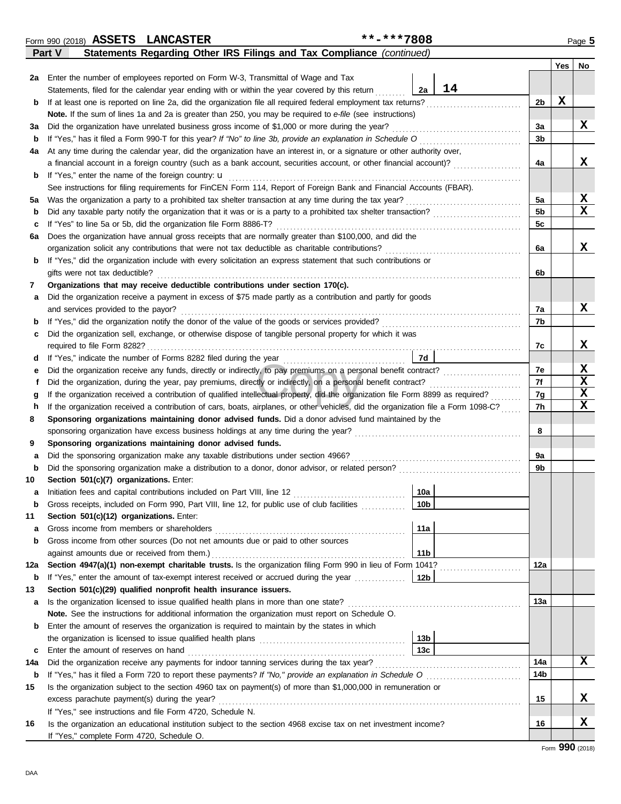|         | Statements Regarding Other IRS Filings and Tax Compliance (continued)<br><b>Part V</b>                                                                                                                        |                        |    |                      |     |    |
|---------|---------------------------------------------------------------------------------------------------------------------------------------------------------------------------------------------------------------|------------------------|----|----------------------|-----|----|
|         |                                                                                                                                                                                                               |                        |    |                      | Yes | No |
| 2a l    | Enter the number of employees reported on Form W-3, Transmittal of Wage and Tax                                                                                                                               |                        |    |                      |     |    |
|         | Statements, filed for the calendar year ending with or within the year covered by this return                                                                                                                 | 2a                     | 14 |                      |     |    |
| b       | If at least one is reported on line 2a, did the organization file all required federal employment tax returns?                                                                                                |                        |    | 2b                   | X   |    |
|         | Note. If the sum of lines 1a and 2a is greater than 250, you may be required to e-file (see instructions)                                                                                                     |                        |    |                      |     |    |
| за      | Did the organization have unrelated business gross income of \$1,000 or more during the year?                                                                                                                 |                        |    | 3a                   |     | X  |
| b       | If "Yes," has it filed a Form 990-T for this year? If "No" to line 3b, provide an explanation in Schedule O                                                                                                   |                        |    | 3b                   |     |    |
| 4a      | At any time during the calendar year, did the organization have an interest in, or a signature or other authority over,                                                                                       |                        |    |                      |     |    |
|         | a financial account in a foreign country (such as a bank account, securities account, or other financial account)?                                                                                            |                        |    | 4a                   |     | x  |
| b       | If "Yes," enter the name of the foreign country: $\mathbf u$                                                                                                                                                  |                        |    |                      |     |    |
|         | See instructions for filing requirements for FinCEN Form 114, Report of Foreign Bank and Financial Accounts (FBAR).                                                                                           |                        |    |                      |     | X  |
| 5а      | Was the organization a party to a prohibited tax shelter transaction at any time during the tax year?                                                                                                         |                        |    | 5a<br>5 <sub>b</sub> |     | x  |
| b       | If "Yes" to line 5a or 5b, did the organization file Form 8886-T?                                                                                                                                             |                        |    | 5c                   |     |    |
| c<br>6а | Does the organization have annual gross receipts that are normally greater than \$100,000, and did the                                                                                                        |                        |    |                      |     |    |
|         | organization solicit any contributions that were not tax deductible as charitable contributions?                                                                                                              |                        |    | 6a                   |     | X  |
| b       | If "Yes," did the organization include with every solicitation an express statement that such contributions or                                                                                                |                        |    |                      |     |    |
|         | gifts were not tax deductible?                                                                                                                                                                                |                        |    | 6b                   |     |    |
| 7       | Organizations that may receive deductible contributions under section 170(c).                                                                                                                                 |                        |    |                      |     |    |
| а       | Did the organization receive a payment in excess of \$75 made partly as a contribution and partly for goods                                                                                                   |                        |    |                      |     |    |
|         | and services provided to the payor?                                                                                                                                                                           |                        |    | 7а                   |     | х  |
| b       | If "Yes," did the organization notify the donor of the value of the goods or services provided?                                                                                                               |                        |    | 7b                   |     |    |
| с       | Did the organization sell, exchange, or otherwise dispose of tangible personal property for which it was                                                                                                      |                        |    |                      |     |    |
|         |                                                                                                                                                                                                               |                        |    | 7c                   |     | X  |
| d       | If "Yes," indicate the number of Forms 8282 filed during the year                                                                                                                                             | 7d                     |    |                      |     |    |
| е       | Did the organization receive any funds, directly or indirectly, to pay premiums on a personal benefit contract?                                                                                               |                        |    | 7e                   |     | X  |
| f       | Did the organization, during the year, pay premiums, directly or indirectly, on a personal benefit contract?                                                                                                  |                        |    | 7f                   |     | X  |
| g       | If the organization received a contribution of qualified intellectual property, did the organization file Form 8899 as required?                                                                              |                        |    | 7g                   |     | X  |
| h       | If the organization received a contribution of cars, boats, airplanes, or other vehicles, did the organization file a Form 1098-C?                                                                            |                        |    | 7h                   |     | X  |
| 8       | Sponsoring organizations maintaining donor advised funds. Did a donor advised fund maintained by the                                                                                                          |                        |    |                      |     |    |
|         | sponsoring organization have excess business holdings at any time during the year?                                                                                                                            |                        |    | 8                    |     |    |
| 9       | Sponsoring organizations maintaining donor advised funds.                                                                                                                                                     |                        |    |                      |     |    |
| а       | Did the sponsoring organization make any taxable distributions under section 4966?                                                                                                                            |                        |    | 9a                   |     |    |
| b       |                                                                                                                                                                                                               |                        |    | 9b                   |     |    |
| 10      | Section 501(c)(7) organizations. Enter:                                                                                                                                                                       |                        |    |                      |     |    |
| а       | Initiation fees and capital contributions included on Part VIII, line 12 [11] [11] [12] [11] [12] [11] [12] [1<br>Gross receipts, included on Form 990, Part VIII, line 12, for public use of club facilities | 10a<br>10 <sub>b</sub> |    |                      |     |    |
| 11      | Section 501(c)(12) organizations. Enter:                                                                                                                                                                      |                        |    |                      |     |    |
| а       | Gross income from members or shareholders                                                                                                                                                                     | 11a                    |    |                      |     |    |
| b       | Gross income from other sources (Do not net amounts due or paid to other sources                                                                                                                              |                        |    |                      |     |    |
|         | against amounts due or received from them.)                                                                                                                                                                   | 11 <sub>b</sub>        |    |                      |     |    |
| 12a     | Section 4947(a)(1) non-exempt charitable trusts. Is the organization filing Form 990 in lieu of Form 1041?                                                                                                    |                        |    | 12a                  |     |    |
| b       | If "Yes," enter the amount of tax-exempt interest received or accrued during the year <i>[[COSTERRY]</i>                                                                                                      | 12b                    |    |                      |     |    |
| 13      | Section 501(c)(29) qualified nonprofit health insurance issuers.                                                                                                                                              |                        |    |                      |     |    |
| a       | Is the organization licensed to issue qualified health plans in more than one state?                                                                                                                          |                        |    | 13а                  |     |    |
|         | Note. See the instructions for additional information the organization must report on Schedule O.                                                                                                             |                        |    |                      |     |    |
| b       | Enter the amount of reserves the organization is required to maintain by the states in which                                                                                                                  |                        |    |                      |     |    |
|         |                                                                                                                                                                                                               | 13 <sub>b</sub>        |    |                      |     |    |
| c       | Enter the amount of reserves on hand                                                                                                                                                                          | 13c                    |    |                      |     |    |
| 14a     | Did the organization receive any payments for indoor tanning services during the tax year?                                                                                                                    |                        |    | 14a                  |     | x  |
| b       |                                                                                                                                                                                                               |                        |    | 14b                  |     |    |
| 15      | Is the organization subject to the section 4960 tax on payment(s) of more than \$1,000,000 in remuneration or                                                                                                 |                        |    |                      |     |    |
|         | excess parachute payment(s) during the year?                                                                                                                                                                  |                        |    | 15                   |     | X  |
|         | If "Yes," see instructions and file Form 4720, Schedule N.                                                                                                                                                    |                        |    |                      |     |    |
| 16      | Is the organization an educational institution subject to the section 4968 excise tax on net investment income?                                                                                               |                        |    | 16                   |     | X  |
|         | If "Yes," complete Form 4720, Schedule O.                                                                                                                                                                     |                        |    |                      |     |    |

Form 990 (2018) Page **5 ASSETS LANCASTER \*\*-\*\*\*7808**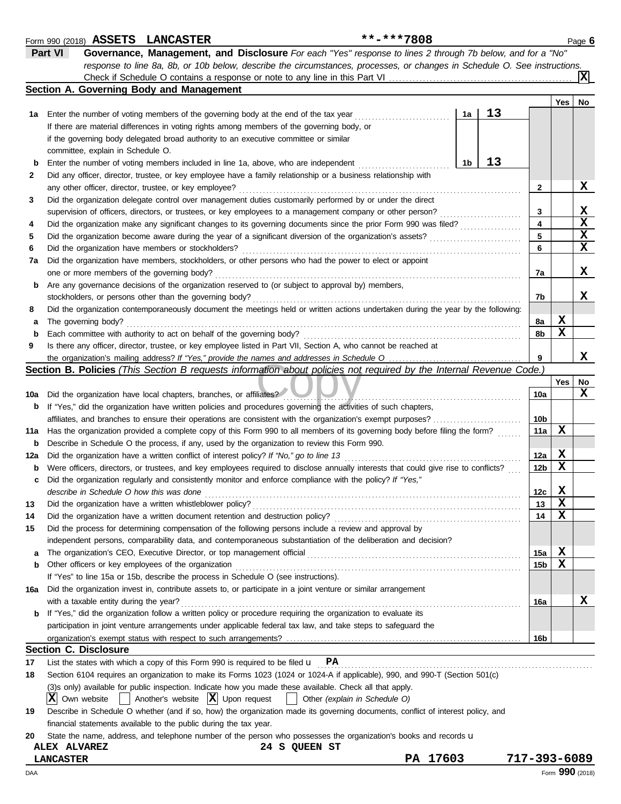|              | **-***7808<br>Form 990 (2018) ASSETS LANCASTER                                                                                                                                            |          |    |    |                 |     | Page 6      |
|--------------|-------------------------------------------------------------------------------------------------------------------------------------------------------------------------------------------|----------|----|----|-----------------|-----|-------------|
|              | Part VI<br>Governance, Management, and Disclosure For each "Yes" response to lines 2 through 7b below, and for a "No"                                                                     |          |    |    |                 |     |             |
|              | response to line 8a, 8b, or 10b below, describe the circumstances, processes, or changes in Schedule O. See instructions.                                                                 |          |    |    |                 |     |             |
|              |                                                                                                                                                                                           |          |    |    |                 |     | x           |
|              | Section A. Governing Body and Management                                                                                                                                                  |          |    |    |                 |     |             |
|              |                                                                                                                                                                                           |          |    |    |                 | Yes | No          |
| 1а           | Enter the number of voting members of the governing body at the end of the tax year                                                                                                       |          | 1a | 13 |                 |     |             |
|              | If there are material differences in voting rights among members of the governing body, or                                                                                                |          |    |    |                 |     |             |
|              | if the governing body delegated broad authority to an executive committee or similar                                                                                                      |          |    |    |                 |     |             |
|              | committee, explain in Schedule O.                                                                                                                                                         |          |    |    |                 |     |             |
| b            | Enter the number of voting members included in line 1a, above, who are independent                                                                                                        |          | 1b | 13 |                 |     |             |
| $\mathbf{2}$ | Did any officer, director, trustee, or key employee have a family relationship or a business relationship with                                                                            |          |    |    |                 |     |             |
|              | any other officer, director, trustee, or key employee?                                                                                                                                    |          |    |    | 2               |     | X           |
| 3            | Did the organization delegate control over management duties customarily performed by or under the direct                                                                                 |          |    |    |                 |     |             |
|              | supervision of officers, directors, or trustees, or key employees to a management company or other person?                                                                                |          |    |    | 3               |     | X           |
| 4            | Did the organization make any significant changes to its governing documents since the prior Form 990 was filed?                                                                          |          |    |    | 4               |     | $\mathbf x$ |
| 5            | Did the organization become aware during the year of a significant diversion of the organization's assets?                                                                                |          |    |    | 5               |     | X           |
| 6            | Did the organization have members or stockholders?                                                                                                                                        |          |    |    | 6               |     | X           |
| 7а           | Did the organization have members, stockholders, or other persons who had the power to elect or appoint                                                                                   |          |    |    |                 |     |             |
|              | one or more members of the governing body?                                                                                                                                                |          |    |    | 7a              |     | X           |
| b            | Are any governance decisions of the organization reserved to (or subject to approval by) members,                                                                                         |          |    |    |                 |     |             |
|              | stockholders, or persons other than the governing body?                                                                                                                                   |          |    |    | 7b              |     | x           |
| 8            | Did the organization contemporaneously document the meetings held or written actions undertaken during the year by the following:                                                         |          |    |    |                 |     |             |
|              | The governing body?                                                                                                                                                                       |          |    |    | 8a              | X   |             |
| а            |                                                                                                                                                                                           |          |    |    | 8b              | X   |             |
| $\mathbf b$  | Each committee with authority to act on behalf of the governing body?<br>Is there any officer, director, trustee, or key employee listed in Part VII, Section A, who cannot be reached at |          |    |    |                 |     |             |
| 9            |                                                                                                                                                                                           |          |    |    | 9               |     | X           |
|              | <b>Section B. Policies</b> (This Section B requests information about policies not required by the Internal Revenue Code.)                                                                |          |    |    |                 |     |             |
|              |                                                                                                                                                                                           |          |    |    |                 | Yes |             |
|              |                                                                                                                                                                                           |          |    |    | 10a             |     | No<br>х     |
| 10a          | Did the organization have local chapters, branches, or affiliates?                                                                                                                        |          |    |    |                 |     |             |
| b            | If "Yes," did the organization have written policies and procedures governing the activities of such chapters,                                                                            |          |    |    |                 |     |             |
|              | affiliates, and branches to ensure their operations are consistent with the organization's exempt purposes?                                                                               |          |    |    | 10b             | х   |             |
| 11a          | Has the organization provided a complete copy of this Form 990 to all members of its governing body before filing the form?                                                               |          |    |    | 11a             |     |             |
| b            | Describe in Schedule O the process, if any, used by the organization to review this Form 990.                                                                                             |          |    |    |                 |     |             |
| 12a          | Did the organization have a written conflict of interest policy? If "No," go to line 13                                                                                                   |          |    |    | 12a             | X   |             |
| b            | Were officers, directors, or trustees, and key employees required to disclose annually interests that could give rise to conflicts?                                                       |          |    |    | 12 <sub>b</sub> | X   |             |
| c            | Did the organization regularly and consistently monitor and enforce compliance with the policy? If "Yes,"                                                                                 |          |    |    |                 |     |             |
|              | describe in Schedule O how this was done                                                                                                                                                  |          |    |    | 12c             | X   |             |
| 13           | Did the organization have a written whistleblower policy?                                                                                                                                 |          |    |    | 13              | X   |             |
| 14           | Did the organization have a written document retention and destruction policy?                                                                                                            |          |    |    | 14              | х   |             |
| 15           | Did the process for determining compensation of the following persons include a review and approval by                                                                                    |          |    |    |                 |     |             |
|              | independent persons, comparability data, and contemporaneous substantiation of the deliberation and decision?                                                                             |          |    |    |                 |     |             |
| а            |                                                                                                                                                                                           |          |    |    | 15a             | X   |             |
| b            | Other officers or key employees of the organization                                                                                                                                       |          |    |    | 15 <sub>b</sub> | х   |             |
|              | If "Yes" to line 15a or 15b, describe the process in Schedule O (see instructions).                                                                                                       |          |    |    |                 |     |             |
| 16a          | Did the organization invest in, contribute assets to, or participate in a joint venture or similar arrangement                                                                            |          |    |    |                 |     |             |
|              | with a taxable entity during the year?                                                                                                                                                    |          |    |    | 16a             |     | х           |
|              | <b>b</b> If "Yes," did the organization follow a written policy or procedure requiring the organization to evaluate its                                                                   |          |    |    |                 |     |             |
|              | participation in joint venture arrangements under applicable federal tax law, and take steps to safeguard the                                                                             |          |    |    |                 |     |             |
|              |                                                                                                                                                                                           |          |    |    | 16b             |     |             |
|              | <b>Section C. Disclosure</b>                                                                                                                                                              |          |    |    |                 |     |             |
| 17           | List the states with which a copy of this Form 990 is required to be filed $\mathbf{u}$ PA                                                                                                |          |    |    |                 |     |             |
| 18           | Section 6104 requires an organization to make its Forms 1023 (1024 or 1024-A if applicable), 990, and 990-T (Section 501(c)                                                               |          |    |    |                 |     |             |
|              | (3)s only) available for public inspection. Indicate how you made these available. Check all that apply.                                                                                  |          |    |    |                 |     |             |
|              | $ \mathbf{X} $ Own website<br>Another's website $ \mathbf{X} $ Upon request<br>Other (explain in Schedule O)                                                                              |          |    |    |                 |     |             |
| 19           | Describe in Schedule O whether (and if so, how) the organization made its governing documents, conflict of interest policy, and                                                           |          |    |    |                 |     |             |
|              | financial statements available to the public during the tax year.                                                                                                                         |          |    |    |                 |     |             |
| 20           | State the name, address, and telephone number of the person who possesses the organization's books and records u                                                                          |          |    |    |                 |     |             |
|              | 24 S QUEEN ST<br><b>ALEX ALVAREZ</b>                                                                                                                                                      |          |    |    |                 |     |             |
|              | <b>LANCASTER</b>                                                                                                                                                                          | PA 17603 |    |    | 717-393-6089    |     |             |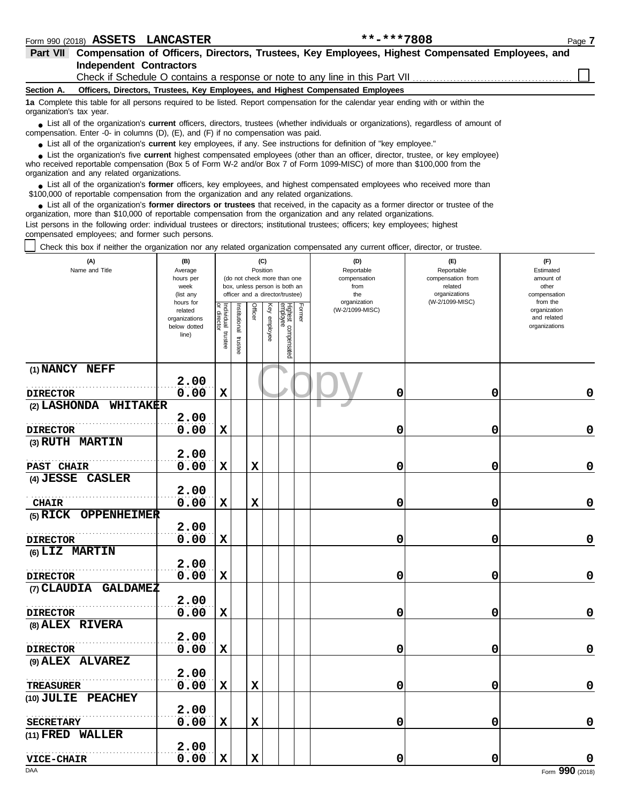| Part VII Compensation of Officers, Directors, Trustees, Key Employees, Highest Compensated Employees, and                                    |  |
|----------------------------------------------------------------------------------------------------------------------------------------------|--|
| Independent Contractors                                                                                                                      |  |
| $\bigcap$ and $\mathcal{F}\bigcap$ and in $\bigcap$ is a series of the series of the series of the series $\bigcap$ and $\mathcal{F}\bigcap$ |  |

Check if Schedule O contains a response or note to any line in this Part VII.

**Section A. Officers, Directors, Trustees, Key Employees, and Highest Compensated Employees**

**1a** Complete this table for all persons required to be listed. Report compensation for the calendar year ending with or within the organization's tax year.

■ List all of the organization's **current** officers, directors, trustees (whether individuals or organizations), regardless of amount of the companies of amount of compensation. Enter -0- in columns (D), (E), and (F) if no compensation was paid.

● List all of the organization's **current** key employees, if any. See instructions for definition of "key employee."

who received reportable compensation (Box 5 of Form W-2 and/or Box 7 of Form 1099-MISC) of more than \$100,000 from the organization and any related organizations. ■ List the organization's five **current** highest compensated employees (other than an officer, director, trustee, or key employee)<br> **•** Preceived reportable compensation (Box 5 of Form W.2 and/or Box 7 of Form 1000 MISC)

■ List all of the organization's **former** officers, key employees, and highest compensated employees who received more than<br> **•** 00,000 of reportable compensation from the ergonization and any related ergonizations \$100,000 of reportable compensation from the organization and any related organizations.

■ List all of the organization's **former directors or trustees** that received, in the capacity as a former director or trustee of the<br>paization, more than \$10,000 of reportable compensation from the organization and any r organization, more than \$10,000 of reportable compensation from the organization and any related organizations. List persons in the following order: individual trustees or directors; institutional trustees; officers; key employees; highest

compensated employees; and former such persons.

Check this box if neither the organization nor any related organization compensated any current officer, director, or trustee.

| (A)<br>Name and Title                | (B)<br>Average<br>hours per<br>week<br>(list any               |                                      |                         | Position    | (C)             | (do not check more than one<br>box, unless person is both an<br>officer and a director/trustee) |        | (D)<br>Reportable<br>compensation<br>from<br>the | (E)<br>Reportable<br>compensation from<br>related<br>organizations | (F)<br>Estimated<br>amount of<br>other<br>compensation<br>from the |
|--------------------------------------|----------------------------------------------------------------|--------------------------------------|-------------------------|-------------|-----------------|-------------------------------------------------------------------------------------------------|--------|--------------------------------------------------|--------------------------------------------------------------------|--------------------------------------------------------------------|
|                                      | hours for<br>related<br>organizations<br>below dotted<br>line) | Individual<br>or director<br>trustee | nstitutional<br>trustee | Officer     | Key<br>employee | Highest compensated<br>employee                                                                 | Former | organization<br>(W-2/1099-MISC)                  | (W-2/1099-MISC)                                                    | organization<br>and related<br>organizations                       |
| (1) NANCY NEFF                       | 2.00                                                           |                                      |                         |             |                 |                                                                                                 |        |                                                  |                                                                    |                                                                    |
| <b>DIRECTOR</b>                      | 0.00                                                           | $\mathbf x$                          |                         |             |                 |                                                                                                 |        | 0                                                | 0                                                                  | 0                                                                  |
| (2) LASHONDA WHITAKER                | 2.00                                                           |                                      |                         |             |                 |                                                                                                 |        |                                                  |                                                                    |                                                                    |
| <b>DIRECTOR</b>                      | 0.00                                                           | $\mathbf x$                          |                         |             |                 |                                                                                                 |        | 0                                                | 0                                                                  | $\mathbf 0$                                                        |
| (3) RUTH MARTIN                      |                                                                |                                      |                         |             |                 |                                                                                                 |        |                                                  |                                                                    |                                                                    |
|                                      | 2.00                                                           |                                      |                         |             |                 |                                                                                                 |        |                                                  |                                                                    |                                                                    |
| PAST CHAIR                           | 0.00                                                           | $\mathbf x$                          |                         | $\mathbf x$ |                 |                                                                                                 |        | 0                                                | 0                                                                  | $\mathbf 0$                                                        |
| (4) JESSE CASLER                     |                                                                |                                      |                         |             |                 |                                                                                                 |        |                                                  |                                                                    |                                                                    |
|                                      | 2.00                                                           |                                      |                         |             |                 |                                                                                                 |        |                                                  |                                                                    |                                                                    |
| <b>CHAIR</b>                         | 0.00                                                           | $\mathbf x$                          |                         | $\mathbf x$ |                 |                                                                                                 |        | 0                                                | 0                                                                  | 0                                                                  |
| (5) RICK OPPENHEIMER                 |                                                                |                                      |                         |             |                 |                                                                                                 |        |                                                  |                                                                    |                                                                    |
|                                      | 2.00                                                           |                                      |                         |             |                 |                                                                                                 |        |                                                  |                                                                    |                                                                    |
| <b>DIRECTOR</b>                      | 0.00                                                           | $\mathbf x$                          |                         |             |                 |                                                                                                 |        | 0                                                | 0                                                                  | 0                                                                  |
| (6) LIZ MARTIN                       | 2.00                                                           |                                      |                         |             |                 |                                                                                                 |        |                                                  |                                                                    |                                                                    |
| <b>DIRECTOR</b>                      | 0.00                                                           | $\mathbf x$                          |                         |             |                 |                                                                                                 |        | 0                                                | 0                                                                  | $\mathbf 0$                                                        |
| (7) CLAUDIA GALDAMEZ                 |                                                                |                                      |                         |             |                 |                                                                                                 |        |                                                  |                                                                    |                                                                    |
|                                      | 2.00                                                           |                                      |                         |             |                 |                                                                                                 |        |                                                  |                                                                    |                                                                    |
| <b>DIRECTOR</b>                      | 0.00                                                           | $\mathbf x$                          |                         |             |                 |                                                                                                 |        | 0                                                | 0                                                                  | $\pmb{0}$                                                          |
| (8) ALEX RIVERA                      |                                                                |                                      |                         |             |                 |                                                                                                 |        |                                                  |                                                                    |                                                                    |
|                                      | 2.00                                                           |                                      |                         |             |                 |                                                                                                 |        |                                                  |                                                                    |                                                                    |
| <b>DIRECTOR</b>                      | 0.00                                                           | $\mathbf x$                          |                         |             |                 |                                                                                                 |        | 0                                                | 0                                                                  | $\mathbf 0$                                                        |
| (9) ALEX ALVAREZ                     |                                                                |                                      |                         |             |                 |                                                                                                 |        |                                                  |                                                                    |                                                                    |
|                                      | 2.00                                                           |                                      |                         |             |                 |                                                                                                 |        |                                                  |                                                                    |                                                                    |
| <b>TREASURER</b>                     | 0.00                                                           | $\mathbf x$                          |                         | $\mathbf x$ |                 |                                                                                                 |        | 0                                                | 0                                                                  | $\pmb{0}$                                                          |
| (10) JULIE PEACHEY                   |                                                                |                                      |                         |             |                 |                                                                                                 |        |                                                  |                                                                    |                                                                    |
|                                      | 2.00<br>0.00                                                   | $\mathbf x$                          |                         | $\mathbf x$ |                 |                                                                                                 |        |                                                  |                                                                    |                                                                    |
| <b>SECRETARY</b><br>(11) FRED WALLER |                                                                |                                      |                         |             |                 |                                                                                                 |        | 0                                                | 0                                                                  | 0                                                                  |
|                                      | 2.00                                                           |                                      |                         |             |                 |                                                                                                 |        |                                                  |                                                                    |                                                                    |
| <b>VICE-CHAIR</b>                    | 0.00                                                           | $\mathbf x$                          |                         | $\mathbf x$ |                 |                                                                                                 |        | 0                                                | 0                                                                  | O                                                                  |
| DAA                                  |                                                                |                                      |                         |             |                 |                                                                                                 |        |                                                  |                                                                    | Form 990 (2018)                                                    |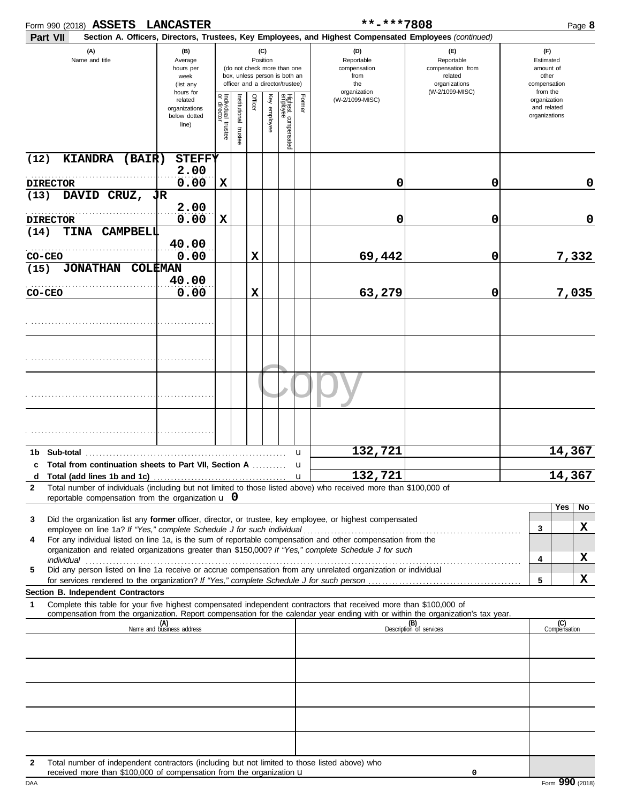|                |                 | Form 990 (2018) ASSETS                                   | <b>LANCASTER</b>                                              |                                      |                      |          |              |                                                                                                 |        | **-***7808                                                                                                                                                                                                                                                                                                                                                                                                                                         |                                                                                       |                                                                    | Page 8              |
|----------------|-----------------|----------------------------------------------------------|---------------------------------------------------------------|--------------------------------------|----------------------|----------|--------------|-------------------------------------------------------------------------------------------------|--------|----------------------------------------------------------------------------------------------------------------------------------------------------------------------------------------------------------------------------------------------------------------------------------------------------------------------------------------------------------------------------------------------------------------------------------------------------|---------------------------------------------------------------------------------------|--------------------------------------------------------------------|---------------------|
|                | Part VII        |                                                          |                                                               |                                      |                      |          |              |                                                                                                 |        | Section A. Officers, Directors, Trustees, Key Employees, and Highest Compensated Employees (continued)                                                                                                                                                                                                                                                                                                                                             |                                                                                       |                                                                    |                     |
|                |                 | (A)<br>Name and title                                    | (B)<br>Average<br>hours per<br>week<br>(list any<br>hours for |                                      |                      | Position | (C)          | (do not check more than one<br>box, unless person is both an<br>officer and a director/trustee) |        | (D)<br>Reportable<br>compensation<br>from<br>the<br>organization                                                                                                                                                                                                                                                                                                                                                                                   | (F)<br>Reportable<br>compensation from<br>related<br>organizations<br>(W-2/1099-MISC) | (F)<br>Estimated<br>amount of<br>other<br>compensation<br>from the |                     |
|                |                 |                                                          | related<br>organizations<br>below dotted<br>line)             | Individual<br>or director<br>trustee | nstitutional trustee | Officer  | Key employee | Highest compensated<br>employee                                                                 | Former | (W-2/1099-MISC)                                                                                                                                                                                                                                                                                                                                                                                                                                    |                                                                                       | organization<br>and related<br>organizations                       |                     |
| (12)           |                 | <b>KIANDRA</b><br>(BAIR)                                 | <b>STEFFY</b><br>2.00                                         |                                      |                      |          |              |                                                                                                 |        |                                                                                                                                                                                                                                                                                                                                                                                                                                                    |                                                                                       |                                                                    |                     |
|                | <b>DIRECTOR</b> |                                                          | 0.00                                                          | $\mathbf x$                          |                      |          |              |                                                                                                 |        | 0                                                                                                                                                                                                                                                                                                                                                                                                                                                  | 0                                                                                     |                                                                    | 0                   |
| (13)           |                 | DAVID CRUZ, JR                                           | 2.00                                                          |                                      |                      |          |              |                                                                                                 |        |                                                                                                                                                                                                                                                                                                                                                                                                                                                    |                                                                                       |                                                                    |                     |
|                | <b>DIRECTOR</b> |                                                          | 0.00                                                          | $\mathbf x$                          |                      |          |              |                                                                                                 |        | 0                                                                                                                                                                                                                                                                                                                                                                                                                                                  | 0                                                                                     |                                                                    | $\mathbf 0$         |
| (14)           | <b>TINA</b>     | <b>CAMPBELL</b>                                          |                                                               |                                      |                      |          |              |                                                                                                 |        |                                                                                                                                                                                                                                                                                                                                                                                                                                                    |                                                                                       |                                                                    |                     |
|                |                 |                                                          | 40.00                                                         |                                      |                      |          |              |                                                                                                 |        |                                                                                                                                                                                                                                                                                                                                                                                                                                                    |                                                                                       |                                                                    |                     |
| CO-CEO<br>(15) |                 | <b>JONATHAN</b>                                          | 0.00<br><b>COLEMAN</b>                                        |                                      |                      | X        |              |                                                                                                 |        | 69,442                                                                                                                                                                                                                                                                                                                                                                                                                                             | 0                                                                                     |                                                                    | 7,332               |
|                |                 |                                                          | 40.00                                                         |                                      |                      |          |              |                                                                                                 |        |                                                                                                                                                                                                                                                                                                                                                                                                                                                    |                                                                                       |                                                                    |                     |
| CO-CEO         |                 |                                                          | 0.00                                                          |                                      |                      | X        |              |                                                                                                 |        | 63,279                                                                                                                                                                                                                                                                                                                                                                                                                                             | 0                                                                                     |                                                                    | 7,035               |
|                |                 |                                                          |                                                               |                                      |                      |          |              |                                                                                                 |        |                                                                                                                                                                                                                                                                                                                                                                                                                                                    |                                                                                       |                                                                    |                     |
|                |                 |                                                          |                                                               |                                      |                      |          |              |                                                                                                 |        |                                                                                                                                                                                                                                                                                                                                                                                                                                                    |                                                                                       |                                                                    |                     |
|                |                 |                                                          |                                                               |                                      |                      |          |              |                                                                                                 |        |                                                                                                                                                                                                                                                                                                                                                                                                                                                    |                                                                                       |                                                                    |                     |
|                |                 |                                                          |                                                               |                                      |                      |          |              |                                                                                                 |        |                                                                                                                                                                                                                                                                                                                                                                                                                                                    |                                                                                       |                                                                    |                     |
|                |                 |                                                          |                                                               |                                      |                      |          |              |                                                                                                 |        |                                                                                                                                                                                                                                                                                                                                                                                                                                                    |                                                                                       |                                                                    |                     |
|                |                 |                                                          |                                                               |                                      |                      |          |              |                                                                                                 | u      | 132,721                                                                                                                                                                                                                                                                                                                                                                                                                                            |                                                                                       |                                                                    | 14,367              |
|                |                 | c Total from continuation sheets to Part VII, Section A  |                                                               |                                      |                      |          |              |                                                                                                 | u      |                                                                                                                                                                                                                                                                                                                                                                                                                                                    |                                                                                       |                                                                    | 14,367              |
| $\mathbf{2}$   |                 |                                                          |                                                               |                                      |                      |          |              |                                                                                                 |        | d Total (add lines 1b and 1c) $\ldots$ $\ldots$ $\ldots$ $\ldots$ $\ldots$ $\ldots$ $\ldots$ $\ldots$ $\ldots$ $\ldots$ $\ldots$ $\ldots$ $\ldots$ $\ldots$ $\ldots$ $\ldots$ $\ldots$ $\ldots$ $\ldots$ $\ldots$ $\ldots$ $\ldots$ $\ldots$ $\ldots$ $\ldots$ $\ldots$ $\ldots$ $\ldots$ $\ldots$ $\ldots$ $\ldots$ $\ldots$<br>Total number of individuals (including but not limited to those listed above) who received more than \$100,000 of |                                                                                       |                                                                    |                     |
|                |                 | reportable compensation from the organization $\bf{u}$ 0 |                                                               |                                      |                      |          |              |                                                                                                 |        |                                                                                                                                                                                                                                                                                                                                                                                                                                                    |                                                                                       |                                                                    | Yes<br>No           |
| 3              |                 |                                                          |                                                               |                                      |                      |          |              |                                                                                                 |        | Did the organization list any former officer, director, or trustee, key employee, or highest compensated                                                                                                                                                                                                                                                                                                                                           |                                                                                       |                                                                    |                     |
|                |                 |                                                          |                                                               |                                      |                      |          |              |                                                                                                 |        |                                                                                                                                                                                                                                                                                                                                                                                                                                                    |                                                                                       | 3                                                                  | X                   |
| 4              |                 |                                                          |                                                               |                                      |                      |          |              |                                                                                                 |        | For any individual listed on line 1a, is the sum of reportable compensation and other compensation from the<br>organization and related organizations greater than \$150,000? If "Yes," complete Schedule J for such                                                                                                                                                                                                                               |                                                                                       |                                                                    |                     |
|                |                 |                                                          |                                                               |                                      |                      |          |              |                                                                                                 |        | individual commutation and contact the contract of the contract of the contract of the contract of the contract of the contract of the contract of the contract of the contract of the contract of the contract of the contrac                                                                                                                                                                                                                     |                                                                                       | 4                                                                  | X                   |
| 5              |                 |                                                          |                                                               |                                      |                      |          |              |                                                                                                 |        | Did any person listed on line 1a receive or accrue compensation from any unrelated organization or individual                                                                                                                                                                                                                                                                                                                                      |                                                                                       | 5                                                                  | X                   |
|                |                 | Section B. Independent Contractors                       |                                                               |                                      |                      |          |              |                                                                                                 |        |                                                                                                                                                                                                                                                                                                                                                                                                                                                    |                                                                                       |                                                                    |                     |
| 1              |                 |                                                          |                                                               |                                      |                      |          |              |                                                                                                 |        | Complete this table for your five highest compensated independent contractors that received more than \$100,000 of<br>compensation from the organization. Report compensation for the calendar year ending with or within the organization's tax year.                                                                                                                                                                                             |                                                                                       |                                                                    |                     |
|                |                 |                                                          | (A)<br>Name and business address                              |                                      |                      |          |              |                                                                                                 |        |                                                                                                                                                                                                                                                                                                                                                                                                                                                    | (B)<br>Description of services                                                        |                                                                    | (C)<br>Compensation |
|                |                 |                                                          |                                                               |                                      |                      |          |              |                                                                                                 |        |                                                                                                                                                                                                                                                                                                                                                                                                                                                    |                                                                                       |                                                                    |                     |
|                |                 |                                                          |                                                               |                                      |                      |          |              |                                                                                                 |        |                                                                                                                                                                                                                                                                                                                                                                                                                                                    |                                                                                       |                                                                    |                     |
|                |                 |                                                          |                                                               |                                      |                      |          |              |                                                                                                 |        |                                                                                                                                                                                                                                                                                                                                                                                                                                                    |                                                                                       |                                                                    |                     |
|                |                 |                                                          |                                                               |                                      |                      |          |              |                                                                                                 |        |                                                                                                                                                                                                                                                                                                                                                                                                                                                    |                                                                                       |                                                                    |                     |
|                |                 |                                                          |                                                               |                                      |                      |          |              |                                                                                                 |        |                                                                                                                                                                                                                                                                                                                                                                                                                                                    |                                                                                       |                                                                    |                     |
|                |                 |                                                          |                                                               |                                      |                      |          |              |                                                                                                 |        |                                                                                                                                                                                                                                                                                                                                                                                                                                                    |                                                                                       |                                                                    |                     |
|                |                 |                                                          |                                                               |                                      |                      |          |              |                                                                                                 |        |                                                                                                                                                                                                                                                                                                                                                                                                                                                    |                                                                                       |                                                                    |                     |
|                |                 |                                                          |                                                               |                                      |                      |          |              |                                                                                                 |        |                                                                                                                                                                                                                                                                                                                                                                                                                                                    |                                                                                       |                                                                    |                     |

**2** Total number of independent contractors (including but not limited to those listed above) who received more than \$100,000 of compensation from the organization u

**0**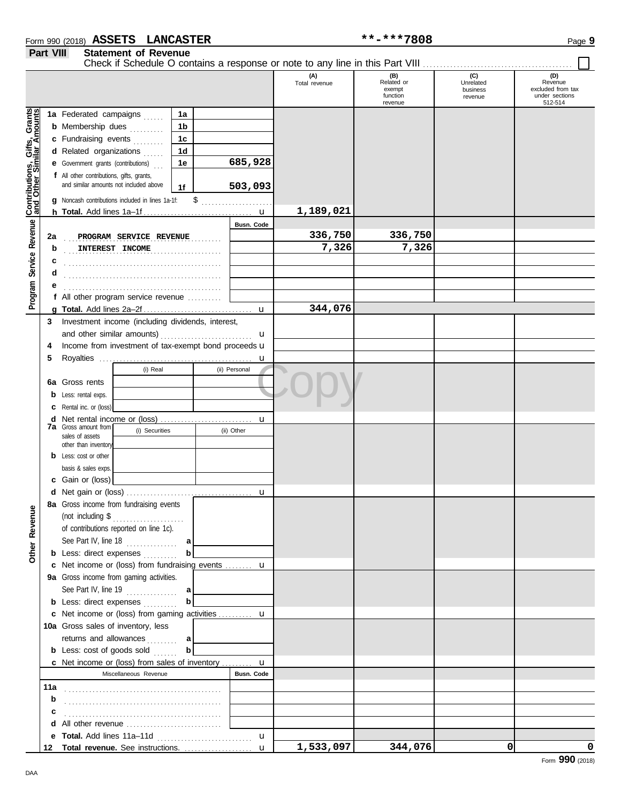### Form 990 (2018) Page **9 ASSETS LANCASTER \*\*-\*\*\*7808 Part VIII Statement of Revenue**

 $\Box$ 

|                                                     |         |                                                                                     |                   |               | (A)<br>Total revenue | (B)<br>Related or<br>exempt<br>function | (C)<br>Unrelated<br>business<br>revenue | (D)<br>Revenue<br>excluded from tax<br>under sections<br>512-514 |
|-----------------------------------------------------|---------|-------------------------------------------------------------------------------------|-------------------|---------------|----------------------|-----------------------------------------|-----------------------------------------|------------------------------------------------------------------|
|                                                     |         | 1a Federated campaigns                                                              | 1a                |               |                      | revenue                                 |                                         |                                                                  |
|                                                     |         | <b>b</b> Membership dues                                                            | 1b                |               |                      |                                         |                                         |                                                                  |
|                                                     |         |                                                                                     |                   |               |                      |                                         |                                         |                                                                  |
|                                                     |         | c Fundraising events                                                                | 1c                |               |                      |                                         |                                         |                                                                  |
|                                                     |         | d Related organizations                                                             | 1 <sub>d</sub>    |               |                      |                                         |                                         |                                                                  |
|                                                     |         | <b>e</b> Government grants (contributions)                                          | 1e                | 685,928       |                      |                                         |                                         |                                                                  |
|                                                     |         | f All other contributions, gifts, grants,<br>and similar amounts not included above |                   |               |                      |                                         |                                         |                                                                  |
|                                                     |         |                                                                                     | 1f                | 503,093       |                      |                                         |                                         |                                                                  |
|                                                     |         | g Noncash contributions included in lines 1a-1f:                                    | \$                |               |                      |                                         |                                         |                                                                  |
| Service Revenue <b>Contributions, Gifts, Grants</b> |         |                                                                                     |                   |               | 1,189,021            |                                         |                                         |                                                                  |
|                                                     |         |                                                                                     |                   | Busn. Code    | 336,750              | 336,750                                 |                                         |                                                                  |
|                                                     | 2a<br>b | PROGRAM SERVICE REVENUE                                                             |                   |               | 7,326                | 7,326                                   |                                         |                                                                  |
|                                                     |         | INTEREST INCOME                                                                     |                   |               |                      |                                         |                                         |                                                                  |
|                                                     | c<br>d  |                                                                                     |                   |               |                      |                                         |                                         |                                                                  |
|                                                     |         |                                                                                     |                   |               |                      |                                         |                                         |                                                                  |
|                                                     |         | f All other program service revenue                                                 |                   |               |                      |                                         |                                         |                                                                  |
| Program :                                           |         |                                                                                     |                   |               | 344,076              |                                         |                                         |                                                                  |
|                                                     | 3       | Investment income (including dividends, interest,                                   |                   |               |                      |                                         |                                         |                                                                  |
|                                                     |         | and other similar amounts)                                                          |                   | u             |                      |                                         |                                         |                                                                  |
|                                                     | 4       | Income from investment of tax-exempt bond proceeds u                                |                   |               |                      |                                         |                                         |                                                                  |
|                                                     | 5       |                                                                                     |                   | u             |                      |                                         |                                         |                                                                  |
|                                                     |         | (i) Real                                                                            |                   | (ii) Personal |                      |                                         |                                         |                                                                  |
|                                                     |         | 6a Gross rents                                                                      |                   |               |                      |                                         |                                         |                                                                  |
|                                                     | b       | Less: rental exps.                                                                  |                   |               |                      |                                         |                                         |                                                                  |
|                                                     |         | Rental inc. or (loss)                                                               |                   |               |                      |                                         |                                         |                                                                  |
|                                                     |         |                                                                                     |                   | u             |                      |                                         |                                         |                                                                  |
|                                                     |         | <b>7a</b> Gross amount from<br>(i) Securities<br>sales of assets                    |                   | (ii) Other    |                      |                                         |                                         |                                                                  |
|                                                     |         | other than inventory                                                                |                   |               |                      |                                         |                                         |                                                                  |
|                                                     |         | <b>b</b> Less: cost or other                                                        |                   |               |                      |                                         |                                         |                                                                  |
|                                                     |         | basis & sales exps.                                                                 |                   |               |                      |                                         |                                         |                                                                  |
|                                                     |         | c Gain or (loss)                                                                    |                   |               |                      |                                         |                                         |                                                                  |
|                                                     |         |                                                                                     |                   | u             |                      |                                         |                                         |                                                                  |
| g                                                   |         | 8a Gross income from fundraising events                                             |                   |               |                      |                                         |                                         |                                                                  |
|                                                     |         |                                                                                     |                   |               |                      |                                         |                                         |                                                                  |
| Other Reven                                         |         | of contributions reported on line 1c).                                              |                   |               |                      |                                         |                                         |                                                                  |
|                                                     |         | See Part IV, line 18 $\ldots$                                                       | a                 |               |                      |                                         |                                         |                                                                  |
|                                                     |         | <b>b</b> Less: direct expenses                                                      | $\mathbf b$       |               |                      |                                         |                                         |                                                                  |
|                                                     |         | c Net income or (loss) from fundraising events  u                                   |                   |               |                      |                                         |                                         |                                                                  |
|                                                     |         | 9a Gross income from gaming activities.                                             |                   |               |                      |                                         |                                         |                                                                  |
|                                                     |         | See Part IV, line $19$<br><b>b</b> Less: direct expenses                            | a <br>$\mathbf b$ |               |                      |                                         |                                         |                                                                  |
|                                                     |         | c Net income or (loss) from gaming activities  u                                    |                   |               |                      |                                         |                                         |                                                                  |
|                                                     |         | 10a Gross sales of inventory, less                                                  |                   |               |                      |                                         |                                         |                                                                  |
|                                                     |         | returns and allowances                                                              | a                 |               |                      |                                         |                                         |                                                                  |
|                                                     |         | <b>b</b> Less: cost of goods sold                                                   | $\mathbf b$       |               |                      |                                         |                                         |                                                                  |
|                                                     |         | c Net income or (loss) from sales of inventory  u                                   |                   |               |                      |                                         |                                         |                                                                  |
|                                                     |         | Miscellaneous Revenue                                                               |                   | Busn. Code    |                      |                                         |                                         |                                                                  |
|                                                     | 11a     |                                                                                     |                   |               |                      |                                         |                                         |                                                                  |
|                                                     | b       |                                                                                     |                   |               |                      |                                         |                                         |                                                                  |
|                                                     |         |                                                                                     |                   |               |                      |                                         |                                         |                                                                  |
|                                                     |         |                                                                                     |                   |               |                      |                                         |                                         |                                                                  |
|                                                     |         |                                                                                     |                   | $\mathbf{u}$  |                      |                                         |                                         |                                                                  |
|                                                     | 12      |                                                                                     |                   |               | 1,533,097            | 344,076                                 | 0                                       | 0                                                                |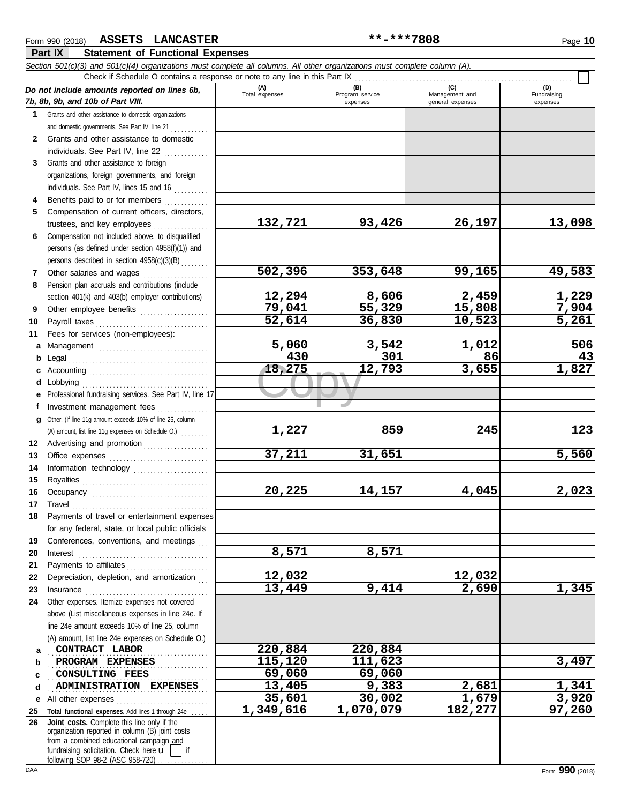#### Copy **18,275 12,793 3,655 1,827 Part IX Statement of Functional Expenses** *Section 501(c)(3) and 501(c)(4) organizations must complete all columns. All other organizations must complete column (A). Do not include amounts reported on lines 6b, 7b, 8b, 9b, and 10b of Part VIII.* **1 2 3** Grants and other assistance to foreign **4 5 6 7 8 9 10 11 a** Management ................................. **b** Legal . . . . . . . . . . . . . . . . . . . . . . . . . . . . . . . . . . . . . . . . . **c** Accounting . . . . . . . . . . . . . . . . . . . . . . . . . . . . . . . . . . . **d** Lobbying . . . . . . . . . . . . . . . . . . . . . . . . . . . . . . . . . . . . . **e** Professional fundraising services. See Part IV, line 17 **f g** Other. (If line 11g amount exceeds 10% of line 25, column **12** Advertising and promotion . . . . . . . . . . . . . . . . . **13 14 15 16 17 18 19 20 21 22** Depreciation, depletion, and amortization . . . **23 24 a b c d e** All other expenses . . . . . . . . . . . . . . . . . . . . . . . . . . . **25 Total functional expenses.** Add lines 1 through 24e . . . . . **26** Grants and other assistance to domestic organizations and domestic governments. See Part IV, line 21 . . . . . . . . . . Grants and other assistance to domestic individuals. See Part IV, line 22 . . . . . . . . . . . . . organizations, foreign governments, and foreign individuals. See Part IV, lines 15 and 16 Benefits paid to or for members ............. Compensation of current officers, directors, trustees, and key employees . . . . . . . . . . . . . . . . Compensation not included above, to disqualified persons (as defined under section 4958(f)(1)) and persons described in section 4958(c)(3)(B) . . . . . . . . Other salaries and wages ................... Pension plan accruals and contributions (include section 401(k) and 403(b) employer contributions) Other employee benefits .................... Payroll taxes . . . . . . . . . . . . . . . . . . . . . . . . . . . . . . . . . Fees for services (non-employees): Investment management fees ................ Office expenses ................................ Information technology ...................... Royalties . . . . . . . . . . . . . . . . . . . . . . . . . . . . . . . . . . . . . Occupancy . . . . . . . . . . . . . . . . . . . . . . . . . . . . . . . . . . Travel . . . . . . . . . . . . . . . . . . . . . . . . . . . . . . . . . . . . . . . . Payments of travel or entertainment expenses for any federal, state, or local public officials Conferences, conventions, and meetings Interest . . . . . . . . . . . . . . . . . . . . . . . . . . . . . . . . . . . . . . Payments to affiliates . . . . . . . . . . . . . . . . . . . . . . . . Insurance . . . . . . . . . . . . . . . . . . . . . . . . . . . . . . . . . . . . Other expenses. Itemize expenses not covered above (List miscellaneous expenses in line 24e. If line 24e amount exceeds 10% of line 25, column (A) amount, list line 24e expenses on Schedule O.) fundraising solicitation. Check here  $\mathbf{u}$  | if organization reported in column (B) joint costs from a combined educational campaign and following SOP 98-2 (ASC 958-720) **(A) (B) (C) (D)** Total expenses Program service Management and expenses and general expenses (D)<br>Fundraising expenses **CONTRACT LABOR 220,884 220,884 PROGRAM EXPENSES** 3,497 . . . . . . . . . . . . . . . . . . . . . . . . . . . . . . . . . . . . . . . . . . . . . . . . . . . . . . . . . . . . . . . . . . . . . . . . . . . . . . . . . . . . . . . . . . . . . . **ADMINISTRATION EXPENSES 13,405 9,383 2,681 1,341** Check if Schedule O contains a response or note to any line in this Part IX **Joint costs.** Complete this line only if the (A) amount, list line 11g expenses on Schedule O.) ....... **132,721 93,426 26,197 13,098 502,396 353,648 99,165 49,583 12,294 8,606 2,459 1,229 79,041 55,329 15,808 7,904 52,614 36,830 10,523 5,261 5,060 3,542 1,012 506 430 301 86 43 1,227 859 245 123 37,211 31,651 5,560 20,225 14,157 4,045 2,023 8,571 8,571 12,032 12,032 13,449 9,414 2,690 1,345 CONSULTING FEES** 69,060 69,060<br> **ADMINISTRATION EXPENSES** 13,405 9,383 **35,601 30,002 1,679 3,920 1,349,616 1,070,079 182,277 97,260**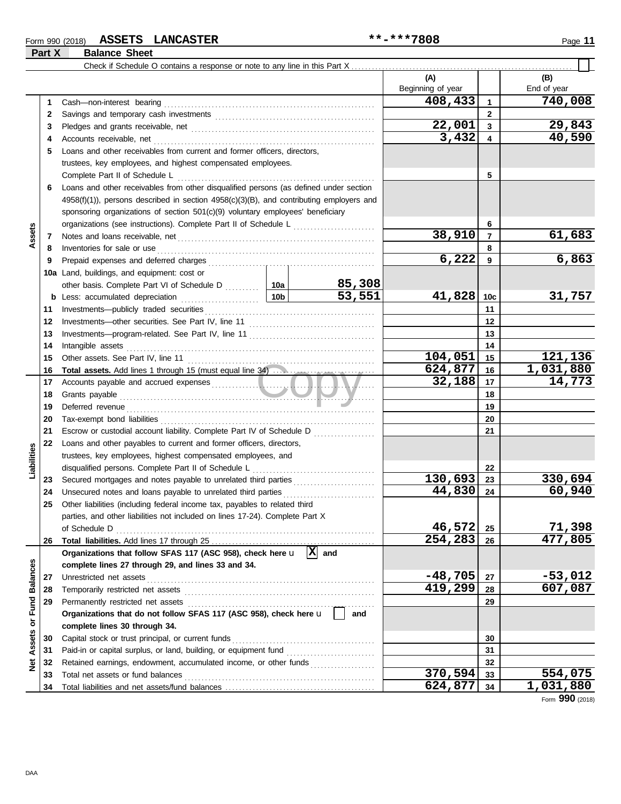### Form 990 (2018) Page **11 ASSETS LANCASTER \*\*-\*\*\*7808**

**Part X Balance Sheet**

|                 |          | Check if Schedule O contains a response or note to any line in this Part X                                                                                                                                                           |        |                   |                |                      |
|-----------------|----------|--------------------------------------------------------------------------------------------------------------------------------------------------------------------------------------------------------------------------------------|--------|-------------------|----------------|----------------------|
|                 |          |                                                                                                                                                                                                                                      |        | (A)               |                | (B)                  |
|                 |          |                                                                                                                                                                                                                                      |        | Beginning of year |                | End of year          |
|                 | 1        |                                                                                                                                                                                                                                      |        | 408,433           | $\mathbf{1}$   | 740,008              |
|                 | 2        |                                                                                                                                                                                                                                      |        |                   | $\mathbf{2}$   |                      |
|                 | 3        |                                                                                                                                                                                                                                      |        | 22,001            | 3              | 29,843               |
|                 | 4        |                                                                                                                                                                                                                                      |        | 3,432             | 4              | 40,590               |
|                 | 5        | Loans and other receivables from current and former officers, directors,                                                                                                                                                             |        |                   |                |                      |
|                 |          | trustees, key employees, and highest compensated employees.                                                                                                                                                                          |        |                   |                |                      |
|                 |          | Complete Part II of Schedule L                                                                                                                                                                                                       |        |                   | 5              |                      |
|                 | 6        | Loans and other receivables from other disqualified persons (as defined under section                                                                                                                                                |        |                   |                |                      |
|                 |          | 4958(f)(1)), persons described in section 4958(c)(3)(B), and contributing employers and                                                                                                                                              |        |                   |                |                      |
|                 |          | sponsoring organizations of section 501(c)(9) voluntary employees' beneficiary                                                                                                                                                       |        |                   |                |                      |
|                 |          | organizations (see instructions). Complete Part II of Schedule L [1111] [11]                                                                                                                                                         |        |                   | 6              |                      |
| Assets          | 7        |                                                                                                                                                                                                                                      |        | 38,910            | $\overline{7}$ | 61,683               |
|                 | 8        | Inventories for sale or use <i>construction</i> and the state of the state or use of the state or the state of the state or the state or the state or the state or the state of the state of the state or the state or the state or  |        |                   | 8              |                      |
|                 | 9        |                                                                                                                                                                                                                                      |        | 6,222             | 9              | 6,863                |
|                 |          | <b>10a</b> Land, buildings, and equipment: cost or                                                                                                                                                                                   |        |                   |                |                      |
|                 |          | other basis. Complete Part VI of Schedule D  10a                                                                                                                                                                                     | 85,308 |                   |                |                      |
|                 |          |                                                                                                                                                                                                                                      | 53,551 | 41,828            | 10c            | 31,757               |
|                 | 11       |                                                                                                                                                                                                                                      |        |                   | 11             |                      |
|                 | 12       |                                                                                                                                                                                                                                      |        |                   | 12             |                      |
|                 | 13       |                                                                                                                                                                                                                                      |        |                   | 13             |                      |
|                 | 14       | Intangible assets with a state of the contract of the state of the state of the state of the state of the state of the state of the state of the state of the state of the state of the state of the state of the state of the       |        | 14                |                |                      |
|                 | 15       |                                                                                                                                                                                                                                      |        | 104,051           | 15             | 121,136              |
|                 | 16       | Total assets. Add lines 1 through 15 (must equal line 34)                                                                                                                                                                            |        | 624,877<br>32,188 | 16             | 1,031,880            |
|                 | 17       |                                                                                                                                                                                                                                      |        |                   | 17             | $\overline{1}$ 4,773 |
|                 | 18       | Grants payable <i>communication</i> and contain the contract of the contract of the contract of the contract of the contract of the contract of the contract of the contract of the contract of the contract of the contract of the  |        |                   | 18             |                      |
|                 | 19       | Deferred revenue <b>contract and the contract of the contract of the contract of the contract of the contract of the contract of the contract of the contract of the contract of the contract of the contract of the contract of</b> |        |                   | 19<br>20       |                      |
|                 | 20<br>21 | Escrow or custodial account liability. Complete Part IV of Schedule D                                                                                                                                                                |        |                   | 21             |                      |
|                 | 22       | Loans and other payables to current and former officers, directors,                                                                                                                                                                  |        |                   |                |                      |
| Liabilities     |          | trustees, key employees, highest compensated employees, and                                                                                                                                                                          |        |                   |                |                      |
|                 |          | disqualified persons. Complete Part II of Schedule L                                                                                                                                                                                 |        |                   | 22             |                      |
|                 | 23       |                                                                                                                                                                                                                                      |        | 130,693           | 23             | 330,694              |
|                 | 24       | Unsecured notes and loans payable to unrelated third parties                                                                                                                                                                         |        | 44,830            | 24             | 60,940               |
|                 | 25       | Other liabilities (including federal income tax, payables to related third                                                                                                                                                           |        |                   |                |                      |
|                 |          | parties, and other liabilities not included on lines 17-24). Complete Part X                                                                                                                                                         |        |                   |                |                      |
|                 |          | of Schedule D                                                                                                                                                                                                                        |        | 46,572            | 25             | 71,398               |
|                 | 26       |                                                                                                                                                                                                                                      |        | 254,283           | 26             | 477,805              |
|                 |          | Organizations that follow SFAS 117 (ASC 958), check here $\mathbf{u}$ $\overline{X}$ and                                                                                                                                             |        |                   |                |                      |
|                 |          | complete lines 27 through 29, and lines 33 and 34.                                                                                                                                                                                   |        |                   |                |                      |
| <b>Balances</b> | 27       | Unrestricted net assets                                                                                                                                                                                                              |        | $-48,705$         | 27             | $-53,012$            |
|                 | 28       |                                                                                                                                                                                                                                      |        | 419,299           | 28             | 607,087              |
| Fund            | 29       | Permanently restricted net assets                                                                                                                                                                                                    |        |                   | 29             |                      |
|                 |          | Organizations that do not follow SFAS 117 (ASC 958), check here u                                                                                                                                                                    | and    |                   |                |                      |
| ŏ               |          | complete lines 30 through 34.                                                                                                                                                                                                        |        |                   |                |                      |
| Assets          | 30       | Capital stock or trust principal, or current funds                                                                                                                                                                                   |        |                   | 30             |                      |
|                 | 31       | Paid-in or capital surplus, or land, building, or equipment fund                                                                                                                                                                     |        |                   | 31             |                      |
| ğ               | 32       | Retained earnings, endowment, accumulated income, or other funds                                                                                                                                                                     |        |                   | 32             |                      |
|                 | 33       | Total net assets or fund balances                                                                                                                                                                                                    |        | 370,594           | 33             | 554,075              |
|                 | 34       |                                                                                                                                                                                                                                      |        | 624,877           | 34             | 1,031,880            |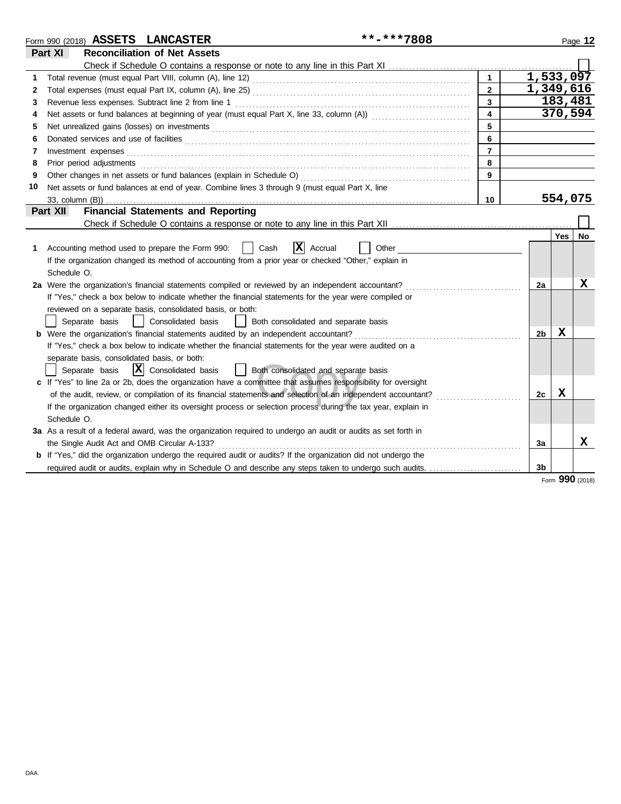|    | **-***7808<br>Form 990 (2018) ASSETS LANCASTER                                                                         |                         |    |           | Page 12 |
|----|------------------------------------------------------------------------------------------------------------------------|-------------------------|----|-----------|---------|
|    | <b>Reconciliation of Net Assets</b><br>Part XI                                                                         |                         |    |           |         |
|    |                                                                                                                        |                         |    |           |         |
| 1  |                                                                                                                        | $\blacktriangleleft$    |    | 1,533,097 |         |
| 2  |                                                                                                                        | $\overline{2}$          |    | 1,349,616 |         |
| 3  |                                                                                                                        | 3                       |    | 183,481   |         |
| 4  | Net assets or fund balances at beginning of year (must equal Part X, line 33, column (A)) [[[[[[[[[[[[[[[[[[[          | $\overline{\mathbf{4}}$ |    | 370,594   |         |
| 5  |                                                                                                                        | 5                       |    |           |         |
| 6  |                                                                                                                        | 6                       |    |           |         |
| 7  | Investment expenses                                                                                                    | $\overline{7}$          |    |           |         |
| 8  | Prior period adjustments <b>construction and construction of the construction</b> and construction of the construction | 8                       |    |           |         |
| 9  | Other changes in net assets or fund balances (explain in Schedule O)                                                   | 9                       |    |           |         |
| 10 | Net assets or fund balances at end of year. Combine lines 3 through 9 (must equal Part X, line                         |                         |    |           |         |
|    | 33, column (B))                                                                                                        | 10                      |    | 554,075   |         |
|    | <b>Financial Statements and Reporting</b><br>Part XII                                                                  |                         |    |           |         |
|    |                                                                                                                        |                         |    |           |         |
|    |                                                                                                                        |                         |    | Yes       | No      |
|    | $\overline{\mathbf{x}}$<br>Accounting method used to prepare the Form 990:<br>Cash<br>Accrual<br>Other                 |                         |    |           |         |
|    | If the organization changed its method of accounting from a prior year or checked "Other," explain in                  |                         |    |           |         |
|    | Schedule O.                                                                                                            |                         |    |           |         |
|    | 2a Were the organization's financial statements compiled or reviewed by an independent accountant?                     |                         | 2a |           | X       |
|    | If "Yes," check a box below to indicate whether the financial statements for the year were compiled or                 |                         |    |           |         |
|    | reviewed on a separate basis, consolidated basis, or both:                                                             |                         |    |           |         |
|    | Consolidated basis<br>Separate basis<br>Both consolidated and separate basis<br>$\perp$                                |                         |    |           |         |
|    | <b>b</b> Were the organization's financial statements audited by an independent accountant?                            |                         | 2b | X         |         |
|    | If "Yes," check a box below to indicate whether the financial statements for the year were audited on a                |                         |    |           |         |
|    | separate basis, consolidated basis, or both:                                                                           |                         |    |           |         |
|    | $ \mathbf{\overline{X}} $ Consolidated basis<br>Separate basis<br>  Both consolidated and separate basis               |                         |    |           |         |
|    | c If "Yes" to line 2a or 2b, does the organization have a committee that assumes responsibility for oversight          |                         |    |           |         |
|    | of the audit, review, or compilation of its financial statements and selection of an independent accountant?           |                         | 2c | X         |         |
|    | If the organization changed either its oversight process or selection process during the tax year, explain in          |                         |    |           |         |
|    | Schedule O.                                                                                                            |                         |    |           |         |
|    | 3a As a result of a federal award, was the organization required to undergo an audit or audits as set forth in         |                         |    |           |         |
|    | the Single Audit Act and OMB Circular A-133?                                                                           |                         | За |           | x       |
|    | <b>b</b> If "Yes," did the organization undergo the required audit or audits? If the organization did not undergo the  |                         |    |           |         |
|    | required audit or audits, explain why in Schedule O and describe any steps taken to undergo such audits.               |                         | 3b |           |         |

Form **990** (2018)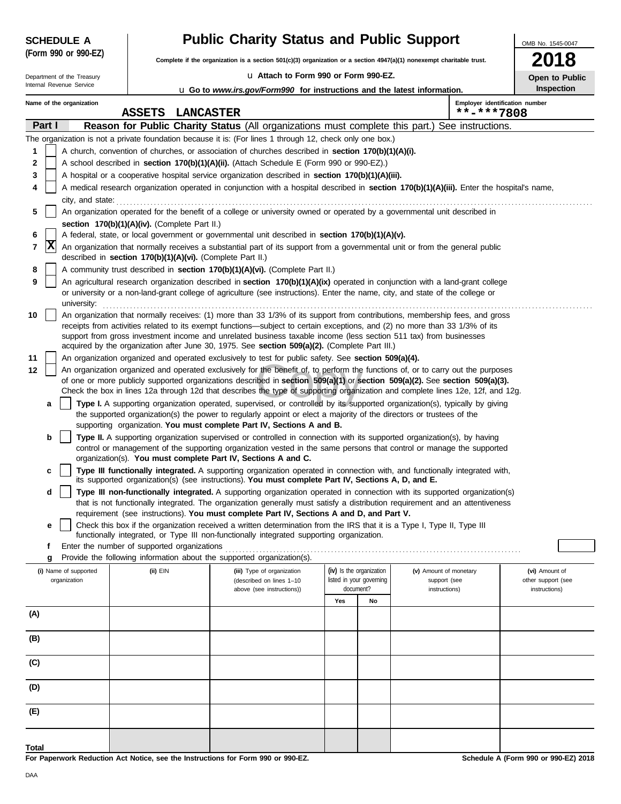| <b>SCHEDULE A</b> |                      |
|-------------------|----------------------|
|                   | (Form 990 or 990-EZ) |

Department of the Treasury<br>Internal Revenue Service

# **Public Charity Status and Public Support**

**Complete if the organization is a section 501(c)(3) organization or a section 4947(a)(1) nonexempt charitable trust.**

u **Attach to Form 990 or Form 990-EZ.**

| M.<br>v | M.<br>۰, |
|---------|----------|
|         |          |

OMB No. 1545-0047

**Open to Public Inspection**

| Internal Revenue Service<br>u Go to www.irs.gov/Form990 for instructions and the latest information. |                          |                                                            |                                                                                                                                                                                                                                                                                                                                                                                                                                                                                  |                                                                                |           |                               |                                              | Inspection                          |
|------------------------------------------------------------------------------------------------------|--------------------------|------------------------------------------------------------|----------------------------------------------------------------------------------------------------------------------------------------------------------------------------------------------------------------------------------------------------------------------------------------------------------------------------------------------------------------------------------------------------------------------------------------------------------------------------------|--------------------------------------------------------------------------------|-----------|-------------------------------|----------------------------------------------|-------------------------------------|
|                                                                                                      | Name of the organization | <b>ASSETS</b><br><b>LANCASTER</b>                          |                                                                                                                                                                                                                                                                                                                                                                                                                                                                                  |                                                                                |           |                               | Employer identification number<br>**-***7808 |                                     |
| Part I                                                                                               |                          |                                                            | Reason for Public Charity Status (All organizations must complete this part.) See instructions.                                                                                                                                                                                                                                                                                                                                                                                  |                                                                                |           |                               |                                              |                                     |
|                                                                                                      |                          |                                                            | The organization is not a private foundation because it is: (For lines 1 through 12, check only one box.)                                                                                                                                                                                                                                                                                                                                                                        |                                                                                |           |                               |                                              |                                     |
| 1                                                                                                    |                          |                                                            | A church, convention of churches, or association of churches described in section 170(b)(1)(A)(i).                                                                                                                                                                                                                                                                                                                                                                               |                                                                                |           |                               |                                              |                                     |
| 2                                                                                                    |                          |                                                            | A school described in section 170(b)(1)(A)(ii). (Attach Schedule E (Form 990 or 990-EZ).)                                                                                                                                                                                                                                                                                                                                                                                        |                                                                                |           |                               |                                              |                                     |
| 3                                                                                                    |                          |                                                            | A hospital or a cooperative hospital service organization described in section 170(b)(1)(A)(iii).                                                                                                                                                                                                                                                                                                                                                                                |                                                                                |           |                               |                                              |                                     |
|                                                                                                      |                          |                                                            | A medical research organization operated in conjunction with a hospital described in section 170(b)(1)(A)(iii). Enter the hospital's name,                                                                                                                                                                                                                                                                                                                                       |                                                                                |           |                               |                                              |                                     |
| 5                                                                                                    | city, and state:         |                                                            | An organization operated for the benefit of a college or university owned or operated by a governmental unit described in                                                                                                                                                                                                                                                                                                                                                        |                                                                                |           |                               |                                              |                                     |
|                                                                                                      |                          | section 170(b)(1)(A)(iv). (Complete Part II.)              |                                                                                                                                                                                                                                                                                                                                                                                                                                                                                  |                                                                                |           |                               |                                              |                                     |
| 6                                                                                                    |                          |                                                            | A federal, state, or local government or governmental unit described in section 170(b)(1)(A)(v).                                                                                                                                                                                                                                                                                                                                                                                 |                                                                                |           |                               |                                              |                                     |
| X<br>7                                                                                               |                          | described in section 170(b)(1)(A)(vi). (Complete Part II.) | An organization that normally receives a substantial part of its support from a governmental unit or from the general public                                                                                                                                                                                                                                                                                                                                                     |                                                                                |           |                               |                                              |                                     |
| 8                                                                                                    |                          |                                                            | A community trust described in section 170(b)(1)(A)(vi). (Complete Part II.)                                                                                                                                                                                                                                                                                                                                                                                                     |                                                                                |           |                               |                                              |                                     |
| 9                                                                                                    | university:              |                                                            | An agricultural research organization described in section 170(b)(1)(A)(ix) operated in conjunction with a land-grant college<br>or university or a non-land-grant college of agriculture (see instructions). Enter the name, city, and state of the college or                                                                                                                                                                                                                  |                                                                                |           |                               |                                              |                                     |
| 10                                                                                                   |                          |                                                            | An organization that normally receives: (1) more than 33 1/3% of its support from contributions, membership fees, and gross<br>receipts from activities related to its exempt functions—subject to certain exceptions, and (2) no more than 33 1/3% of its<br>support from gross investment income and unrelated business taxable income (less section 511 tax) from businesses<br>acquired by the organization after June 30, 1975. See section 509(a)(2). (Complete Part III.) |                                                                                |           |                               |                                              |                                     |
| 11                                                                                                   |                          |                                                            | An organization organized and operated exclusively to test for public safety. See section 509(a)(4).                                                                                                                                                                                                                                                                                                                                                                             |                                                                                |           |                               |                                              |                                     |
| 12                                                                                                   |                          |                                                            | An organization organized and operated exclusively for the benefit of, to perform the functions of, or to carry out the purposes<br>of one or more publicly supported organizations described in section 509(a)(1) or section 509(a)(2). See section 509(a)(3).                                                                                                                                                                                                                  |                                                                                |           |                               |                                              |                                     |
| a                                                                                                    |                          |                                                            | Check the box in lines 12a through 12d that describes the type of supporting organization and complete lines 12e, 12f, and 12g.<br>Type I. A supporting organization operated, supervised, or controlled by its supported organization(s), typically by giving                                                                                                                                                                                                                   |                                                                                |           |                               |                                              |                                     |
|                                                                                                      |                          |                                                            | the supported organization(s) the power to regularly appoint or elect a majority of the directors or trustees of the<br>supporting organization. You must complete Part IV, Sections A and B.                                                                                                                                                                                                                                                                                    |                                                                                |           |                               |                                              |                                     |
| b                                                                                                    |                          |                                                            | Type II. A supporting organization supervised or controlled in connection with its supported organization(s), by having                                                                                                                                                                                                                                                                                                                                                          |                                                                                |           |                               |                                              |                                     |
|                                                                                                      |                          |                                                            | control or management of the supporting organization vested in the same persons that control or manage the supported<br>organization(s). You must complete Part IV, Sections A and C.                                                                                                                                                                                                                                                                                            |                                                                                |           |                               |                                              |                                     |
| c                                                                                                    |                          |                                                            | Type III functionally integrated. A supporting organization operated in connection with, and functionally integrated with,<br>its supported organization(s) (see instructions). You must complete Part IV, Sections A, D, and E.                                                                                                                                                                                                                                                 |                                                                                |           |                               |                                              |                                     |
| d                                                                                                    |                          |                                                            | Type III non-functionally integrated. A supporting organization operated in connection with its supported organization(s)                                                                                                                                                                                                                                                                                                                                                        |                                                                                |           |                               |                                              |                                     |
|                                                                                                      |                          |                                                            | that is not functionally integrated. The organization generally must satisfy a distribution requirement and an attentiveness<br>requirement (see instructions). You must complete Part IV, Sections A and D, and Part V.                                                                                                                                                                                                                                                         |                                                                                |           |                               |                                              |                                     |
| е                                                                                                    |                          |                                                            | Check this box if the organization received a written determination from the IRS that it is a Type I, Type II, Type III                                                                                                                                                                                                                                                                                                                                                          |                                                                                |           |                               |                                              |                                     |
|                                                                                                      |                          |                                                            | functionally integrated, or Type III non-functionally integrated supporting organization.                                                                                                                                                                                                                                                                                                                                                                                        |                                                                                |           |                               |                                              |                                     |
| f                                                                                                    |                          | Enter the number of supported organizations                |                                                                                                                                                                                                                                                                                                                                                                                                                                                                                  |                                                                                |           |                               |                                              |                                     |
| g                                                                                                    |                          |                                                            | Provide the following information about the supported organization(s).                                                                                                                                                                                                                                                                                                                                                                                                           |                                                                                |           |                               |                                              |                                     |
|                                                                                                      | (i) Name of supported    | (ii) EIN                                                   | (iii) Type of organization                                                                                                                                                                                                                                                                                                                                                                                                                                                       | (iv) Is the organization<br>(v) Amount of monetary<br>listed in your governing |           |                               |                                              | (vi) Amount of                      |
| organization                                                                                         |                          |                                                            | (described on lines 1-10<br>above (see instructions))                                                                                                                                                                                                                                                                                                                                                                                                                            |                                                                                | document? | support (see<br>instructions) |                                              | other support (see<br>instructions) |
|                                                                                                      |                          |                                                            |                                                                                                                                                                                                                                                                                                                                                                                                                                                                                  | Yes                                                                            | No        |                               |                                              |                                     |
| (A)                                                                                                  |                          |                                                            |                                                                                                                                                                                                                                                                                                                                                                                                                                                                                  |                                                                                |           |                               |                                              |                                     |
| (B)                                                                                                  |                          |                                                            |                                                                                                                                                                                                                                                                                                                                                                                                                                                                                  |                                                                                |           |                               |                                              |                                     |
| (C)                                                                                                  |                          |                                                            |                                                                                                                                                                                                                                                                                                                                                                                                                                                                                  |                                                                                |           |                               |                                              |                                     |
| (D)                                                                                                  |                          |                                                            |                                                                                                                                                                                                                                                                                                                                                                                                                                                                                  |                                                                                |           |                               |                                              |                                     |
| (E)                                                                                                  |                          |                                                            |                                                                                                                                                                                                                                                                                                                                                                                                                                                                                  |                                                                                |           |                               |                                              |                                     |
|                                                                                                      |                          |                                                            |                                                                                                                                                                                                                                                                                                                                                                                                                                                                                  |                                                                                |           |                               |                                              |                                     |
| <b>Total</b>                                                                                         |                          |                                                            |                                                                                                                                                                                                                                                                                                                                                                                                                                                                                  |                                                                                |           |                               |                                              |                                     |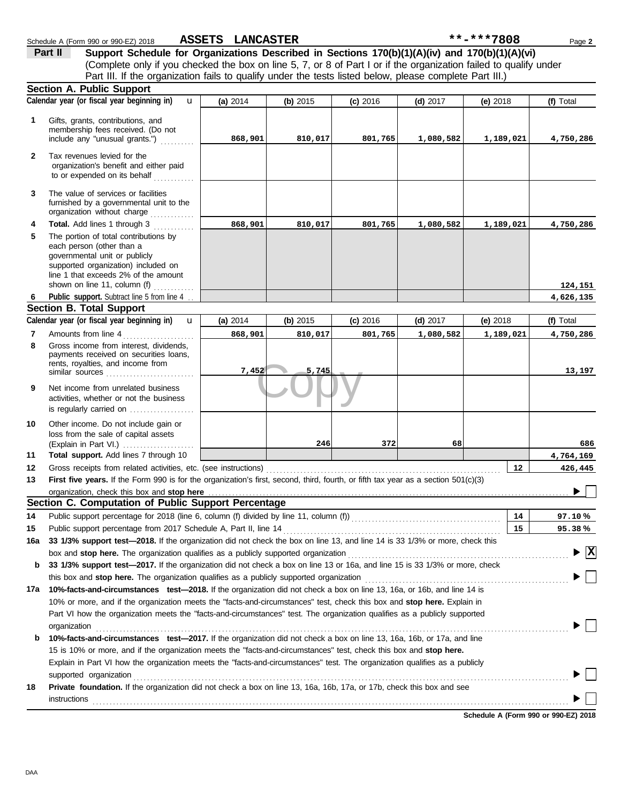|              | Schedule A (Form 990 or 990-EZ) 2018                                                                                                                                                                                           | <b>ASSETS LANCASTER</b> |            |            |            | **-***7808 | Page 2                             |
|--------------|--------------------------------------------------------------------------------------------------------------------------------------------------------------------------------------------------------------------------------|-------------------------|------------|------------|------------|------------|------------------------------------|
|              | Support Schedule for Organizations Described in Sections 170(b)(1)(A)(iv) and 170(b)(1)(A)(vi)<br>Part II                                                                                                                      |                         |            |            |            |            |                                    |
|              | (Complete only if you checked the box on line 5, 7, or 8 of Part I or if the organization failed to qualify under                                                                                                              |                         |            |            |            |            |                                    |
|              | Part III. If the organization fails to qualify under the tests listed below, please complete Part III.)                                                                                                                        |                         |            |            |            |            |                                    |
|              | <b>Section A. Public Support</b>                                                                                                                                                                                               |                         |            |            |            |            |                                    |
|              | Calendar year (or fiscal year beginning in)<br>$\mathbf{u}$                                                                                                                                                                    | (a) 2014                | (b) $2015$ | (c) 2016   | (d) $2017$ | (e) $2018$ | (f) Total                          |
|              |                                                                                                                                                                                                                                |                         |            |            |            |            |                                    |
| 1            | Gifts, grants, contributions, and<br>membership fees received. (Do not                                                                                                                                                         |                         |            |            |            |            |                                    |
|              | include any "unusual grants.")                                                                                                                                                                                                 | 868,901                 | 810,017    | 801,765    | 1,080,582  | 1,189,021  | 4,750,286                          |
| $\mathbf{2}$ | Tax revenues levied for the                                                                                                                                                                                                    |                         |            |            |            |            |                                    |
|              | organization's benefit and either paid                                                                                                                                                                                         |                         |            |            |            |            |                                    |
|              | to or expended on its behalf                                                                                                                                                                                                   |                         |            |            |            |            |                                    |
| 3            | The value of services or facilities                                                                                                                                                                                            |                         |            |            |            |            |                                    |
|              | furnished by a governmental unit to the                                                                                                                                                                                        |                         |            |            |            |            |                                    |
|              | organization without charge                                                                                                                                                                                                    |                         |            |            |            |            |                                    |
| 4            | Total. Add lines 1 through 3                                                                                                                                                                                                   | 868,901                 | 810,017    | 801,765    | 1,080,582  | 1,189,021  | 4,750,286                          |
| 5            | The portion of total contributions by                                                                                                                                                                                          |                         |            |            |            |            |                                    |
|              | each person (other than a<br>governmental unit or publicly                                                                                                                                                                     |                         |            |            |            |            |                                    |
|              | supported organization) included on                                                                                                                                                                                            |                         |            |            |            |            |                                    |
|              | line 1 that exceeds 2% of the amount                                                                                                                                                                                           |                         |            |            |            |            |                                    |
|              | shown on line 11, column (f) $\ldots$                                                                                                                                                                                          |                         |            |            |            |            | 124,151                            |
| 6            | Public support. Subtract line 5 from line 4                                                                                                                                                                                    |                         |            |            |            |            | 4,626,135                          |
|              | <b>Section B. Total Support</b>                                                                                                                                                                                                |                         |            |            |            |            |                                    |
|              | Calendar year (or fiscal year beginning in)<br>$\mathbf{u}$                                                                                                                                                                    | (a) 2014                | (b) 2015   | $(c)$ 2016 | $(d)$ 2017 | (e) $2018$ | (f) Total                          |
| 7            | Amounts from line 4                                                                                                                                                                                                            | 868,901                 | 810,017    | 801,765    | 1,080,582  | 1,189,021  | 4,750,286                          |
| 8            | Gross income from interest, dividends,<br>payments received on securities loans,                                                                                                                                               |                         |            |            |            |            |                                    |
|              | rents, royalties, and income from                                                                                                                                                                                              |                         |            |            |            |            |                                    |
|              |                                                                                                                                                                                                                                | 7,452                   | 5,745      |            |            |            | 13,197                             |
| 9            | Net income from unrelated business                                                                                                                                                                                             |                         |            |            |            |            |                                    |
|              | activities, whether or not the business                                                                                                                                                                                        |                         |            |            |            |            |                                    |
|              | is regularly carried on                                                                                                                                                                                                        |                         |            |            |            |            |                                    |
| 10           | Other income. Do not include gain or                                                                                                                                                                                           |                         |            |            |            |            |                                    |
|              | loss from the sale of capital assets                                                                                                                                                                                           |                         |            |            |            |            |                                    |
| 11           | Total support. Add lines 7 through 10                                                                                                                                                                                          |                         | 246        | 372        | 68         |            | 686                                |
| 12           |                                                                                                                                                                                                                                |                         |            |            |            | 12         | 4,764,169<br>426,445               |
| 13           | First five years. If the Form 990 is for the organization's first, second, third, fourth, or fifth tax year as a section 501(c)(3)                                                                                             |                         |            |            |            |            |                                    |
|              | organization, check this box and stop here                                                                                                                                                                                     |                         |            |            |            |            |                                    |
|              | Section C. Computation of Public Support Percentage                                                                                                                                                                            |                         |            |            |            |            |                                    |
| 14           |                                                                                                                                                                                                                                |                         |            |            |            | 14         | 97.10%                             |
| 15           | Public support percentage from 2017 Schedule A, Part II, line 14                                                                                                                                                               |                         |            |            |            | 15         | 95.38%                             |
| 16a          | 33 1/3% support test-2018. If the organization did not check the box on line 13, and line 14 is 33 1/3% or more, check this                                                                                                    |                         |            |            |            |            |                                    |
|              | box and stop here. The organization qualifies as a publicly supported organization [11] content content content of the content of the state of the state of the state of the state of the state of the state of the state of t |                         |            |            |            |            | $\blacktriangleright \overline{X}$ |
| b            | 33 1/3% support test-2017. If the organization did not check a box on line 13 or 16a, and line 15 is 33 1/3% or more, check                                                                                                    |                         |            |            |            |            |                                    |
|              |                                                                                                                                                                                                                                |                         |            |            |            |            |                                    |
| 17a          | 10%-facts-and-circumstances test-2018. If the organization did not check a box on line 13, 16a, or 16b, and line 14 is                                                                                                         |                         |            |            |            |            |                                    |
|              | 10% or more, and if the organization meets the "facts-and-circumstances" test, check this box and stop here. Explain in                                                                                                        |                         |            |            |            |            |                                    |
|              | Part VI how the organization meets the "facts-and-circumstances" test. The organization qualifies as a publicly supported                                                                                                      |                         |            |            |            |            |                                    |
|              | organization                                                                                                                                                                                                                   |                         |            |            |            |            |                                    |
| b            | 10%-facts-and-circumstances test-2017. If the organization did not check a box on line 13, 16a, 16b, or 17a, and line                                                                                                          |                         |            |            |            |            |                                    |
|              | 15 is 10% or more, and if the organization meets the "facts-and-circumstances" test, check this box and stop here.                                                                                                             |                         |            |            |            |            |                                    |
|              | Explain in Part VI how the organization meets the "facts-and-circumstances" test. The organization qualifies as a publicly                                                                                                     |                         |            |            |            |            |                                    |
|              | supported organization                                                                                                                                                                                                         |                         |            |            |            |            |                                    |
| 18           | Private foundation. If the organization did not check a box on line 13, 16a, 16b, 17a, or 17b, check this box and see                                                                                                          |                         |            |            |            |            |                                    |
|              | <b>instructions</b>                                                                                                                                                                                                            |                         |            |            |            |            |                                    |
|              |                                                                                                                                                                                                                                |                         |            |            |            |            |                                    |

**Schedule A (Form 990 or 990-EZ) 2018**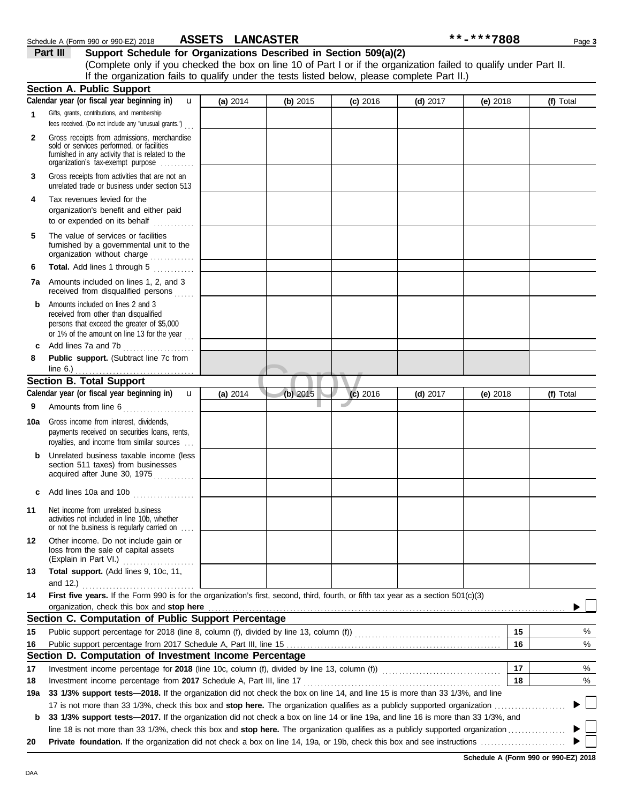|              | Calendar year (or fiscal year beginning in)<br>$\mathbf{u}$                                                                                                                       | (a) 2014 | (b) 2015 | $(c)$ 2016 | $(d)$ 2017 | (e) 2018   | (f) Total                            |
|--------------|-----------------------------------------------------------------------------------------------------------------------------------------------------------------------------------|----------|----------|------------|------------|------------|--------------------------------------|
| 1            | Gifts, grants, contributions, and membership<br>fees received. (Do not include any "unusual grants.")                                                                             |          |          |            |            |            |                                      |
| $\mathbf{2}$ | Gross receipts from admissions, merchandise<br>sold or services performed, or facilities<br>furnished in any activity that is related to the<br>organization's tax-exempt purpose |          |          |            |            |            |                                      |
| 3            | Gross receipts from activities that are not an<br>unrelated trade or business under section 513                                                                                   |          |          |            |            |            |                                      |
| 4            | Tax revenues levied for the<br>organization's benefit and either paid<br>to or expended on its behalf                                                                             |          |          |            |            |            |                                      |
| 5            | The value of services or facilities<br>furnished by a governmental unit to the<br>organization without charge                                                                     |          |          |            |            |            |                                      |
| 6            | Total. Add lines 1 through 5<br><u>.</u><br>1986 - Paul Barbara, president                                                                                                        |          |          |            |            |            |                                      |
|              | <b>7a</b> Amounts included on lines 1, 2, and 3<br>received from disqualified persons                                                                                             |          |          |            |            |            |                                      |
| b            | Amounts included on lines 2 and 3<br>received from other than disqualified<br>persons that exceed the greater of \$5,000<br>or 1% of the amount on line 13 for the year $\ldots$  |          |          |            |            |            |                                      |
| c            | Add lines 7a and 7b<br>.                                                                                                                                                          |          |          |            |            |            |                                      |
| 8            | Public support. (Subtract line 7c from<br>line $6.$ )                                                                                                                             |          |          |            |            |            |                                      |
|              | <b>Section B. Total Support</b>                                                                                                                                                   |          |          |            |            |            |                                      |
|              | Calendar year (or fiscal year beginning in)<br>u                                                                                                                                  | (a) 2014 | (b) 2015 | $(c)$ 2016 | $(d)$ 2017 | (e) $2018$ | (f) Total                            |
| 9            | Amounts from line 6                                                                                                                                                               |          |          |            |            |            |                                      |
| 10a          | Gross income from interest, dividends,<br>payments received on securities loans, rents,<br>royalties, and income from similar sources                                             |          |          |            |            |            |                                      |
| b            | Unrelated business taxable income (less<br>section 511 taxes) from businesses<br>acquired after June 30, 1975                                                                     |          |          |            |            |            |                                      |
| c            | Add lines 10a and 10b                                                                                                                                                             |          |          |            |            |            |                                      |
| 11           | Net income from unrelated business<br>activities not included in line 10b, whether<br>or not the business is regularly carried on                                                 |          |          |            |            |            |                                      |
| 12           | Other income. Do not include gain or<br>loss from the sale of capital assets<br>(Explain in Part VI.)                                                                             |          |          |            |            |            |                                      |
| 13           | Total support. (Add lines 9, 10c, 11,<br>and 12.)                                                                                                                                 |          |          |            |            |            |                                      |
| 14           | First five years. If the Form 990 is for the organization's first, second, third, fourth, or fifth tax year as a section 501(c)(3)                                                |          |          |            |            |            |                                      |
|              | organization, check this box and stop here                                                                                                                                        |          |          |            |            |            |                                      |
|              | Section C. Computation of Public Support Percentage                                                                                                                               |          |          |            |            |            |                                      |
| 15           |                                                                                                                                                                                   |          |          |            |            | 15         | %                                    |
| 16           |                                                                                                                                                                                   |          |          |            |            | 16         | %                                    |
|              | Section D. Computation of Investment Income Percentage                                                                                                                            |          |          |            |            |            |                                      |
| 17           | Investment income percentage for 2018 (line 10c, column (f), divided by line 13, column (f)) [[[[[[[[[[[[[[[[                                                                     |          |          |            |            | 17         | %                                    |
| 18           | Investment income percentage from 2017 Schedule A, Part III, line 17                                                                                                              |          |          |            |            | 18         | %                                    |
| 19a          | 33 1/3% support tests-2018. If the organization did not check the box on line 14, and line 15 is more than 33 1/3%, and line                                                      |          |          |            |            |            |                                      |
|              |                                                                                                                                                                                   |          |          |            |            |            |                                      |
| b            | 33 1/3% support tests-2017. If the organization did not check a box on line 14 or line 19a, and line 16 is more than 33 1/3%, and                                                 |          |          |            |            |            |                                      |
|              |                                                                                                                                                                                   |          |          |            |            |            |                                      |
| 20           |                                                                                                                                                                                   |          |          |            |            |            | Schodule A (Form 000 or 000 EZ) 2019 |

(Complete only if you checked the box on line 10 of Part I or if the organization failed to qualify under Part II.

If the organization fails to qualify under the tests listed below, please complete Part II.)

**Part III Support Schedule for Organizations Described in Section 509(a)(2)** Schedule A (Form 990 or 990-EZ) 2018 ASSETS LANCASTER **ACCHA FINAL ACCESS 12018** Page 3 **ASSETS LANCASTER \*\*-\*\*\*7808**

**Section A. Public Support**

**Schedule A (Form 990 or 990-EZ) 2018**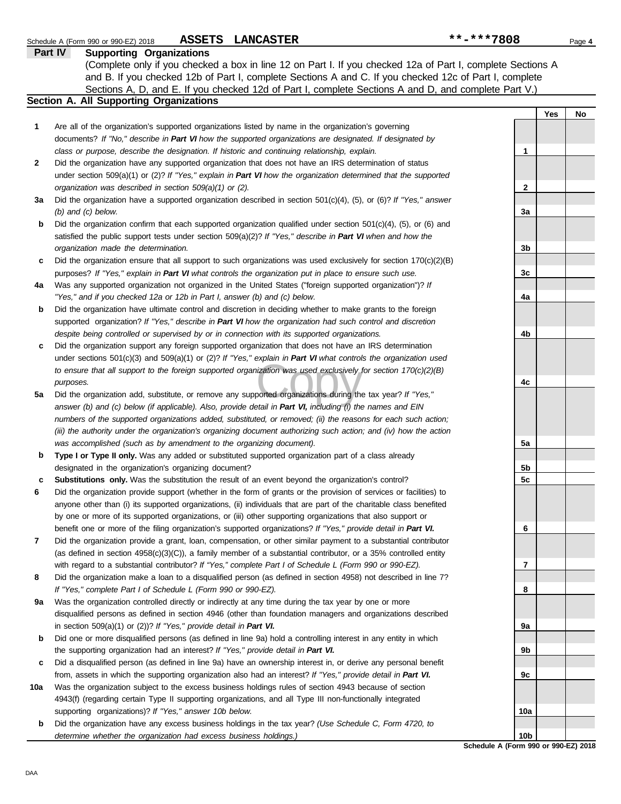Schedule A (Form 990 or 990-EZ) 2018 Page **4**

**ASSETS LANCASTER \*\*-\*\*\*7808**

**Part IV Supporting Organizations**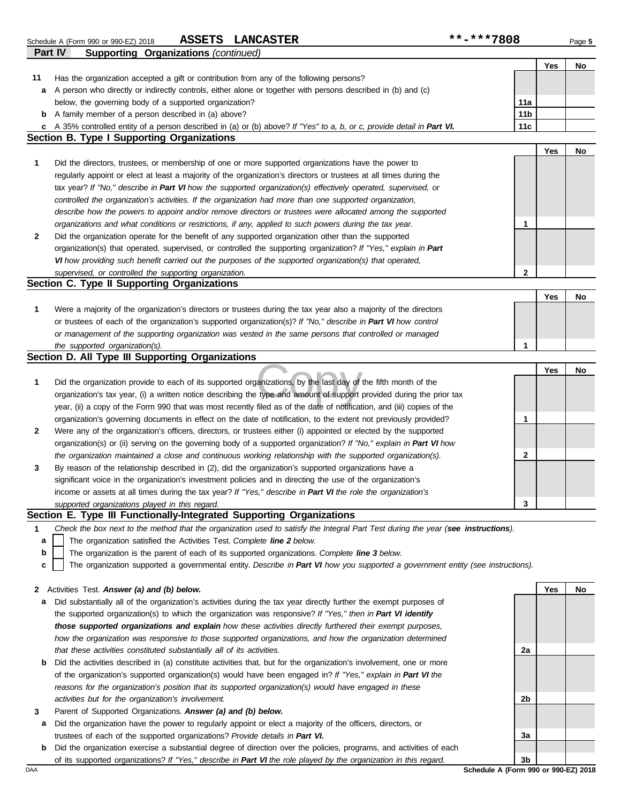|    | ASSETS LANCASTER<br>Schedule A (Form 990 or 990-EZ) 2018                                                                          | **-***7808      |     | Page 5 |
|----|-----------------------------------------------------------------------------------------------------------------------------------|-----------------|-----|--------|
|    | Part IV<br><b>Supporting Organizations (continued)</b>                                                                            |                 |     |        |
|    |                                                                                                                                   |                 | Yes | No     |
| 11 | Has the organization accepted a gift or contribution from any of the following persons?                                           |                 |     |        |
| а  | A person who directly or indirectly controls, either alone or together with persons described in (b) and (c)                      |                 |     |        |
|    | below, the governing body of a supported organization?                                                                            | 11a             |     |        |
|    | <b>b</b> A family member of a person described in (a) above?                                                                      | 11 <sub>b</sub> |     |        |
|    | c A 35% controlled entity of a person described in (a) or (b) above? If "Yes" to a, b, or c, provide detail in Part VI.           | 11c             |     |        |
|    | <b>Section B. Type I Supporting Organizations</b>                                                                                 |                 |     |        |
|    |                                                                                                                                   |                 | Yes | No     |
| 1  | Did the directors, trustees, or membership of one or more supported organizations have the power to                               |                 |     |        |
|    | regularly appoint or elect at least a majority of the organization's directors or trustees at all times during the                |                 |     |        |
|    | tax year? If "No," describe in Part VI how the supported organization(s) effectively operated, supervised, or                     |                 |     |        |
|    | controlled the organization's activities. If the organization had more than one supported organization,                           |                 |     |        |
|    | describe how the powers to appoint and/or remove directors or trustees were allocated among the supported                         |                 |     |        |
|    | organizations and what conditions or restrictions, if any, applied to such powers during the tax year.                            | 1               |     |        |
| 2  | Did the organization operate for the benefit of any supported organization other than the supported                               |                 |     |        |
|    | organization(s) that operated, supervised, or controlled the supporting organization? If "Yes," explain in Part                   |                 |     |        |
|    | VI how providing such benefit carried out the purposes of the supported organization(s) that operated,                            |                 |     |        |
|    | supervised, or controlled the supporting organization.                                                                            | $\mathbf{2}$    |     |        |
|    | Section C. Type II Supporting Organizations                                                                                       |                 |     |        |
|    |                                                                                                                                   |                 | Yes | No     |
| 1  | Were a majority of the organization's directors or trustees during the tax year also a majority of the directors                  |                 |     |        |
|    | or trustees of each of the organization's supported organization(s)? If "No," describe in Part VI how control                     |                 |     |        |
|    | or management of the supporting organization was vested in the same persons that controlled or managed                            |                 |     |        |
|    | the supported organization(s).                                                                                                    | 1               |     |        |
|    | Section D. All Type III Supporting Organizations                                                                                  |                 |     |        |
|    |                                                                                                                                   |                 | Yes | No     |
| 1  | Did the organization provide to each of its supported organizations, by the last day of the fifth month of the                    |                 |     |        |
|    | organization's tax year, (i) a written notice describing the type and amount of support provided during the prior tax             |                 |     |        |
|    | year, (ii) a copy of the Form 990 that was most recently filed as of the date of notification, and (iii) copies of the            |                 |     |        |
|    | organization's governing documents in effect on the date of notification, to the extent not previously provided?                  | 1               |     |        |
| 2  | Were any of the organization's officers, directors, or trustees either (i) appointed or elected by the supported                  |                 |     |        |
|    | organization(s) or (ii) serving on the governing body of a supported organization? If "No," explain in Part VI how                |                 |     |        |
|    | the organization maintained a close and continuous working relationship with the supported organization(s).                       | $\mathbf{2}$    |     |        |
| 3  | By reason of the relationship described in (2), did the organization's supported organizations have a                             |                 |     |        |
|    | significant voice in the organization's investment policies and in directing the use of the organization's                        |                 |     |        |
|    | income or assets at all times during the tax year? If "Yes," describe in Part VI the role the organization's                      |                 |     |        |
|    | supported organizations played in this regard.                                                                                    | 3               |     |        |
|    | Section E. Type III Functionally-Integrated Supporting Organizations                                                              |                 |     |        |
| 1  | Check the box next to the method that the organization used to satisfy the Integral Part Test during the year (see instructions). |                 |     |        |
| a  | The organization satisfied the Activities Test. Complete line 2 below.                                                            |                 |     |        |
| b  | The organization is the parent of each of its supported organizations. Complete line 3 below.                                     |                 |     |        |
| c  | The organization supported a governmental entity. Describe in Part VI how you supported a government entity (see instructions).   |                 |     |        |
|    |                                                                                                                                   |                 |     |        |
|    | 2 Activities Test. Answer (a) and (b) below.                                                                                      |                 | Yes | No     |

**2** Activities Test. *Answer (a) and (b) below.*

- **a** Did substantially all of the organization's activities during the tax year directly further the exempt purposes of the supported organization(s) to which the organization was responsive? *If "Yes," then in Part VI identify those supported organizations and explain how these activities directly furthered their exempt purposes, how the organization was responsive to those supported organizations, and how the organization determined that these activities constituted substantially all of its activities.*
- **b** Did the activities described in (a) constitute activities that, but for the organization's involvement, one or more of the organization's supported organization(s) would have been engaged in? *If "Yes," explain in Part VI the reasons for the organization's position that its supported organization(s) would have engaged in these activities but for the organization's involvement.*
- **3** Parent of Supported Organizations. *Answer (a) and (b) below.*
	- **a** Did the organization have the power to regularly appoint or elect a majority of the officers, directors, or trustees of each of the supported organizations? *Provide details in Part VI.*
	- **b** Did the organization exercise a substantial degree of direction over the policies, programs, and activities of each of its supported organizations? *If "Yes," describe in Part VI the role played by the organization in this regard.*

**2a 2b 3a 3b**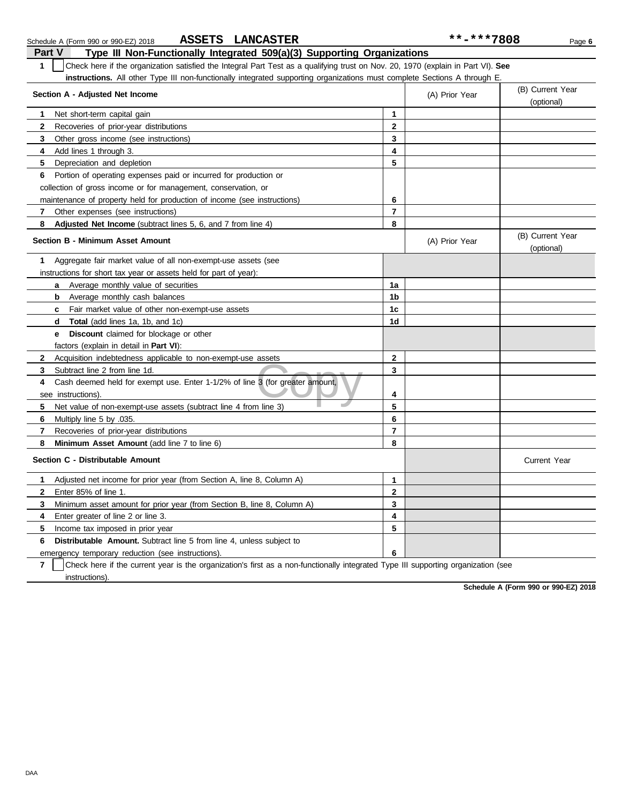| Part V<br>Type III Non-Functionally Integrated 509(a)(3) Supporting Organizations                                                                |                |                                |                                |
|--------------------------------------------------------------------------------------------------------------------------------------------------|----------------|--------------------------------|--------------------------------|
| $\mathbf{1}$<br>Check here if the organization satisfied the Integral Part Test as a qualifying trust on Nov. 20, 1970 (explain in Part VI). See |                |                                |                                |
| <b>instructions.</b> All other Type III non-functionally integrated supporting organizations must complete Sections A through E.                 |                |                                |                                |
| Section A - Adjusted Net Income                                                                                                                  | (A) Prior Year | (B) Current Year<br>(optional) |                                |
| Net short-term capital gain<br>1                                                                                                                 | 1              |                                |                                |
| $\mathbf{2}$<br>Recoveries of prior-year distributions                                                                                           | $\mathbf{2}$   |                                |                                |
| 3<br>Other gross income (see instructions)                                                                                                       | 3              |                                |                                |
| Add lines 1 through 3.<br>4                                                                                                                      | 4              |                                |                                |
| 5<br>Depreciation and depletion                                                                                                                  | 5              |                                |                                |
| Portion of operating expenses paid or incurred for production or<br>6                                                                            |                |                                |                                |
| collection of gross income or for management, conservation, or                                                                                   |                |                                |                                |
| maintenance of property held for production of income (see instructions)                                                                         | 6              |                                |                                |
| Other expenses (see instructions)<br>$\mathbf{7}$                                                                                                | $\overline{7}$ |                                |                                |
| 8<br>Adjusted Net Income (subtract lines 5, 6, and 7 from line 4)                                                                                | 8              |                                |                                |
| <b>Section B - Minimum Asset Amount</b>                                                                                                          |                | (A) Prior Year                 | (B) Current Year<br>(optional) |
| Aggregate fair market value of all non-exempt-use assets (see<br>1                                                                               |                |                                |                                |
| instructions for short tax year or assets held for part of year):                                                                                |                |                                |                                |
| Average monthly value of securities<br>a                                                                                                         | 1a             |                                |                                |
| <b>b</b> Average monthly cash balances                                                                                                           | 1 <sub>b</sub> |                                |                                |
| <b>c</b> Fair market value of other non-exempt-use assets                                                                                        | 1c             |                                |                                |
| <b>Total</b> (add lines 1a, 1b, and 1c)<br>d                                                                                                     | 1d             |                                |                                |
| Discount claimed for blockage or other<br>e                                                                                                      |                |                                |                                |
| factors (explain in detail in <b>Part VI</b> ):                                                                                                  |                |                                |                                |
| Acquisition indebtedness applicable to non-exempt-use assets<br>2                                                                                | $\mathbf{2}$   |                                |                                |
| Subtract line 2 from line 1d.<br>3                                                                                                               | 3              |                                |                                |
| 4<br>Cash deemed held for exempt use. Enter 1-1/2% of line 3 (for greater amount,                                                                |                |                                |                                |
| see instructions)                                                                                                                                | 4              |                                |                                |
| 5.<br>Net value of non-exempt-use assets (subtract line 4 from line 3)                                                                           | 5              |                                |                                |
| 6<br>.035. Multiply line 5 by                                                                                                                    | 6              |                                |                                |
| 7<br>Recoveries of prior-year distributions                                                                                                      | $\overline{7}$ |                                |                                |
| 8<br>Minimum Asset Amount (add line 7 to line 6)                                                                                                 | 8              |                                |                                |
| Section C - Distributable Amount                                                                                                                 |                |                                | <b>Current Year</b>            |
| Adjusted net income for prior year (from Section A, line 8, Column A)<br>1                                                                       | $\mathbf{1}$   |                                |                                |
| Enter 85% of line 1.<br>$\mathbf{2}$                                                                                                             | $\mathbf{2}$   |                                |                                |
| 3<br>Minimum asset amount for prior year (from Section B, line 8, Column A)                                                                      | 3              |                                |                                |
| 4<br>Enter greater of line 2 or line 3.                                                                                                          | 4              |                                |                                |
| 5<br>Income tax imposed in prior year                                                                                                            | 5              |                                |                                |
| Distributable Amount. Subtract line 5 from line 4, unless subject to<br>6                                                                        |                |                                |                                |
| emergency temporary reduction (see instructions).                                                                                                | 6              |                                |                                |
|                                                                                                                                                  |                |                                |                                |

Schedule A (Form 990 or 990-EZ) 2018 **ASSETS LANCASTER** \*\*\*\*\*7808 Page 6

**ASSETS LANCASTER \*\*-\*\*\*7808**

**7** | Check here if the current year is the organization's first as a non-functionally integrated Type III supporting organization (see instructions).

**Schedule A (Form 990 or 990-EZ) 2018**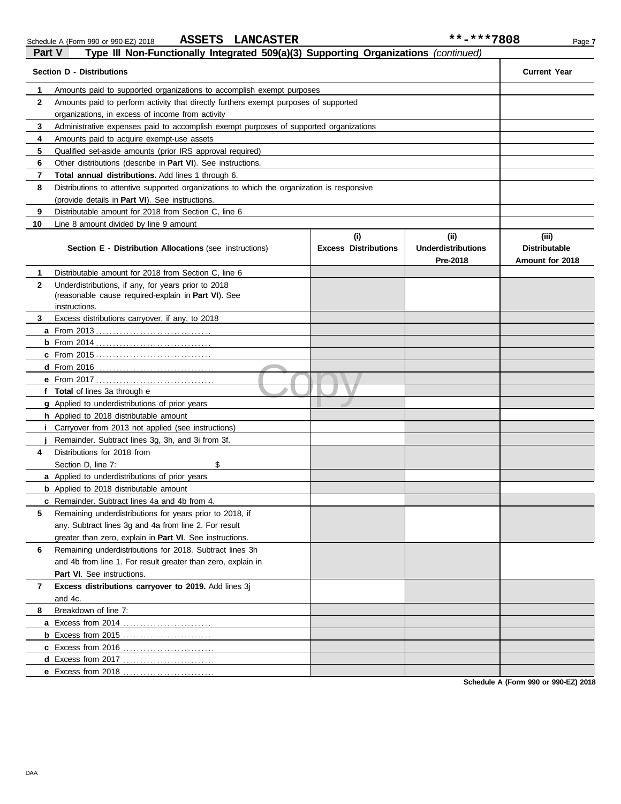| Part V<br>Type III Non-Functionally Integrated 509(a)(3) Supporting Organizations (continued) |                                                                                            |                                    |                                                |                                                  |  |  |  |  |  |
|-----------------------------------------------------------------------------------------------|--------------------------------------------------------------------------------------------|------------------------------------|------------------------------------------------|--------------------------------------------------|--|--|--|--|--|
| <b>Section D - Distributions</b>                                                              |                                                                                            | <b>Current Year</b>                |                                                |                                                  |  |  |  |  |  |
| 1                                                                                             | Amounts paid to supported organizations to accomplish exempt purposes                      |                                    |                                                |                                                  |  |  |  |  |  |
| $\mathbf{2}$                                                                                  | Amounts paid to perform activity that directly furthers exempt purposes of supported       |                                    |                                                |                                                  |  |  |  |  |  |
|                                                                                               | organizations, in excess of income from activity                                           |                                    |                                                |                                                  |  |  |  |  |  |
| 3                                                                                             | Administrative expenses paid to accomplish exempt purposes of supported organizations      |                                    |                                                |                                                  |  |  |  |  |  |
| 4                                                                                             | Amounts paid to acquire exempt-use assets                                                  |                                    |                                                |                                                  |  |  |  |  |  |
| 5                                                                                             | Qualified set-aside amounts (prior IRS approval required)                                  |                                    |                                                |                                                  |  |  |  |  |  |
| 6                                                                                             | Other distributions (describe in Part VI). See instructions.                               |                                    |                                                |                                                  |  |  |  |  |  |
| 7                                                                                             | Total annual distributions. Add lines 1 through 6.                                         |                                    |                                                |                                                  |  |  |  |  |  |
| 8                                                                                             | Distributions to attentive supported organizations to which the organization is responsive |                                    |                                                |                                                  |  |  |  |  |  |
|                                                                                               | (provide details in Part VI). See instructions.                                            |                                    |                                                |                                                  |  |  |  |  |  |
| 9                                                                                             | Distributable amount for 2018 from Section C, line 6                                       |                                    |                                                |                                                  |  |  |  |  |  |
| 10                                                                                            | Line 8 amount divided by line 9 amount                                                     |                                    |                                                |                                                  |  |  |  |  |  |
|                                                                                               | Section E - Distribution Allocations (see instructions)                                    | (i)<br><b>Excess Distributions</b> | (iii)<br><b>Underdistributions</b><br>Pre-2018 | (iii)<br><b>Distributable</b><br>Amount for 2018 |  |  |  |  |  |
| 1                                                                                             | Distributable amount for 2018 from Section C, line 6                                       |                                    |                                                |                                                  |  |  |  |  |  |
| $\mathbf{2}$                                                                                  | Underdistributions, if any, for years prior to 2018                                        |                                    |                                                |                                                  |  |  |  |  |  |
|                                                                                               | (reasonable cause required-explain in Part VI). See                                        |                                    |                                                |                                                  |  |  |  |  |  |
|                                                                                               | instructions.                                                                              |                                    |                                                |                                                  |  |  |  |  |  |
| 3                                                                                             | Excess distributions carryover, if any, to 2018                                            |                                    |                                                |                                                  |  |  |  |  |  |
|                                                                                               |                                                                                            |                                    |                                                |                                                  |  |  |  |  |  |
|                                                                                               |                                                                                            |                                    |                                                |                                                  |  |  |  |  |  |
|                                                                                               |                                                                                            |                                    |                                                |                                                  |  |  |  |  |  |
|                                                                                               |                                                                                            |                                    |                                                |                                                  |  |  |  |  |  |
|                                                                                               |                                                                                            |                                    |                                                |                                                  |  |  |  |  |  |
|                                                                                               | f Total of lines 3a through e                                                              |                                    |                                                |                                                  |  |  |  |  |  |
|                                                                                               | <b>g</b> Applied to underdistributions of prior years                                      |                                    |                                                |                                                  |  |  |  |  |  |
|                                                                                               | h Applied to 2018 distributable amount                                                     |                                    |                                                |                                                  |  |  |  |  |  |
|                                                                                               | <i>i</i> Carryover from 2013 not applied (see instructions)                                |                                    |                                                |                                                  |  |  |  |  |  |
|                                                                                               | Remainder. Subtract lines 3q, 3h, and 3i from 3f.                                          |                                    |                                                |                                                  |  |  |  |  |  |
| 4                                                                                             | Distributions for 2018 from                                                                |                                    |                                                |                                                  |  |  |  |  |  |
|                                                                                               | \$<br>Section D, line 7:                                                                   |                                    |                                                |                                                  |  |  |  |  |  |
|                                                                                               | a Applied to underdistributions of prior years                                             |                                    |                                                |                                                  |  |  |  |  |  |
|                                                                                               | <b>b</b> Applied to 2018 distributable amount                                              |                                    |                                                |                                                  |  |  |  |  |  |
|                                                                                               | c Remainder. Subtract lines 4a and 4b from 4.                                              |                                    |                                                |                                                  |  |  |  |  |  |
| 5.                                                                                            | Remaining underdistributions for years prior to 2018, if                                   |                                    |                                                |                                                  |  |  |  |  |  |
|                                                                                               | any. Subtract lines 3g and 4a from line 2. For result                                      |                                    |                                                |                                                  |  |  |  |  |  |
|                                                                                               | greater than zero, explain in Part VI. See instructions.                                   |                                    |                                                |                                                  |  |  |  |  |  |
| 6                                                                                             | Remaining underdistributions for 2018. Subtract lines 3h                                   |                                    |                                                |                                                  |  |  |  |  |  |
|                                                                                               | and 4b from line 1. For result greater than zero, explain in                               |                                    |                                                |                                                  |  |  |  |  |  |
|                                                                                               | <b>Part VI.</b> See instructions.                                                          |                                    |                                                |                                                  |  |  |  |  |  |
| 7                                                                                             | Excess distributions carryover to 2019. Add lines 3j                                       |                                    |                                                |                                                  |  |  |  |  |  |
|                                                                                               | and 4c.                                                                                    |                                    |                                                |                                                  |  |  |  |  |  |
| 8                                                                                             | Breakdown of line 7:                                                                       |                                    |                                                |                                                  |  |  |  |  |  |
|                                                                                               |                                                                                            |                                    |                                                |                                                  |  |  |  |  |  |
|                                                                                               |                                                                                            |                                    |                                                |                                                  |  |  |  |  |  |
|                                                                                               |                                                                                            |                                    |                                                |                                                  |  |  |  |  |  |
|                                                                                               | d Excess from 2017                                                                         |                                    |                                                |                                                  |  |  |  |  |  |
|                                                                                               | e Excess from 2018                                                                         |                                    |                                                |                                                  |  |  |  |  |  |

**Schedule A (Form 990 or 990-EZ) 2018**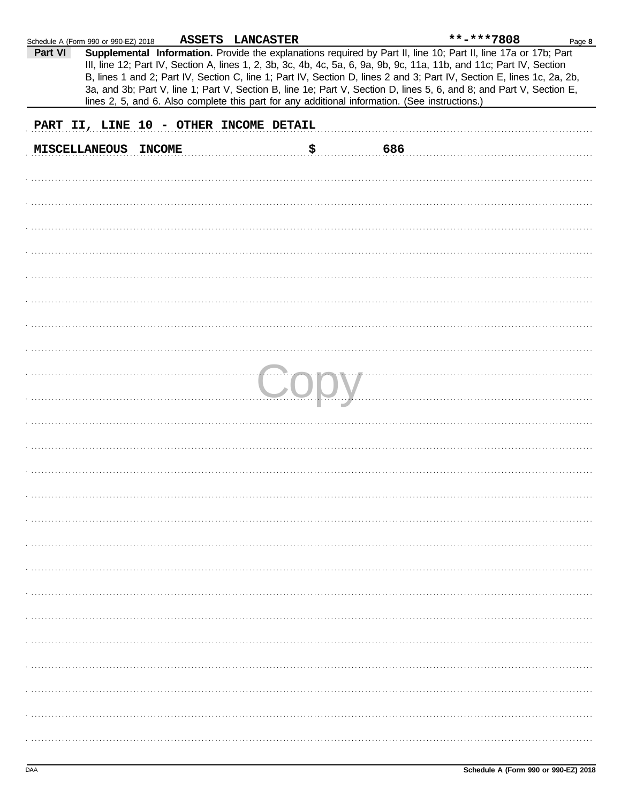| Schedule A (Form 990 or 990-EZ) 2018 |                                        | ASSETS LANCASTER |    |                                                                                                | **-***7808                                                                                                                                                                                                                                                                                                                                                                                                                                                                                | Page 8 |
|--------------------------------------|----------------------------------------|------------------|----|------------------------------------------------------------------------------------------------|-------------------------------------------------------------------------------------------------------------------------------------------------------------------------------------------------------------------------------------------------------------------------------------------------------------------------------------------------------------------------------------------------------------------------------------------------------------------------------------------|--------|
| Part VI                              |                                        |                  |    | lines 2, 5, and 6. Also complete this part for any additional information. (See instructions.) | Supplemental Information. Provide the explanations required by Part II, line 10; Part II, line 17a or 17b; Part<br>III, line 12; Part IV, Section A, lines 1, 2, 3b, 3c, 4b, 4c, 5a, 6, 9a, 9b, 9c, 11a, 11b, and 11c; Part IV, Section<br>B, lines 1 and 2; Part IV, Section C, line 1; Part IV, Section D, lines 2 and 3; Part IV, Section E, lines 1c, 2a, 2b,<br>3a, and 3b; Part V, line 1; Part V, Section B, line 1e; Part V, Section D, lines 5, 6, and 8; and Part V, Section E, |        |
|                                      | PART II, LINE 10 - OTHER INCOME DETAIL |                  |    |                                                                                                |                                                                                                                                                                                                                                                                                                                                                                                                                                                                                           |        |
|                                      | MISCELLANEOUS INCOME                   |                  | \$ | 686                                                                                            |                                                                                                                                                                                                                                                                                                                                                                                                                                                                                           |        |
|                                      |                                        |                  |    |                                                                                                |                                                                                                                                                                                                                                                                                                                                                                                                                                                                                           |        |
|                                      |                                        |                  |    |                                                                                                |                                                                                                                                                                                                                                                                                                                                                                                                                                                                                           |        |
|                                      |                                        |                  |    |                                                                                                |                                                                                                                                                                                                                                                                                                                                                                                                                                                                                           |        |
|                                      |                                        |                  |    |                                                                                                |                                                                                                                                                                                                                                                                                                                                                                                                                                                                                           |        |
|                                      |                                        |                  |    |                                                                                                |                                                                                                                                                                                                                                                                                                                                                                                                                                                                                           |        |
|                                      |                                        |                  |    |                                                                                                |                                                                                                                                                                                                                                                                                                                                                                                                                                                                                           |        |
|                                      |                                        |                  |    |                                                                                                |                                                                                                                                                                                                                                                                                                                                                                                                                                                                                           |        |
|                                      |                                        |                  |    |                                                                                                |                                                                                                                                                                                                                                                                                                                                                                                                                                                                                           |        |
|                                      |                                        |                  |    |                                                                                                |                                                                                                                                                                                                                                                                                                                                                                                                                                                                                           |        |
|                                      |                                        |                  |    |                                                                                                |                                                                                                                                                                                                                                                                                                                                                                                                                                                                                           |        |
|                                      |                                        |                  |    |                                                                                                |                                                                                                                                                                                                                                                                                                                                                                                                                                                                                           |        |
|                                      |                                        |                  |    |                                                                                                |                                                                                                                                                                                                                                                                                                                                                                                                                                                                                           |        |
|                                      |                                        |                  |    |                                                                                                |                                                                                                                                                                                                                                                                                                                                                                                                                                                                                           |        |
|                                      |                                        |                  |    |                                                                                                |                                                                                                                                                                                                                                                                                                                                                                                                                                                                                           |        |
|                                      |                                        |                  |    |                                                                                                |                                                                                                                                                                                                                                                                                                                                                                                                                                                                                           |        |
|                                      |                                        |                  |    |                                                                                                |                                                                                                                                                                                                                                                                                                                                                                                                                                                                                           |        |
|                                      |                                        |                  |    |                                                                                                |                                                                                                                                                                                                                                                                                                                                                                                                                                                                                           |        |
|                                      |                                        |                  |    |                                                                                                |                                                                                                                                                                                                                                                                                                                                                                                                                                                                                           |        |
|                                      |                                        |                  |    |                                                                                                |                                                                                                                                                                                                                                                                                                                                                                                                                                                                                           |        |
|                                      |                                        |                  |    |                                                                                                |                                                                                                                                                                                                                                                                                                                                                                                                                                                                                           |        |
|                                      |                                        |                  |    |                                                                                                |                                                                                                                                                                                                                                                                                                                                                                                                                                                                                           |        |
|                                      |                                        |                  |    |                                                                                                |                                                                                                                                                                                                                                                                                                                                                                                                                                                                                           |        |
|                                      |                                        |                  |    |                                                                                                |                                                                                                                                                                                                                                                                                                                                                                                                                                                                                           |        |
|                                      |                                        |                  |    |                                                                                                |                                                                                                                                                                                                                                                                                                                                                                                                                                                                                           |        |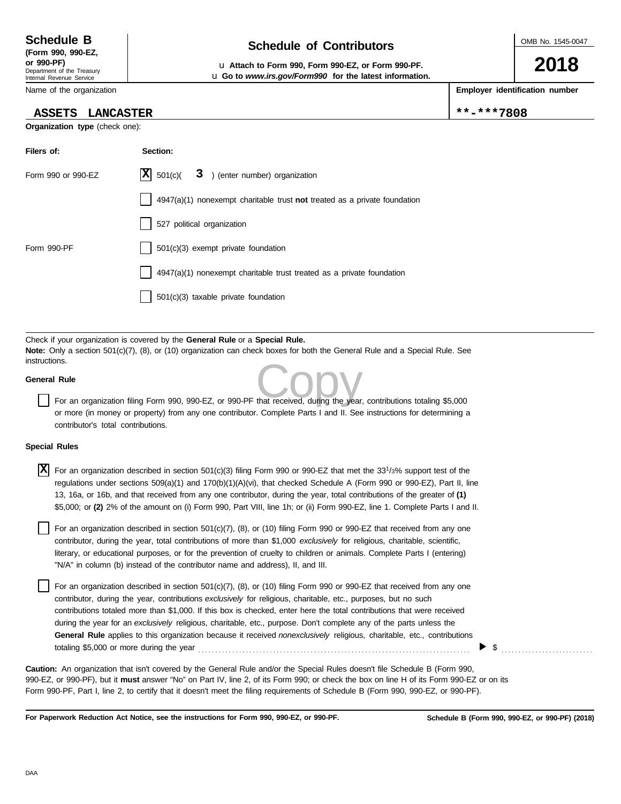Internal Revenue Service

#### Name of the organization

### **ASSETS LANCASTER \*\*-\*\*\*7808**

**Organization type** (check one):

# **Schedule of Contributors Schedule B**

**or 990-PF)** u **Attach to Form 990, Form 990-EZ, or Form 990-PF.** u **Go to** *www.irs.gov/Form990* **for the latest information.** OMB No. 1545-0047

**2018**

**Employer identification number**

| Filers of:         | Section:                                                                           |
|--------------------|------------------------------------------------------------------------------------|
| Form 990 or 990-EZ | $ \mathbf{X} $ 501(c)( $3$ ) (enter number) organization                           |
|                    | $4947(a)(1)$ nonexempt charitable trust <b>not</b> treated as a private foundation |
|                    | 527 political organization                                                         |
| Form 990-PF        | 501(c)(3) exempt private foundation                                                |
|                    | 4947(a)(1) nonexempt charitable trust treated as a private foundation              |
|                    | $501(c)(3)$ taxable private foundation                                             |

Check if your organization is covered by the **General Rule** or a **Special Rule. Note:** Only a section 501(c)(7), (8), or (10) organization can check boxes for both the General Rule and a Special Rule. See instructions.

### **General Rule**

This.<br>
For an organization filing Form 990, 990-EZ, or 990-PF that received, during the year, contributions totaling \$5,000 or more (in money or property) from any one contributor. Complete Parts I and II. See instructions for determining a contributor's total contributions.

#### **Special Rules**

| $ \mathbf{X} $ For an organization described in section 501(c)(3) filing Form 990 or 990-EZ that met the 33 <sup>1</sup> /3% support test of the<br>regulations under sections 509(a)(1) and 170(b)(1)(A)(vi), that checked Schedule A (Form 990 or 990-EZ), Part II, line<br>13, 16a, or 16b, and that received from any one contributor, during the year, total contributions of the greater of (1)<br>\$5,000; or (2) 2% of the amount on (i) Form 990, Part VIII, line 1h; or (ii) Form 990-EZ, line 1. Complete Parts I and II. |
|--------------------------------------------------------------------------------------------------------------------------------------------------------------------------------------------------------------------------------------------------------------------------------------------------------------------------------------------------------------------------------------------------------------------------------------------------------------------------------------------------------------------------------------|
| For an organization described in section 501(c)(7), (8), or (10) filing Form 990 or 990-EZ that received from any one<br>contributor, during the year, total contributions of more than \$1,000 exclusively for religious, charitable, scientific,<br>literary as advactional numerose, or for the prevention of equality to objection as apimals. Complete Darte L(optarion)                                                                                                                                                        |

literary, or educational purposes, or for the prevention of cruelty to children or animals. Complete Parts I (entering) "N/A" in column (b) instead of the contributor name and address), II, and III.

For an organization described in section 501(c)(7), (8), or (10) filing Form 990 or 990-EZ that received from any one contributor, during the year, contributions *exclusively* for religious, charitable, etc., purposes, but no such contributions totaled more than \$1,000. If this box is checked, enter here the total contributions that were received during the year for an *exclusively* religious, charitable, etc., purpose. Don't complete any of the parts unless the **General Rule** applies to this organization because it received *nonexclusively* religious, charitable, etc., contributions totaling \$5,000 or more during the year . . . . . . . . . . . . . . . . . . . . . . . . . . . . . . . . . . . . . . . . . . . . . . . . . . . . . . . . . . . . . . . . . . . . . . . . . . . . . . . .

990-EZ, or 990-PF), but it **must** answer "No" on Part IV, line 2, of its Form 990; or check the box on line H of its Form 990-EZ or on its Form 990-PF, Part I, line 2, to certify that it doesn't meet the filing requirements of Schedule B (Form 990, 990-EZ, or 990-PF). **Caution:** An organization that isn't covered by the General Rule and/or the Special Rules doesn't file Schedule B (Form 990,

**For Paperwork Reduction Act Notice, see the instructions for Form 990, 990-EZ, or 990-PF.**

\$ . . . . . . . . . . . . . . . . . . . . . . . . . . .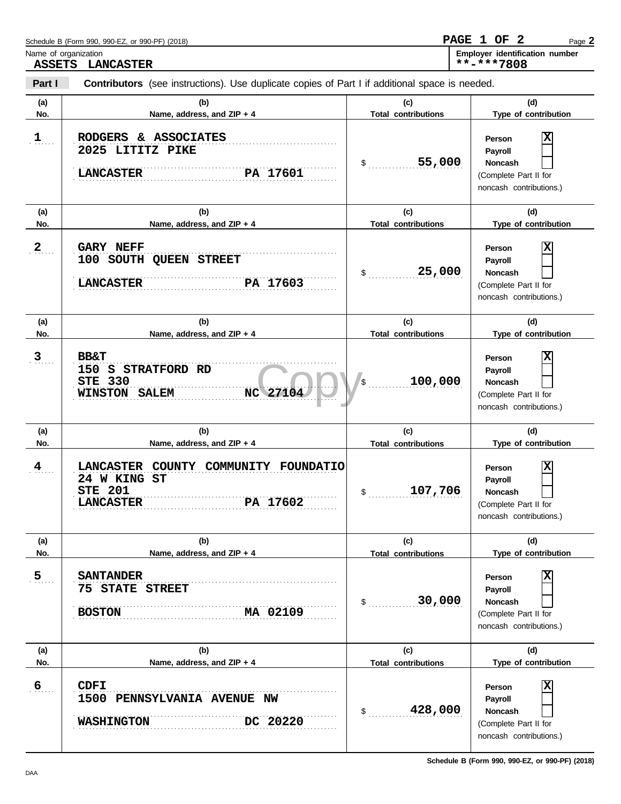| Name of organization<br><b>ASSETS</b> | <b>LANCASTER</b>                                                                                                 |                                   | Employer identification number<br>**-***7808                                                                       |
|---------------------------------------|------------------------------------------------------------------------------------------------------------------|-----------------------------------|--------------------------------------------------------------------------------------------------------------------|
| Part I                                | Contributors (see instructions). Use duplicate copies of Part I if additional space is needed.                   |                                   |                                                                                                                    |
| (a)<br>No.                            | (b)<br>Name, address, and ZIP + 4                                                                                | (c)<br><b>Total contributions</b> | (d)<br>Type of contribution                                                                                        |
| 1                                     | RODGERS & ASSOCIATES<br>2025 LITITZ PIKE<br><b>LANCASTER</b><br>PA 17601                                         | 55,000<br>$\mathsf{\$}$ .         | X<br>Person<br>Payroll<br>Noncash<br>(Complete Part II for<br>noncash contributions.)                              |
| (a)<br>No.                            | (b)<br>Name, address, and ZIP + 4                                                                                | (c)<br><b>Total contributions</b> | (d)<br>Type of contribution                                                                                        |
| 2                                     | <b>GARY NEFF</b><br>100 SOUTH QUEEN STREET<br>PA 17603<br><b>LANCASTER</b>                                       | 25,000<br>$\mathsf{\$}$           | ΙX<br>Person<br>Payroll<br><b>Noncash</b><br>(Complete Part II for<br>noncash contributions.)                      |
| (a)<br>No.                            | (b)<br>Name, address, and ZIP + 4                                                                                | (c)<br><b>Total contributions</b> | (d)<br>Type of contribution                                                                                        |
| 3                                     | <b>BB&amp;T</b><br>150 S STRATFORD RD<br><b>STE 330</b><br>NC 27104<br><b>WINSTON SALEM</b>                      | 100,000<br>'s                     | X<br>Person<br>Payroll<br>Noncash<br>(Complete Part II for<br>noncash contributions.)                              |
| (a)<br>No.                            | (b)<br>Name, address, and ZIP + 4                                                                                | (c)<br><b>Total contributions</b> | (d)<br>Type of contribution                                                                                        |
| $\frac{4}{\pi}$                       | LANCASTER COUNTY COMMUNITY<br><b>FOUNDATIO</b><br>24 W KING ST<br><b>STE 201</b><br>PA 17602<br><b>LANCASTER</b> | 107,706<br>$\mathfrak{s}$ .       | X<br>Person<br>Payroll<br><b>Noncash</b><br>(Complete Part II for<br>noncash contributions.)                       |
| (a)<br>No.                            | (b)<br>Name, address, and ZIP + 4                                                                                | (c)<br><b>Total contributions</b> | (d)<br>Type of contribution                                                                                        |
| 5                                     | <b>SANTANDER</b><br><b>75 STATE STREET</b><br>MA 02109<br><b>BOSTON</b>                                          | 30,000<br>$\mathsf{\$}$           | $\overline{\mathbf{x}}$<br>Person<br>Payroll<br><b>Noncash</b><br>(Complete Part II for<br>noncash contributions.) |
| (a)<br>No.                            | (b)<br>Name, address, and ZIP + 4                                                                                | (c)<br><b>Total contributions</b> | (d)<br>Type of contribution                                                                                        |
| $\overline{6}$                        | <b>CDFI</b><br>1500 PENNSYLVANIA AVENUE NW<br>DC 20220<br><b>WASHINGTON</b>                                      | 428,000<br>$\mathsf{S}$           | $\overline{\mathbf{x}}$<br>Person<br>Payroll<br>Noncash<br>(Complete Part II for<br>noncash contributions.)        |

Page **2**

**PAGE 1 OF 2**

Schedule B (Form 990, 990-EZ, or 990-PF) (2018)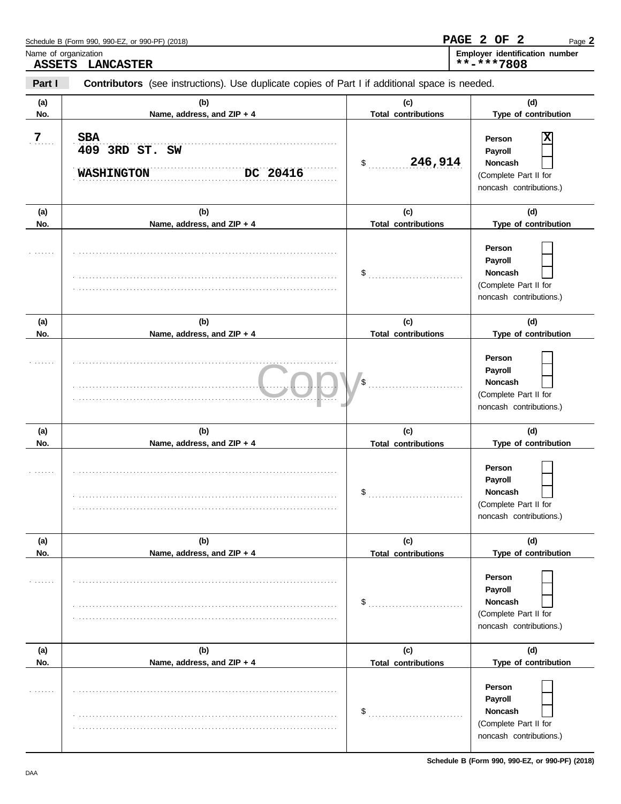| Name of organization<br><b>ASSETS</b> | <b>LANCASTER</b>                                                                               |                                      | Employer identification number<br>**-****7808                                                                   |
|---------------------------------------|------------------------------------------------------------------------------------------------|--------------------------------------|-----------------------------------------------------------------------------------------------------------------|
| Part I                                | Contributors (see instructions). Use duplicate copies of Part I if additional space is needed. |                                      |                                                                                                                 |
| (a)<br>No.                            | (b)<br>Name, address, and ZIP + 4                                                              | (c)<br><b>Total contributions</b>    | (d)<br>Type of contribution                                                                                     |
| $\overline{7}$                        | <b>SBA</b><br>409 3RD ST. SW<br><b>WASHINGTON</b><br>DC 20416                                  | 246,914<br>$\mathsf{\$}$             | X<br>Person<br>Payroll<br><b>Noncash</b><br>(Complete Part II for<br>noncash contributions.)                    |
| (a)<br>No.                            | (b)<br>Name, address, and ZIP + 4                                                              | (c)<br><b>Total contributions</b>    | (d)<br>Type of contribution                                                                                     |
| 1.1.1.1                               |                                                                                                |                                      | Person<br>Payroll<br>Noncash<br>(Complete Part II for<br>noncash contributions.)                                |
| (a)<br>No.                            | (b)<br>Name, address, and ZIP + 4                                                              | (c)<br><b>Total contributions</b>    | (d)<br>Type of contribution                                                                                     |
| .                                     |                                                                                                | $\sqrt{3}$                           | Person<br>Payroll<br>Noncash<br>(Complete Part II for<br>noncash contributions.)                                |
| (a)<br>No.                            | (b)<br>Name, address, and ZIP + 4                                                              | (c)<br><b>Total contributions</b>    | (d)<br>Type of contribution                                                                                     |
|                                       |                                                                                                | \$                                   | Person<br>Payroll<br>Noncash<br>(Complete Part II for<br>noncash contributions.)                                |
| (a)                                   | (b)                                                                                            | (c)                                  | (d)                                                                                                             |
| No.                                   | Name, address, and ZIP + 4                                                                     | <b>Total contributions</b><br>$\sim$ | Type of contribution<br>Person<br>Payroll<br><b>Noncash</b><br>(Complete Part II for<br>noncash contributions.) |
| (a)<br>No.                            | (b)<br>Name, address, and ZIP + 4                                                              | (c)<br><b>Total contributions</b>    | (d)<br>Type of contribution                                                                                     |
|                                       |                                                                                                | \$                                   | Person<br>Payroll<br><b>Noncash</b><br>(Complete Part II for<br>noncash contributions.)                         |

Page **2**

**PAGE 2 OF 2**

Schedule B (Form 990, 990-EZ, or 990-PF) (2018)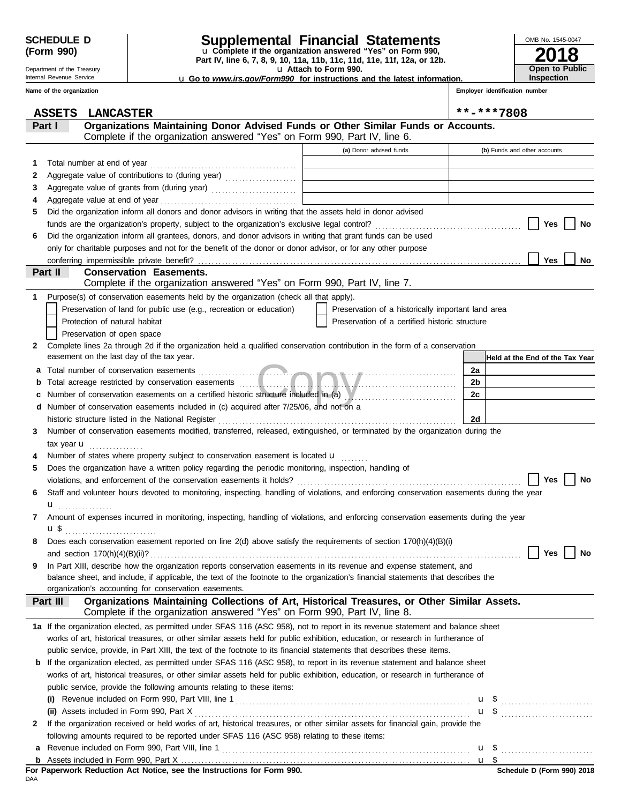Department of the Treasury Internal Revenue Service **Name of the organization**

### **SCHEDULE D Supplemental Financial Statements**

u **Attach to Form 990. Part IV, line 6, 7, 8, 9, 10, 11a, 11b, 11c, 11d, 11e, 11f, 12a, or 12b.** u **Complete if the organization answered "Yes" on Form 990,**

**2018** OMB No. 1545-0047 **Open to Public Inspection**

u **Go to** *www.irs.gov/Form990* **for instructions and the latest information.**

**Employer identification number**

|              | <b>ASSETS</b><br><b>LANCASTER</b>                                                                                                                                      |                                                                            | **-***7808                      |
|--------------|------------------------------------------------------------------------------------------------------------------------------------------------------------------------|----------------------------------------------------------------------------|---------------------------------|
|              | Organizations Maintaining Donor Advised Funds or Other Similar Funds or Accounts.<br>Part I                                                                            |                                                                            |                                 |
|              | Complete if the organization answered "Yes" on Form 990, Part IV, line 6.                                                                                              |                                                                            |                                 |
|              |                                                                                                                                                                        | (a) Donor advised funds                                                    | (b) Funds and other accounts    |
| 1.           |                                                                                                                                                                        |                                                                            |                                 |
| 2            | Aggregate value of contributions to (during year) [10] Aggregate value of contributions to (during year)                                                               | the control of the control of the control of the control of the control of |                                 |
| 3            |                                                                                                                                                                        |                                                                            |                                 |
| 4            | Aggregate value at end of year                                                                                                                                         |                                                                            |                                 |
| 5            | Did the organization inform all donors and donor advisors in writing that the assets held in donor advised                                                             |                                                                            |                                 |
|              |                                                                                                                                                                        |                                                                            | Yes<br>No                       |
| 6            | Did the organization inform all grantees, donors, and donor advisors in writing that grant funds can be used                                                           |                                                                            |                                 |
|              | only for charitable purposes and not for the benefit of the donor or donor advisor, or for any other purpose                                                           |                                                                            |                                 |
|              |                                                                                                                                                                        |                                                                            | Yes<br>No.                      |
|              | Part II<br><b>Conservation Easements.</b>                                                                                                                              |                                                                            |                                 |
|              | Complete if the organization answered "Yes" on Form 990, Part IV, line 7.                                                                                              |                                                                            |                                 |
| 1            | Purpose(s) of conservation easements held by the organization (check all that apply).                                                                                  |                                                                            |                                 |
|              | Preservation of land for public use (e.g., recreation or education)                                                                                                    | Preservation of a historically important land area                         |                                 |
|              | Protection of natural habitat                                                                                                                                          | Preservation of a certified historic structure                             |                                 |
|              | Preservation of open space                                                                                                                                             |                                                                            |                                 |
| $\mathbf{2}$ | Complete lines 2a through 2d if the organization held a qualified conservation contribution in the form of a conservation<br>easement on the last day of the tax year. |                                                                            |                                 |
|              |                                                                                                                                                                        |                                                                            | Held at the End of the Tax Year |
| а            |                                                                                                                                                                        |                                                                            | 2a                              |
| b            |                                                                                                                                                                        |                                                                            | 2b<br>2c                        |
| c            | Number of conservation easements on a certified historic structure included in (a) Municipal conservation easements on a certified historic structure included in (a)  |                                                                            |                                 |
|              | d Number of conservation easements included in (c) acquired after 7/25/06, and not on a<br>historic structure listed in the National Register                          |                                                                            | 2d                              |
| 3            | Number of conservation easements modified, transferred, released, extinguished, or terminated by the organization during the                                           |                                                                            |                                 |
|              |                                                                                                                                                                        |                                                                            |                                 |
|              | tax year $\mathbf u$<br>Number of states where property subject to conservation easement is located <b>u</b>                                                           |                                                                            |                                 |
| 4            |                                                                                                                                                                        |                                                                            |                                 |
| 5            | Does the organization have a written policy regarding the periodic monitoring, inspection, handling of                                                                 |                                                                            | Yes<br>No                       |
| 6            | Staff and volunteer hours devoted to monitoring, inspecting, handling of violations, and enforcing conservation easements during the year                              |                                                                            |                                 |
|              |                                                                                                                                                                        |                                                                            |                                 |
| 7            | u <sub></sub><br>Amount of expenses incurred in monitoring, inspecting, handling of violations, and enforcing conservation easements during the year                   |                                                                            |                                 |
|              | u\$                                                                                                                                                                    |                                                                            |                                 |
| 8            | Does each conservation easement reported on line 2(d) above satisfy the requirements of section 170(h)(4)(B)(i)                                                        |                                                                            |                                 |
|              | and section $170(h)(4)(B)(ii)?$                                                                                                                                        |                                                                            | Yes<br>No                       |
| 9            | In Part XIII, describe how the organization reports conservation easements in its revenue and expense statement, and                                                   |                                                                            |                                 |
|              | balance sheet, and include, if applicable, the text of the footnote to the organization's financial statements that describes the                                      |                                                                            |                                 |
|              | organization's accounting for conservation easements.                                                                                                                  |                                                                            |                                 |
|              | Organizations Maintaining Collections of Art, Historical Treasures, or Other Similar Assets.<br>Part III                                                               |                                                                            |                                 |
|              | Complete if the organization answered "Yes" on Form 990, Part IV, line 8.                                                                                              |                                                                            |                                 |
|              | 1a If the organization elected, as permitted under SFAS 116 (ASC 958), not to report in its revenue statement and balance sheet                                        |                                                                            |                                 |
|              | works of art, historical treasures, or other similar assets held for public exhibition, education, or research in furtherance of                                       |                                                                            |                                 |
|              | public service, provide, in Part XIII, the text of the footnote to its financial statements that describes these items.                                                |                                                                            |                                 |
|              | <b>b</b> If the organization elected, as permitted under SFAS 116 (ASC 958), to report in its revenue statement and balance sheet                                      |                                                                            |                                 |
|              | works of art, historical treasures, or other similar assets held for public exhibition, education, or research in furtherance of                                       |                                                                            |                                 |
|              | public service, provide the following amounts relating to these items:                                                                                                 |                                                                            |                                 |
|              |                                                                                                                                                                        |                                                                            |                                 |
|              |                                                                                                                                                                        |                                                                            |                                 |
| 2            | If the organization received or held works of art, historical treasures, or other similar assets for financial gain, provide the                                       |                                                                            |                                 |
|              | following amounts required to be reported under SFAS 116 (ASC 958) relating to these items:                                                                            |                                                                            |                                 |
| а            |                                                                                                                                                                        |                                                                            |                                 |
|              |                                                                                                                                                                        |                                                                            |                                 |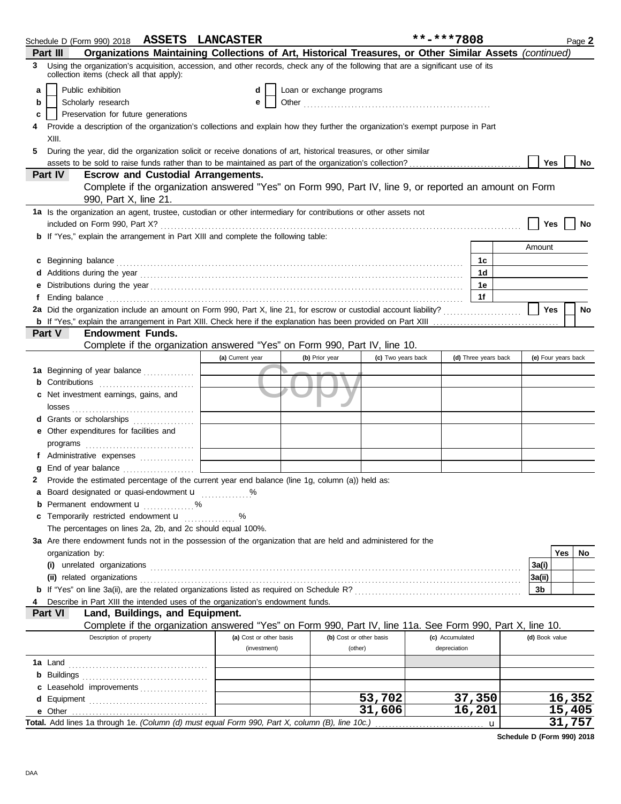|    | Schedule D (Form 990) 2018 ASSETS LANCASTER                                                                                                                                                                                    |                         |                           |                    | **-***7808      |                      |                     |        | Page 2    |
|----|--------------------------------------------------------------------------------------------------------------------------------------------------------------------------------------------------------------------------------|-------------------------|---------------------------|--------------------|-----------------|----------------------|---------------------|--------|-----------|
|    | Organizations Maintaining Collections of Art, Historical Treasures, or Other Similar Assets (continued)<br>Part III                                                                                                            |                         |                           |                    |                 |                      |                     |        |           |
| 3  | Using the organization's acquisition, accession, and other records, check any of the following that are a significant use of its<br>collection items (check all that apply):                                                   |                         |                           |                    |                 |                      |                     |        |           |
| a  | Public exhibition                                                                                                                                                                                                              | d                       | Loan or exchange programs |                    |                 |                      |                     |        |           |
| b  | Scholarly research                                                                                                                                                                                                             | е                       |                           |                    |                 |                      |                     |        |           |
| c  | Preservation for future generations                                                                                                                                                                                            |                         |                           |                    |                 |                      |                     |        |           |
|    | Provide a description of the organization's collections and explain how they further the organization's exempt purpose in Part                                                                                                 |                         |                           |                    |                 |                      |                     |        |           |
|    | XIII.                                                                                                                                                                                                                          |                         |                           |                    |                 |                      |                     |        |           |
| 5. | During the year, did the organization solicit or receive donations of art, historical treasures, or other similar                                                                                                              |                         |                           |                    |                 |                      |                     |        |           |
|    | assets to be sold to raise funds rather than to be maintained as part of the organization's collection?                                                                                                                        |                         |                           |                    |                 |                      | Yes                 |        | No        |
|    | Part IV<br><b>Escrow and Custodial Arrangements.</b>                                                                                                                                                                           |                         |                           |                    |                 |                      |                     |        |           |
|    | Complete if the organization answered "Yes" on Form 990, Part IV, line 9, or reported an amount on Form<br>990, Part X, line 21.                                                                                               |                         |                           |                    |                 |                      |                     |        |           |
|    | 1a Is the organization an agent, trustee, custodian or other intermediary for contributions or other assets not                                                                                                                |                         |                           |                    |                 |                      |                     |        |           |
|    |                                                                                                                                                                                                                                |                         |                           |                    |                 |                      | Yes                 |        | No        |
|    | <b>b</b> If "Yes," explain the arrangement in Part XIII and complete the following table:                                                                                                                                      |                         |                           |                    |                 |                      |                     |        |           |
|    |                                                                                                                                                                                                                                |                         |                           |                    |                 |                      | Amount              |        |           |
|    | c Beginning balance                                                                                                                                                                                                            |                         |                           |                    |                 | 1c                   |                     |        |           |
|    |                                                                                                                                                                                                                                |                         |                           |                    |                 | 1 <sub>d</sub>       |                     |        |           |
|    |                                                                                                                                                                                                                                |                         |                           |                    |                 | 1e                   |                     |        |           |
|    | Ending balance contains and a series of the contact of the contact of the contact of the contact of the contact of the contact of the contact of the contact of the contact of the contact of the contact of the contact of th |                         |                           |                    |                 | 1f                   |                     |        |           |
|    |                                                                                                                                                                                                                                |                         |                           |                    |                 |                      | Yes                 |        | <b>No</b> |
|    |                                                                                                                                                                                                                                |                         |                           |                    |                 |                      |                     |        |           |
|    | <b>Endowment Funds.</b><br>Part V                                                                                                                                                                                              |                         |                           |                    |                 |                      |                     |        |           |
|    | Complete if the organization answered "Yes" on Form 990, Part IV, line 10.                                                                                                                                                     |                         |                           |                    |                 |                      |                     |        |           |
|    |                                                                                                                                                                                                                                | (a) Current year        | (b) Prior year            | (c) Two years back |                 | (d) Three years back | (e) Four years back |        |           |
|    | <b>1a</b> Beginning of year balance                                                                                                                                                                                            |                         |                           |                    |                 |                      |                     |        |           |
|    | Contributions <b>Contributions</b>                                                                                                                                                                                             |                         |                           |                    |                 |                      |                     |        |           |
| c  | Net investment earnings, gains, and                                                                                                                                                                                            |                         |                           |                    |                 |                      |                     |        |           |
|    |                                                                                                                                                                                                                                |                         |                           |                    |                 |                      |                     |        |           |
|    | <b>d</b> Grants or scholarships<br>.                                                                                                                                                                                           |                         |                           |                    |                 |                      |                     |        |           |
| е  | Other expenditures for facilities and                                                                                                                                                                                          |                         |                           |                    |                 |                      |                     |        |           |
|    |                                                                                                                                                                                                                                |                         |                           |                    |                 |                      |                     |        |           |
|    | f Administrative expenses                                                                                                                                                                                                      |                         |                           |                    |                 |                      |                     |        |           |
|    | End of year balance <i>[[[[[[[[[[[[[[[[[[[[[[[[[[[[[]]]</i> ]]]                                                                                                                                                                |                         |                           |                    |                 |                      |                     |        |           |
| 2  | Provide the estimated percentage of the current year end balance (line 1g, column (a)) held as:                                                                                                                                |                         |                           |                    |                 |                      |                     |        |           |
|    | a Board designated or quasi-endowment u                                                                                                                                                                                        |                         |                           |                    |                 |                      |                     |        |           |
|    | <b>b</b> Permanent endowment $\mathbf{u}$ %<br>c Temporarily restricted endowment <b>u</b>                                                                                                                                     | %                       |                           |                    |                 |                      |                     |        |           |
|    | The percentages on lines 2a, 2b, and 2c should equal 100%.                                                                                                                                                                     |                         |                           |                    |                 |                      |                     |        |           |
|    | 3a Are there endowment funds not in the possession of the organization that are held and administered for the                                                                                                                  |                         |                           |                    |                 |                      |                     |        |           |
|    | organization by:                                                                                                                                                                                                               |                         |                           |                    |                 |                      |                     | Yes    | No.       |
|    |                                                                                                                                                                                                                                |                         |                           |                    |                 |                      | 3a(i)               |        |           |
|    | (ii) related organizations                                                                                                                                                                                                     |                         |                           |                    |                 |                      | 3a(ii)              |        |           |
|    |                                                                                                                                                                                                                                |                         |                           |                    |                 |                      | 3b                  |        |           |
|    | Describe in Part XIII the intended uses of the organization's endowment funds.                                                                                                                                                 |                         |                           |                    |                 |                      |                     |        |           |
|    | Land, Buildings, and Equipment.<br>Part VI                                                                                                                                                                                     |                         |                           |                    |                 |                      |                     |        |           |
|    | Complete if the organization answered "Yes" on Form 990, Part IV, line 11a. See Form 990, Part X, line 10.                                                                                                                     |                         |                           |                    |                 |                      |                     |        |           |
|    | Description of property                                                                                                                                                                                                        | (a) Cost or other basis | (b) Cost or other basis   |                    | (c) Accumulated |                      | (d) Book value      |        |           |
|    |                                                                                                                                                                                                                                | (investment)            | (other)                   |                    | depreciation    |                      |                     |        |           |
|    |                                                                                                                                                                                                                                |                         |                           |                    |                 |                      |                     |        |           |
|    |                                                                                                                                                                                                                                |                         |                           |                    |                 |                      |                     |        |           |
|    | c Leasehold improvements                                                                                                                                                                                                       |                         |                           |                    |                 |                      |                     |        |           |
|    |                                                                                                                                                                                                                                |                         |                           | 53,702             |                 | 37,350               |                     | 16,352 |           |
|    | e Other                                                                                                                                                                                                                        |                         |                           | 31,606             |                 | 16,201               |                     | 15,405 |           |
|    | Total. Add lines 1a through 1e. (Column (d) must equal Form 990, Part X, column (B), line 10c.)                                                                                                                                |                         |                           |                    |                 | u                    |                     | 31,757 |           |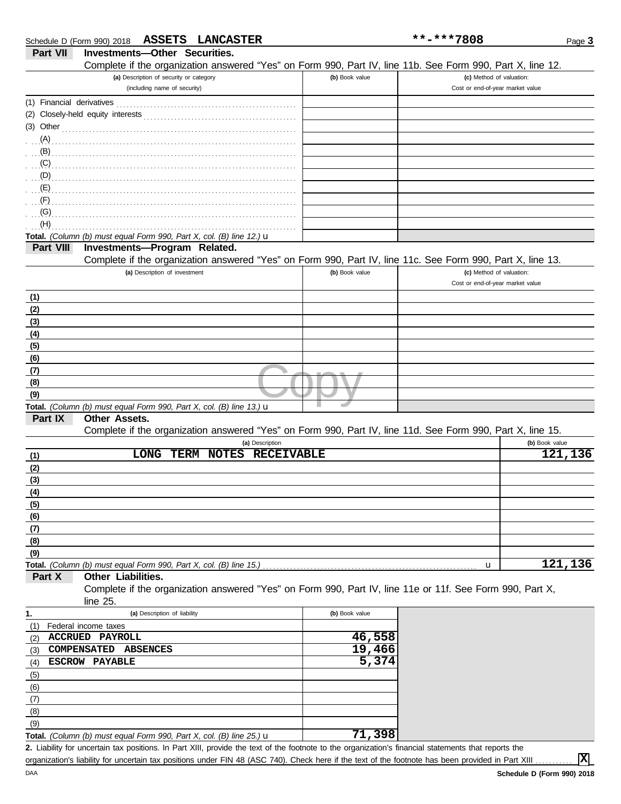|                           | Schedule D (Form 990) 2018 ASSETS LANCASTER                                                                |                | **-***7808                       | Page 3         |
|---------------------------|------------------------------------------------------------------------------------------------------------|----------------|----------------------------------|----------------|
| Part VII                  | Investments-Other Securities.                                                                              |                |                                  |                |
|                           | Complete if the organization answered "Yes" on Form 990, Part IV, line 11b. See Form 990, Part X, line 12. |                |                                  |                |
|                           | (a) Description of security or category                                                                    | (b) Book value | (c) Method of valuation:         |                |
|                           | (including name of security)                                                                               |                | Cost or end-of-year market value |                |
| (1) Financial derivatives |                                                                                                            |                |                                  |                |
|                           |                                                                                                            |                |                                  |                |
| (3) Other                 |                                                                                                            |                |                                  |                |
| $(A)$ .                   |                                                                                                            |                |                                  |                |
| (B)                       |                                                                                                            |                |                                  |                |
| (C)                       |                                                                                                            |                |                                  |                |
| (D)                       |                                                                                                            |                |                                  |                |
| (E)                       |                                                                                                            |                |                                  |                |
| (F)                       |                                                                                                            |                |                                  |                |
| (G)                       |                                                                                                            |                |                                  |                |
| (H)                       |                                                                                                            |                |                                  |                |
|                           | Total. (Column (b) must equal Form 990, Part X, col. (B) line 12.) u                                       |                |                                  |                |
| Part VIII                 | <b>Investments-Program Related.</b>                                                                        |                |                                  |                |
|                           | Complete if the organization answered "Yes" on Form 990, Part IV, line 11c. See Form 990, Part X, line 13. |                |                                  |                |
|                           | (a) Description of investment                                                                              | (b) Book value | (c) Method of valuation:         |                |
|                           |                                                                                                            |                | Cost or end-of-year market value |                |
|                           |                                                                                                            |                |                                  |                |
| (1)                       |                                                                                                            |                |                                  |                |
| (2)                       |                                                                                                            |                |                                  |                |
| (3)                       |                                                                                                            |                |                                  |                |
| (4)                       |                                                                                                            |                |                                  |                |
| (5)                       |                                                                                                            |                |                                  |                |
| (6)                       |                                                                                                            |                |                                  |                |
| (7)                       |                                                                                                            |                |                                  |                |
| (8)                       |                                                                                                            |                |                                  |                |
| (9)                       |                                                                                                            |                |                                  |                |
|                           | Total. (Column (b) must equal Form 990, Part X, col. (B) line 13.) u                                       |                |                                  |                |
| Part IX                   | <b>Other Assets.</b>                                                                                       |                |                                  |                |
|                           | Complete if the organization answered "Yes" on Form 990, Part IV, line 11d. See Form 990, Part X, line 15. |                |                                  |                |
|                           | (a) Description                                                                                            |                |                                  | (b) Book value |
| (1)                       | TERM NOTES RECEIVABLE<br>LONG                                                                              |                |                                  | 121, 136       |
| (2)                       |                                                                                                            |                |                                  |                |
| (3)                       |                                                                                                            |                |                                  |                |
| (4)                       |                                                                                                            |                |                                  |                |
| (5)                       |                                                                                                            |                |                                  |                |
| (6)                       |                                                                                                            |                |                                  |                |
| (7)                       |                                                                                                            |                |                                  |                |
| (8)                       |                                                                                                            |                |                                  |                |
| (9)                       |                                                                                                            |                |                                  |                |
|                           | Total. (Column (b) must equal Form 990, Part X, col. (B) line 15.)                                         |                | u                                | 121, 136       |
| Part X                    | Other Liabilities.                                                                                         |                |                                  |                |
|                           | Complete if the organization answered "Yes" on Form 990, Part IV, line 11e or 11f. See Form 990, Part X,   |                |                                  |                |
|                           | line 25.                                                                                                   |                |                                  |                |
| 1.                        | (a) Description of liability                                                                               | (b) Book value |                                  |                |
| (1)                       | Federal income taxes                                                                                       |                |                                  |                |
| (2)                       | ACCRUED PAYROLL                                                                                            | 46,558         |                                  |                |
| (3)                       | <b>COMPENSATED</b><br><b>ABSENCES</b>                                                                      | 19,466         |                                  |                |
| (4)                       | <b>ESCROW PAYABLE</b>                                                                                      | 5,374          |                                  |                |
| (5)                       |                                                                                                            |                |                                  |                |
| (6)                       |                                                                                                            |                |                                  |                |
| (7)                       |                                                                                                            |                |                                  |                |
| (8)                       |                                                                                                            |                |                                  |                |
| (9)                       |                                                                                                            |                |                                  |                |

| <b>Total.</b> (Column (b) must equal Form 990, Part X, col. (B) line $25$ .) <b>u</b>                                 |  |
|-----------------------------------------------------------------------------------------------------------------------|--|
| A littliffe for considering and articles. In Bran VIII, and discussed the formation in the consideration formation of |  |

Liability for uncertain tax positions. In Part XIII, provide the text of the footnote to the organization's financial statements that reports the **2.** organization's liability for uncertain tax positions under FIN 48 (ASC 740). Check here if the text of the footnote has been provided in Part XIII

**X**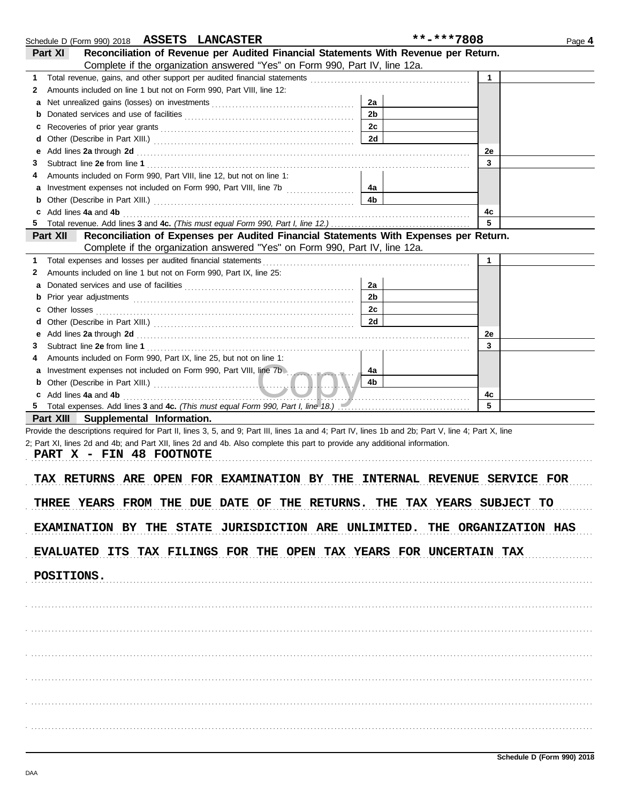|                                     | Schedule D (Form 990) 2018 ASSETS LANCASTER                                                                                                                                                                                    | **-***7808     |              | Page 4 |
|-------------------------------------|--------------------------------------------------------------------------------------------------------------------------------------------------------------------------------------------------------------------------------|----------------|--------------|--------|
| Part XI                             | Reconciliation of Revenue per Audited Financial Statements With Revenue per Return.                                                                                                                                            |                |              |        |
|                                     | Complete if the organization answered "Yes" on Form 990, Part IV, line 12a.                                                                                                                                                    |                |              |        |
| 1                                   |                                                                                                                                                                                                                                |                | $\mathbf{1}$ |        |
| 2                                   | Amounts included on line 1 but not on Form 990, Part VIII, line 12:                                                                                                                                                            |                |              |        |
| а                                   |                                                                                                                                                                                                                                | 2a             |              |        |
| b                                   |                                                                                                                                                                                                                                | 2 <sub>b</sub> |              |        |
| c                                   |                                                                                                                                                                                                                                | 2c             |              |        |
| d                                   |                                                                                                                                                                                                                                | 2d             |              |        |
| е                                   | Add lines 2a through 2d [11] Additional Property and Property and Property and Property and Property and Property and Property and Property and Property and Property and Property and Property and Property and Property and  |                | 2e           |        |
| З                                   |                                                                                                                                                                                                                                |                | 3            |        |
| 4                                   | Amounts included on Form 990, Part VIII, line 12, but not on line 1:                                                                                                                                                           |                |              |        |
| а                                   |                                                                                                                                                                                                                                | 4а             |              |        |
| b                                   |                                                                                                                                                                                                                                | 4b             |              |        |
| c Add lines 4a and 4b               |                                                                                                                                                                                                                                |                | 4c           |        |
| 5                                   |                                                                                                                                                                                                                                |                | 5            |        |
| <b>Part XII</b>                     | Reconciliation of Expenses per Audited Financial Statements With Expenses per Return.                                                                                                                                          |                |              |        |
|                                     | Complete if the organization answered "Yes" on Form 990, Part IV, line 12a.                                                                                                                                                    |                |              |        |
| 1                                   | Total expenses and losses per audited financial statements                                                                                                                                                                     |                | $\mathbf{1}$ |        |
| 2                                   | Amounts included on line 1 but not on Form 990, Part IX, line 25:                                                                                                                                                              |                |              |        |
| а                                   |                                                                                                                                                                                                                                | 2a             |              |        |
| b                                   |                                                                                                                                                                                                                                | 2b             |              |        |
| <b>c</b> Other losses               |                                                                                                                                                                                                                                | 2c             |              |        |
| d                                   |                                                                                                                                                                                                                                | 2d             |              |        |
| е                                   |                                                                                                                                                                                                                                |                | 2e           |        |
| 3                                   | Add lines 2a through 2d [11] Additional Property and Table 1 and Table 1 and Table 1 and Table 1 and Table 1 and Table 1 and Table 1 and Table 1 and Table 1 and Table 1 and Table 1 and Table 1 and Table 1 and Table 1 and T |                | 3            |        |
| 4                                   | Amounts included on Form 990, Part IX, line 25, but not on line 1:                                                                                                                                                             |                |              |        |
|                                     | Investment expenses not included on Form 990, Part VIII, line 7b.                                                                                                                                                              | 4a             |              |        |
| а                                   |                                                                                                                                                                                                                                | 4b             |              |        |
|                                     |                                                                                                                                                                                                                                |                |              |        |
| c Add lines 4a and 4b<br>5.         | Total expenses. Add lines 3 and 4c. (This must equal Form 990, Part I, line 18.) [100] Total expenses. Add lines 3 and 4c. (This must equal Form 990, Part I, line 18.)                                                        |                | 4с<br>5      |        |
| Part XIII Supplemental Information. |                                                                                                                                                                                                                                |                |              |        |
|                                     | Provide the descriptions required for Part II, lines 3, 5, and 9; Part III, lines 1a and 4; Part IV, lines 1b and 2b; Part V, line 4; Part X, line                                                                             |                |              |        |
|                                     | 2; Part XI, lines 2d and 4b; and Part XII, lines 2d and 4b. Also complete this part to provide any additional information.                                                                                                     |                |              |        |
| PART X - FIN 48 FOOTNOTE            |                                                                                                                                                                                                                                |                |              |        |
|                                     |                                                                                                                                                                                                                                |                |              |        |
|                                     | TAX RETURNS ARE OPEN FOR EXAMINATION BY THE INTERNAL REVENUE SERVICE FOR                                                                                                                                                       |                |              |        |
|                                     |                                                                                                                                                                                                                                |                |              |        |
|                                     | THREE YEARS FROM THE DUE DATE OF THE RETURNS. THE TAX YEARS SUBJECT TO                                                                                                                                                         |                |              |        |
|                                     |                                                                                                                                                                                                                                |                |              |        |
|                                     | EXAMINATION BY THE STATE JURISDICTION ARE UNLIMITED. THE ORGANIZATION HAS                                                                                                                                                      |                |              |        |
|                                     |                                                                                                                                                                                                                                |                |              |        |
|                                     | EVALUATED ITS TAX FILINGS FOR THE OPEN TAX YEARS FOR UNCERTAIN TAX                                                                                                                                                             |                |              |        |
|                                     |                                                                                                                                                                                                                                |                |              |        |
| POSITIONS.                          |                                                                                                                                                                                                                                |                |              |        |
|                                     |                                                                                                                                                                                                                                |                |              |        |
|                                     |                                                                                                                                                                                                                                |                |              |        |
|                                     |                                                                                                                                                                                                                                |                |              |        |
|                                     |                                                                                                                                                                                                                                |                |              |        |
|                                     |                                                                                                                                                                                                                                |                |              |        |
|                                     |                                                                                                                                                                                                                                |                |              |        |
|                                     |                                                                                                                                                                                                                                |                |              |        |
|                                     |                                                                                                                                                                                                                                |                |              |        |
|                                     |                                                                                                                                                                                                                                |                |              |        |
|                                     |                                                                                                                                                                                                                                |                |              |        |
|                                     |                                                                                                                                                                                                                                |                |              |        |
|                                     |                                                                                                                                                                                                                                |                |              |        |
|                                     |                                                                                                                                                                                                                                |                |              |        |
|                                     |                                                                                                                                                                                                                                |                |              |        |
|                                     |                                                                                                                                                                                                                                |                |              |        |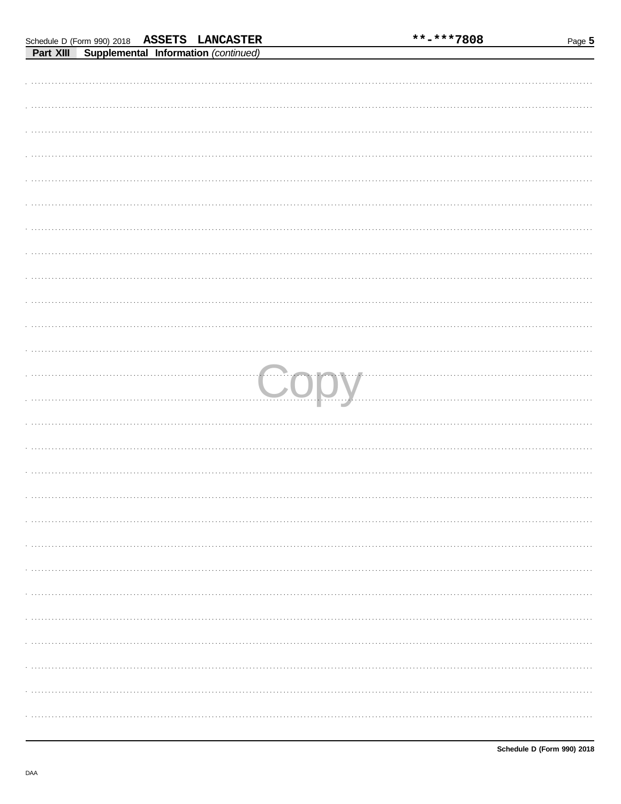| $\mathbf{m}$ |      |
|--------------|------|
|              |      |
|              |      |
|              |      |
|              |      |
|              |      |
|              |      |
|              |      |
|              |      |
|              |      |
|              |      |
|              |      |
|              |      |
|              |      |
|              |      |
|              |      |
|              |      |
|              |      |
|              |      |
|              |      |
|              |      |
|              | Copy |
|              |      |
|              |      |
|              |      |
|              |      |
|              |      |
|              |      |
|              |      |
|              |      |
|              |      |
|              |      |
|              |      |
|              |      |
|              |      |
|              |      |
|              |      |
|              |      |
|              |      |
|              |      |
|              |      |
|              |      |
|              |      |
|              |      |
|              |      |
|              |      |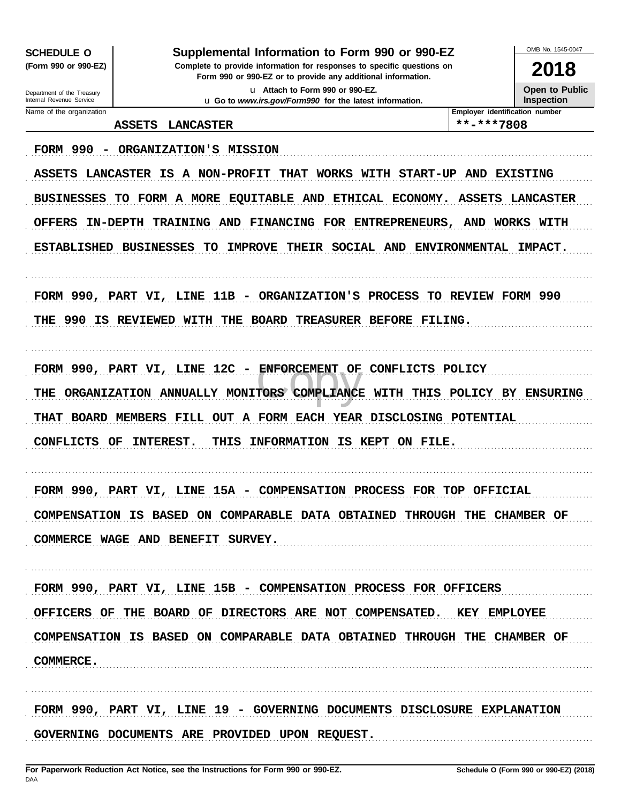**SCHEDULE O** (Form 990 or 990-EZ)

### Supplemental Information to Form 990 or 990-EZ

Complete to provide information for responses to specific questions on Form 990 or 990-EZ or to provide any additional information. u Attach to Form 990 or 990-EZ.

u Go to www.irs.gov/Form990 for the latest information.

OMB No 1545-0047

2018 Open to Public

Inspection

Department of the Treasury Internal Revenue Service Name of the organization

### ASSETS LANCASTER

\*\*-\*\*\*\*7808

Employer identification number

FORM 990 - ORGANIZATION'S MISSION ASSETS LANCASTER IS A NON-PROFIT THAT WORKS WITH START-UP AND EXISTING BUSINESSES TO FORM A MORE EQUITABLE AND ETHICAL ECONOMY. ASSETS LANCASTER OFFERS IN-DEPTH TRAINING AND FINANCING FOR ENTREPRENEURS, AND WORKS WITH ESTABLISHED BUSINESSES TO IMPROVE THEIR SOCIAL AND ENVIRONMENTAL IMPACT. FORM 990, PART VI, LINE 11B - ORGANIZATION'S PROCESS TO REVIEW FORM 990 THE 990 IS REVIEWED WITH THE BOARD TREASURER BEFORE FILING. FORM 990, PART VI, LINE 12C - ENFORCEMENT OF CONFLICTS POLICY THE ORGANIZATION ANNUALLY MONITORS COMPLIANCE WITH THIS POLICY BY ENSURING THAT BOARD MEMBERS FILL OUT A FORM EACH YEAR DISCLOSING POTENTIAL CONFLICTS OF INTEREST. THIS INFORMATION IS KEPT ON FILE. FORM 990, PART VI, LINE 15A - COMPENSATION PROCESS FOR TOP OFFICIAL COMPENSATION IS BASED ON COMPARABLE DATA OBTAINED THROUGH THE CHAMBER OF COMMERCE WAGE AND BENEFIT SURVEY. FORM 990, PART VI, LINE 15B - COMPENSATION PROCESS FOR OFFICERS OFFICERS OF THE BOARD OF DIRECTORS ARE NOT COMPENSATED. KEY EMPLOYEE COMPENSATION IS BASED ON COMPARABLE DATA OBTAINED THROUGH THE CHAMBER OF COMMERCE. FORM 990, PART VI, LINE 19 - GOVERNING DOCUMENTS DISCLOSURE EXPLANATION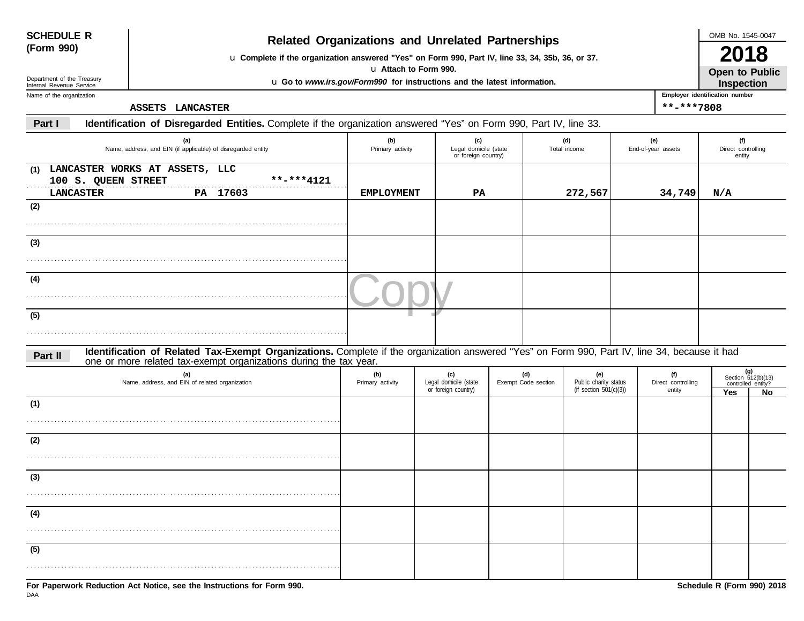| <b>SCHEDULE R</b> |  |
|-------------------|--|
| (Form 990)        |  |

# **(Form 990) Related Organizations and Unrelated Partnerships**

u **Complete if the organization answered "Yes" on Form 990, Part IV, line 33, 34, 35b, 36, or 37.**

u **Attach to Form 990.**

u **Go to** *www.irs.gov/Form990* **for instructions and the latest information.**

Department of the Treasury Internal Revenue Service Name of the organization

**ASSETS LANCASTER \*\*-\*\*\*7808**

**Employer identification number Open to Public Inspection**

**Part I Identification of Disregarded Entities.** Complete if the organization answered "Yes" on Form 990, Part IV, line 33.

| (a)<br>Name, address, and EIN (if applicable) of disregarded entity                                                                                                                                                        | (b)<br>Primary activity | (c)<br>Legal domicile (state<br>or foreign country) |                            | (d)<br>Total income                                       | (e)<br>End-of-year assets           | (f)<br>Direct controlling<br>entity |                                                         |
|----------------------------------------------------------------------------------------------------------------------------------------------------------------------------------------------------------------------------|-------------------------|-----------------------------------------------------|----------------------------|-----------------------------------------------------------|-------------------------------------|-------------------------------------|---------------------------------------------------------|
| (1) LANCASTER WORKS AT ASSETS, LLC<br>100 S. QUEEN STREET<br>**-***4121<br><b>LANCASTER</b><br>PA 17603<br>(2)                                                                                                             | EMPLOYMENT              | PA                                                  |                            | 272,567                                                   | 34,749                              | N/A                                 |                                                         |
|                                                                                                                                                                                                                            |                         |                                                     |                            |                                                           |                                     |                                     |                                                         |
| (3)                                                                                                                                                                                                                        |                         |                                                     |                            |                                                           |                                     |                                     |                                                         |
| (4)                                                                                                                                                                                                                        |                         |                                                     |                            |                                                           |                                     |                                     |                                                         |
| (5)                                                                                                                                                                                                                        |                         |                                                     |                            |                                                           |                                     |                                     |                                                         |
| Identification of Related Tax-Exempt Organizations. Complete if the organization answered "Yes" on Form 990, Part IV, line 34, because it had one or more related tax-exempt organizations during the tax year.<br>Part II |                         |                                                     |                            |                                                           |                                     |                                     |                                                         |
| (a)<br>Name, address, and EIN of related organization                                                                                                                                                                      | (b)<br>Primary activity | (c)<br>Legal domicile (state<br>or foreign country) | (d)<br>Exempt Code section | (e)<br>Public charity status<br>(if section $501(c)(3)$ ) | (f)<br>Direct controlling<br>entity | Yes                                 | $(g)$<br>Section 512(b)(13)<br>controlled entity?<br>No |
| (1)                                                                                                                                                                                                                        |                         |                                                     |                            |                                                           |                                     |                                     |                                                         |
| (2)                                                                                                                                                                                                                        |                         |                                                     |                            |                                                           |                                     |                                     |                                                         |
| (3)                                                                                                                                                                                                                        |                         |                                                     |                            |                                                           |                                     |                                     |                                                         |
| (4)                                                                                                                                                                                                                        |                         |                                                     |                            |                                                           |                                     |                                     |                                                         |
| (5)                                                                                                                                                                                                                        |                         |                                                     |                            |                                                           |                                     |                                     |                                                         |
|                                                                                                                                                                                                                            |                         |                                                     |                            |                                                           |                                     |                                     |                                                         |

OMB No. 1545-0047

**2018**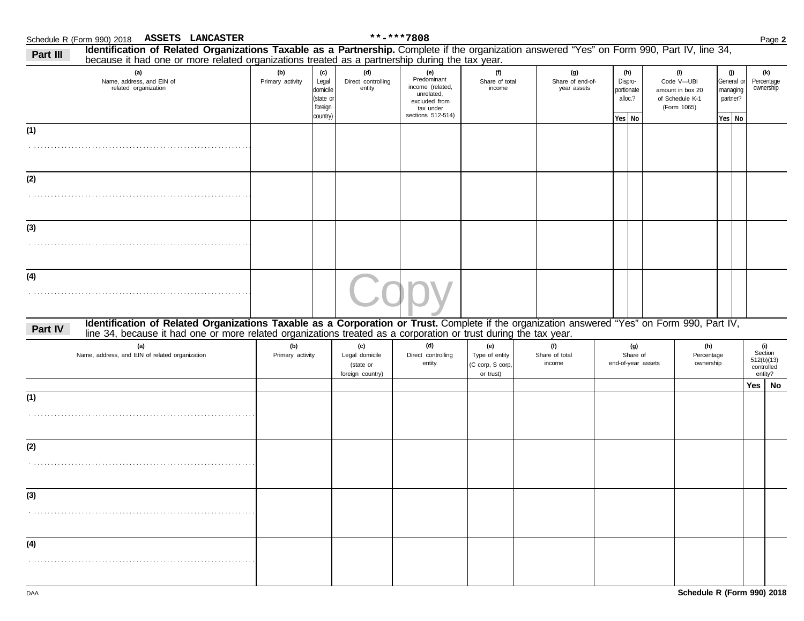| Identification of Related Organizations Taxable as a Partnership. Complete if the organization answered "Yes" on Form 990, Part IV, line 34,<br>Part III<br>because it had one or more related organizations treated as a partnership during the tax year.                  |                         |                                                              |                                                        |                                                                                                         |                                                        |                                 |                                        |                                                   |                                       |                                                                         |                                |                                                       |                                                       |
|-----------------------------------------------------------------------------------------------------------------------------------------------------------------------------------------------------------------------------------------------------------------------------|-------------------------|--------------------------------------------------------------|--------------------------------------------------------|---------------------------------------------------------------------------------------------------------|--------------------------------------------------------|---------------------------------|----------------------------------------|---------------------------------------------------|---------------------------------------|-------------------------------------------------------------------------|--------------------------------|-------------------------------------------------------|-------------------------------------------------------|
| (a)<br>Name, address, and EIN of<br>related organization                                                                                                                                                                                                                    | (b)<br>Primary activity | (c)<br>Legal<br>domicile<br>(state or<br>foreign<br>country) | (d)<br>Direct controlling<br>entity                    | (e)<br>Predominant<br>income (related,<br>unrelated,<br>excluded from<br>tax under<br>sections 512-514) | (f)<br>Share of total<br>income                        |                                 | (g)<br>Share of end-of-<br>year assets | (h)<br>Dispro-<br>portionate<br>alloc.?<br>Yes No |                                       | (i)<br>Code V-UBI<br>amount in box 20<br>of Schedule K-1<br>(Form 1065) |                                | (j)<br>General or<br>managing<br>partner?<br>Yes   No | (k)<br>Percentage<br>ownership                        |
| (1)                                                                                                                                                                                                                                                                         |                         |                                                              |                                                        |                                                                                                         |                                                        |                                 |                                        |                                                   |                                       |                                                                         |                                |                                                       |                                                       |
| (2)                                                                                                                                                                                                                                                                         |                         |                                                              |                                                        |                                                                                                         |                                                        |                                 |                                        |                                                   |                                       |                                                                         |                                |                                                       |                                                       |
| (3)                                                                                                                                                                                                                                                                         |                         |                                                              |                                                        |                                                                                                         |                                                        |                                 |                                        |                                                   |                                       |                                                                         |                                |                                                       |                                                       |
| (4)                                                                                                                                                                                                                                                                         |                         |                                                              |                                                        |                                                                                                         |                                                        |                                 |                                        |                                                   |                                       |                                                                         |                                |                                                       |                                                       |
| Identification of Related Organizations Taxable as a Corporation or Trust. Complete if the organization answered "Yes" on Form 990, Part IV,<br>Part IV<br>line 34, because it had one or more related organizations treated as a corporation or trust during the tax year. |                         |                                                              |                                                        |                                                                                                         |                                                        |                                 |                                        |                                                   |                                       |                                                                         |                                |                                                       |                                                       |
| (a)<br>Name, address, and EIN of related organization                                                                                                                                                                                                                       | (b)<br>Primary activity |                                                              | (c)<br>Legal domicile<br>(state or<br>foreign country) | (d)<br>Direct controlling<br>entity                                                                     | (e)<br>Type of entity<br>(C corp, S corp,<br>or trust) | (f)<br>Share of total<br>income |                                        |                                                   | (g)<br>Share of<br>end-of-year assets |                                                                         | (h)<br>Percentage<br>ownership |                                                       | (i)<br>Section<br>512(b)(13)<br>controlled<br>entity? |
| (1)                                                                                                                                                                                                                                                                         |                         |                                                              |                                                        |                                                                                                         |                                                        |                                 |                                        |                                                   |                                       |                                                                         |                                |                                                       | Yes   No                                              |
| (2)                                                                                                                                                                                                                                                                         |                         |                                                              |                                                        |                                                                                                         |                                                        |                                 |                                        |                                                   |                                       |                                                                         |                                |                                                       |                                                       |
| (3)                                                                                                                                                                                                                                                                         |                         |                                                              |                                                        |                                                                                                         |                                                        |                                 |                                        |                                                   |                                       |                                                                         |                                |                                                       |                                                       |
| (4)                                                                                                                                                                                                                                                                         |                         |                                                              |                                                        |                                                                                                         |                                                        |                                 |                                        |                                                   |                                       |                                                                         |                                |                                                       |                                                       |
|                                                                                                                                                                                                                                                                             |                         |                                                              |                                                        |                                                                                                         |                                                        |                                 |                                        |                                                   |                                       |                                                                         |                                |                                                       |                                                       |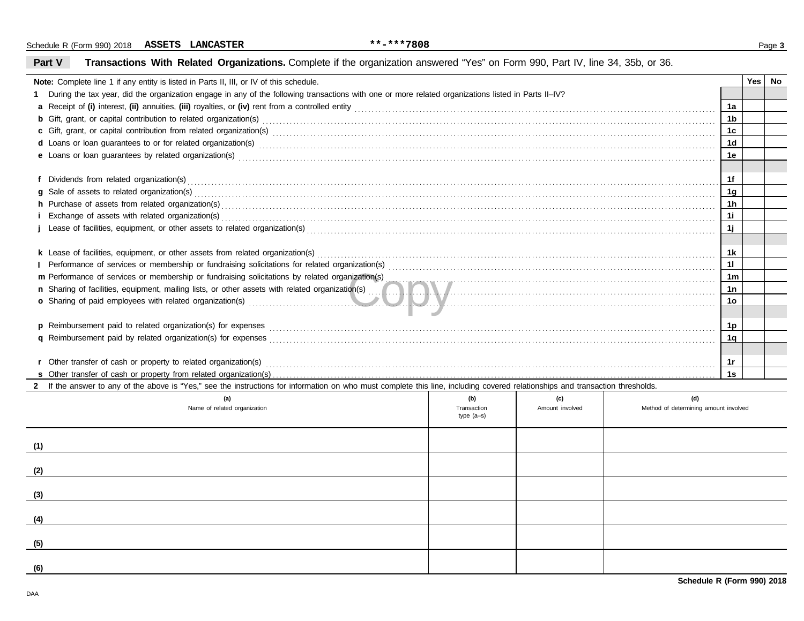| Part V | Transactions With Related Organizations. Complete if the organization answered "Yes" on Form 990, Part IV, line 34, 35b, or 36.                                                                                                |                             |                 |                                       |                |     |    |
|--------|--------------------------------------------------------------------------------------------------------------------------------------------------------------------------------------------------------------------------------|-----------------------------|-----------------|---------------------------------------|----------------|-----|----|
|        | Note: Complete line 1 if any entity is listed in Parts II, III, or IV of this schedule.                                                                                                                                        |                             |                 |                                       |                | Yes | No |
|        | 1 During the tax year, did the organization engage in any of the following transactions with one or more related organizations listed in Parts II-IV?                                                                          |                             |                 |                                       |                |     |    |
|        |                                                                                                                                                                                                                                |                             |                 |                                       | 1a             |     |    |
|        |                                                                                                                                                                                                                                |                             |                 |                                       | 1 <sub>b</sub> |     |    |
|        |                                                                                                                                                                                                                                |                             |                 |                                       |                |     |    |
|        |                                                                                                                                                                                                                                |                             |                 |                                       |                |     |    |
|        |                                                                                                                                                                                                                                |                             |                 |                                       | 1е             |     |    |
|        |                                                                                                                                                                                                                                |                             |                 |                                       | 1f             |     |    |
|        |                                                                                                                                                                                                                                |                             |                 |                                       | 1 <sub>q</sub> |     |    |
|        | h Purchase of assets from related organization(s) encourance contains and contains a container and container and container and container and container and container and container and container and container and container a |                             |                 |                                       | 1 <sub>h</sub> |     |    |
|        | i Exchange of assets with related organization(s) excess contact the control of the control of the contact of the contact of the contact of the contact of the contact of the contact of the contact of the contact of the con |                             |                 |                                       | 1i             |     |    |
|        |                                                                                                                                                                                                                                |                             |                 |                                       | 11             |     |    |
|        |                                                                                                                                                                                                                                |                             |                 |                                       |                |     |    |
|        |                                                                                                                                                                                                                                |                             |                 |                                       | 1k             |     |    |
|        |                                                                                                                                                                                                                                |                             |                 |                                       |                |     |    |
|        | m Performance of services or membership or fundraising solicitations by related organization(s)                                                                                                                                |                             |                 |                                       | 1 <sub>m</sub> |     |    |
|        |                                                                                                                                                                                                                                |                             |                 |                                       | 1n             |     |    |
|        | o Sharing of paid employees with related organization(s) entertainment and the state of the state of the state of the state of the state of the state of the state of the state of the state of the state of the state of the  |                             |                 |                                       | 10             |     |    |
|        |                                                                                                                                                                                                                                |                             |                 |                                       |                |     |    |
|        |                                                                                                                                                                                                                                |                             |                 |                                       | 1p             |     |    |
|        |                                                                                                                                                                                                                                |                             |                 |                                       | 1q             |     |    |
|        |                                                                                                                                                                                                                                |                             |                 |                                       |                |     |    |
|        |                                                                                                                                                                                                                                |                             |                 |                                       | 1r             |     |    |
|        |                                                                                                                                                                                                                                |                             |                 |                                       | 1s             |     |    |
|        | If the answer to any of the above is "Yes," see the instructions for information on who must complete this line, including covered relationships and transaction thresholds.                                                   |                             |                 |                                       |                |     |    |
|        | (a)                                                                                                                                                                                                                            | (b)                         | (c)             | (d)                                   |                |     |    |
|        | Name of related organization                                                                                                                                                                                                   | Transaction<br>type $(a-s)$ | Amount involved | Method of determining amount involved |                |     |    |
| (1)    |                                                                                                                                                                                                                                |                             |                 |                                       |                |     |    |
|        |                                                                                                                                                                                                                                |                             |                 |                                       |                |     |    |
| (2)    |                                                                                                                                                                                                                                |                             |                 |                                       |                |     |    |
| (3)    |                                                                                                                                                                                                                                |                             |                 |                                       |                |     |    |
|        |                                                                                                                                                                                                                                |                             |                 |                                       |                |     |    |

**(4)**

**(5)**

**(6)**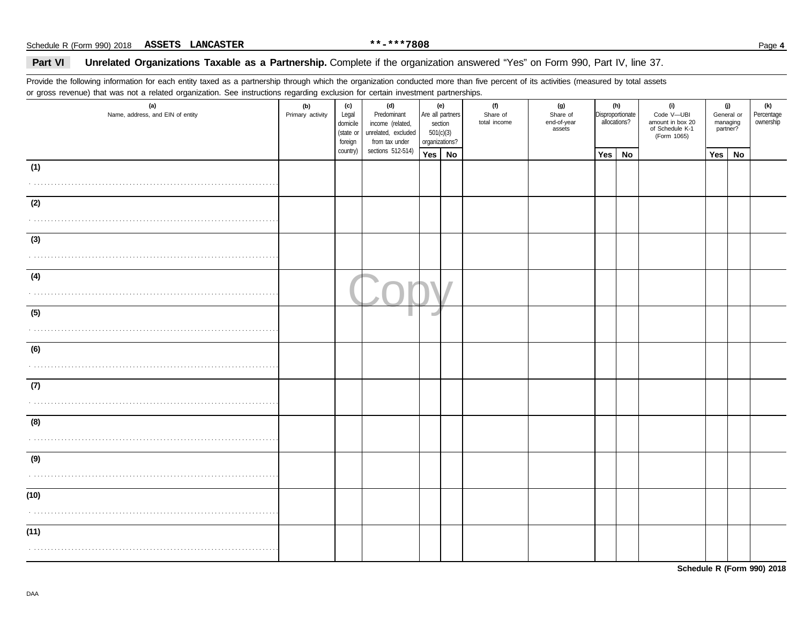### Part VI Unrelated Organizations Taxable as a Partnership. Complete if the organization answered "Yes" on Form 990, Part IV, line 37.

Provide the following information for each entity taxed as a partnership through which the organization conducted more than five percent of its activities (measured by total assets or gross revenue) that was not a related organization. See instructions regarding exclusion for certain investment partnerships.

| $5.222$ . $2.222$ . $2.222$ . $2.222$ . $2.222$<br>(a)<br>Name, address, and EIN of entity | . <del>.</del> 9 - 9<br>(b)<br>Primary activity | (c)<br>Legal<br>domicile<br>(state or<br>foreign | (d)<br>Predominant<br>income (related,<br>unrelated, excluded<br>from tax under | 501(c)(3)<br>organizations? | <u></u> .<br>(e)<br>Are all partners<br>section | (f)<br>Share of<br>total income | (g)<br>Share of<br>end-of-year<br>assets |     | (h)<br>Disproportionate<br>allocations? | (i)<br>Code V-UBI<br>amount in box 20<br>of Schedule K-1<br>(Form 1065) | managing<br>partner? | (j)<br>General or | (k)<br>Percentage<br>ownership |
|--------------------------------------------------------------------------------------------|-------------------------------------------------|--------------------------------------------------|---------------------------------------------------------------------------------|-----------------------------|-------------------------------------------------|---------------------------------|------------------------------------------|-----|-----------------------------------------|-------------------------------------------------------------------------|----------------------|-------------------|--------------------------------|
|                                                                                            |                                                 | country)                                         | sections 512-514)                                                               | Yes $\vert$ No              |                                                 |                                 |                                          | Yes | No                                      |                                                                         | Yes                  | No                |                                |
| (1)                                                                                        |                                                 |                                                  |                                                                                 |                             |                                                 |                                 |                                          |     |                                         |                                                                         |                      |                   |                                |
| (2)                                                                                        |                                                 |                                                  |                                                                                 |                             |                                                 |                                 |                                          |     |                                         |                                                                         |                      |                   |                                |
| (3)                                                                                        |                                                 |                                                  |                                                                                 |                             |                                                 |                                 |                                          |     |                                         |                                                                         |                      |                   |                                |
| (4)                                                                                        |                                                 |                                                  |                                                                                 |                             |                                                 |                                 |                                          |     |                                         |                                                                         |                      |                   |                                |
| (5)                                                                                        |                                                 |                                                  |                                                                                 |                             |                                                 |                                 |                                          |     |                                         |                                                                         |                      |                   |                                |
| (6)                                                                                        |                                                 |                                                  |                                                                                 |                             |                                                 |                                 |                                          |     |                                         |                                                                         |                      |                   |                                |
| (7)                                                                                        |                                                 |                                                  |                                                                                 |                             |                                                 |                                 |                                          |     |                                         |                                                                         |                      |                   |                                |
| (8)                                                                                        |                                                 |                                                  |                                                                                 |                             |                                                 |                                 |                                          |     |                                         |                                                                         |                      |                   |                                |
| (9)                                                                                        |                                                 |                                                  |                                                                                 |                             |                                                 |                                 |                                          |     |                                         |                                                                         |                      |                   |                                |
| (10)                                                                                       |                                                 |                                                  |                                                                                 |                             |                                                 |                                 |                                          |     |                                         |                                                                         |                      |                   |                                |
| (11)                                                                                       |                                                 |                                                  |                                                                                 |                             |                                                 |                                 |                                          |     |                                         |                                                                         |                      |                   |                                |

**Schedule R (Form 990) 2018**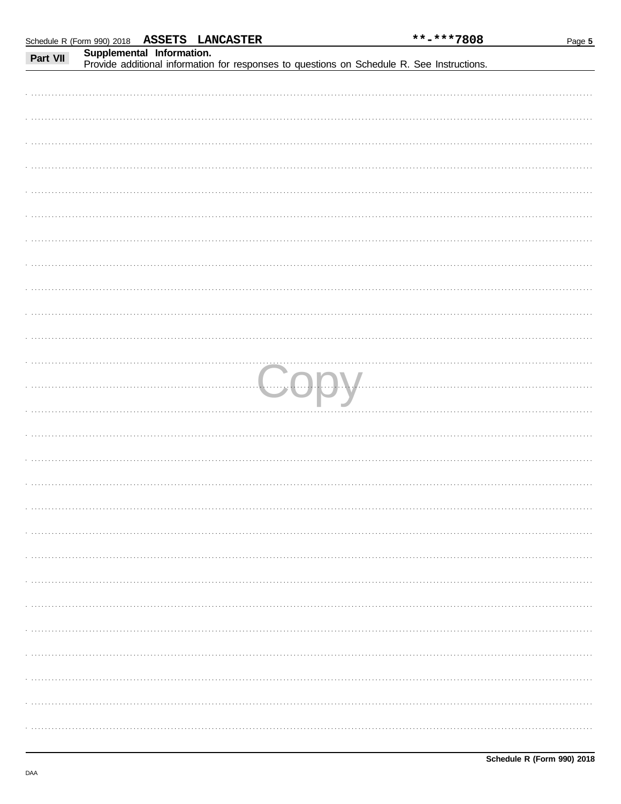|          | Schedule R (Form 990) 2018 ASSETS LANCASTER |                           |  |  | **-***7808                                                                                 | Page 5 |
|----------|---------------------------------------------|---------------------------|--|--|--------------------------------------------------------------------------------------------|--------|
| Part VII |                                             | Supplemental Information. |  |  |                                                                                            |        |
|          |                                             |                           |  |  | Provide additional information for responses to questions on Schedule R. See Instructions. |        |
|          |                                             |                           |  |  |                                                                                            |        |
|          |                                             |                           |  |  |                                                                                            |        |
|          |                                             |                           |  |  |                                                                                            |        |
|          |                                             |                           |  |  |                                                                                            |        |
|          |                                             |                           |  |  |                                                                                            |        |
|          |                                             |                           |  |  |                                                                                            |        |
|          |                                             |                           |  |  |                                                                                            |        |
|          |                                             |                           |  |  |                                                                                            |        |
|          |                                             |                           |  |  |                                                                                            |        |
|          |                                             |                           |  |  |                                                                                            |        |
|          |                                             |                           |  |  |                                                                                            |        |
|          |                                             |                           |  |  |                                                                                            |        |
|          |                                             |                           |  |  |                                                                                            |        |
|          |                                             |                           |  |  |                                                                                            |        |
|          |                                             |                           |  |  |                                                                                            |        |
|          |                                             |                           |  |  |                                                                                            |        |
|          |                                             |                           |  |  |                                                                                            |        |
|          |                                             |                           |  |  |                                                                                            |        |
|          |                                             |                           |  |  |                                                                                            |        |
|          |                                             |                           |  |  |                                                                                            |        |
|          |                                             |                           |  |  |                                                                                            |        |
|          |                                             |                           |  |  |                                                                                            |        |
| .        |                                             |                           |  |  | LJODV                                                                                      |        |
|          |                                             |                           |  |  |                                                                                            |        |
|          |                                             |                           |  |  |                                                                                            |        |
|          |                                             |                           |  |  |                                                                                            |        |
|          |                                             |                           |  |  |                                                                                            |        |
|          |                                             |                           |  |  |                                                                                            |        |
|          |                                             |                           |  |  |                                                                                            |        |
|          |                                             |                           |  |  |                                                                                            |        |
|          |                                             |                           |  |  |                                                                                            |        |
|          |                                             |                           |  |  |                                                                                            |        |
|          |                                             |                           |  |  |                                                                                            |        |
|          |                                             |                           |  |  |                                                                                            |        |
|          |                                             |                           |  |  |                                                                                            |        |
|          |                                             |                           |  |  |                                                                                            |        |
|          |                                             |                           |  |  |                                                                                            |        |
|          |                                             |                           |  |  |                                                                                            |        |
|          |                                             |                           |  |  |                                                                                            |        |
|          |                                             |                           |  |  |                                                                                            |        |
|          |                                             |                           |  |  |                                                                                            |        |
|          |                                             |                           |  |  |                                                                                            |        |
|          |                                             |                           |  |  |                                                                                            |        |
|          |                                             |                           |  |  |                                                                                            |        |
|          |                                             |                           |  |  |                                                                                            |        |
|          |                                             |                           |  |  |                                                                                            |        |
|          |                                             |                           |  |  |                                                                                            |        |
|          |                                             |                           |  |  |                                                                                            |        |
|          |                                             |                           |  |  |                                                                                            |        |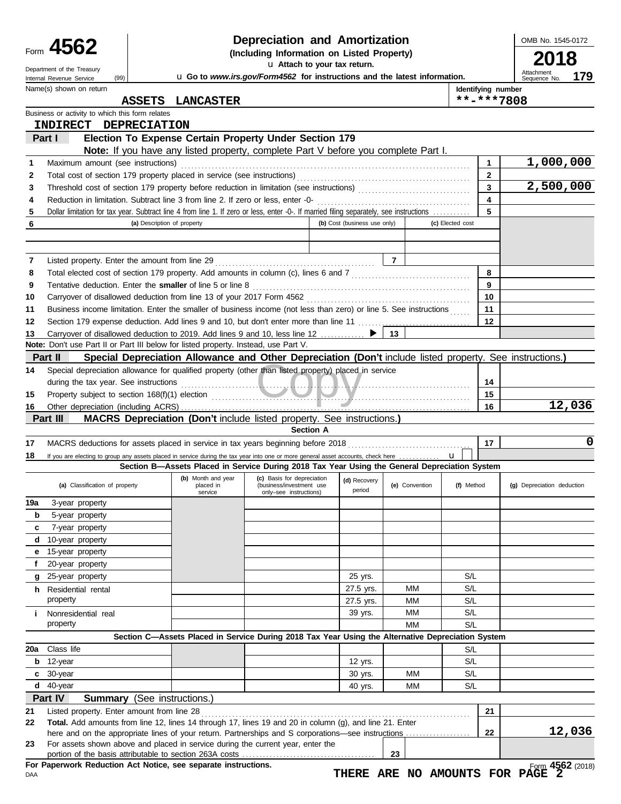|      | - 1 |
|------|-----|
| Form |     |

### **Depreciation and Amortization**

|     | Form 4562                                                                                                                                                                                                                            |                                    |                                                                                                          | Depreciation and Amortization                                                    |                              |                |                  |                    | OMB No. 1545-0172                 |
|-----|--------------------------------------------------------------------------------------------------------------------------------------------------------------------------------------------------------------------------------------|------------------------------------|----------------------------------------------------------------------------------------------------------|----------------------------------------------------------------------------------|------------------------------|----------------|------------------|--------------------|-----------------------------------|
|     |                                                                                                                                                                                                                                      |                                    | (Including Information on Listed Property)                                                               |                                                                                  |                              |                |                  |                    |                                   |
|     | Department of the Treasury                                                                                                                                                                                                           |                                    |                                                                                                          |                                                                                  | u Attach to your tax return. |                |                  |                    |                                   |
|     | (99)<br>Internal Revenue Service                                                                                                                                                                                                     |                                    |                                                                                                          | <b>u</b> Go to www.irs.gov/Form4562 for instructions and the latest information. |                              |                |                  |                    | Attachment<br>179<br>Sequence No. |
|     | Name(s) shown on return                                                                                                                                                                                                              |                                    |                                                                                                          |                                                                                  |                              |                |                  | Identifying number |                                   |
|     |                                                                                                                                                                                                                                      | <b>ASSETS</b>                      | <b>LANCASTER</b>                                                                                         |                                                                                  |                              |                |                  | **-***7808         |                                   |
|     | Business or activity to which this form relates                                                                                                                                                                                      |                                    |                                                                                                          |                                                                                  |                              |                |                  |                    |                                   |
|     | <b>INDIRECT</b>                                                                                                                                                                                                                      | <b>DEPRECIATION</b>                |                                                                                                          |                                                                                  |                              |                |                  |                    |                                   |
|     | Part I                                                                                                                                                                                                                               |                                    | Election To Expense Certain Property Under Section 179                                                   |                                                                                  |                              |                |                  |                    |                                   |
|     |                                                                                                                                                                                                                                      |                                    |                                                                                                          |                                                                                  |                              |                |                  |                    |                                   |
|     |                                                                                                                                                                                                                                      |                                    | Note: If you have any listed property, complete Part V before you complete Part I.                       |                                                                                  |                              |                |                  |                    |                                   |
| 1   | Maximum amount (see instructions)                                                                                                                                                                                                    |                                    |                                                                                                          |                                                                                  |                              |                |                  | 1                  | 1,000,000                         |
| 2   |                                                                                                                                                                                                                                      |                                    |                                                                                                          |                                                                                  |                              |                |                  | $\mathbf{2}$       |                                   |
| 3   |                                                                                                                                                                                                                                      |                                    |                                                                                                          |                                                                                  |                              |                |                  | 3                  | 2,500,000                         |
| 4   | Reduction in limitation. Subtract line 3 from line 2. If zero or less, enter -0-                                                                                                                                                     |                                    |                                                                                                          |                                                                                  |                              |                |                  | 4                  |                                   |
| 5   | Dollar limitation for tax year. Subtract line 4 from line 1. If zero or less, enter -0-. If married filing separately, see instructions                                                                                              |                                    |                                                                                                          |                                                                                  |                              |                |                  | 5                  |                                   |
| 6   |                                                                                                                                                                                                                                      | (a) Description of property        |                                                                                                          |                                                                                  | (b) Cost (business use only) |                | (c) Elected cost |                    |                                   |
|     |                                                                                                                                                                                                                                      |                                    |                                                                                                          |                                                                                  |                              |                |                  |                    |                                   |
|     |                                                                                                                                                                                                                                      |                                    |                                                                                                          |                                                                                  |                              |                |                  |                    |                                   |
| 7   |                                                                                                                                                                                                                                      |                                    |                                                                                                          |                                                                                  |                              | 7              |                  |                    |                                   |
| 8   | Total elected cost of section 179 property. Add amounts in column (c), lines 6 and 7 [[[[[[[[[[[[[[[[[[[[[[[[[                                                                                                                       |                                    |                                                                                                          |                                                                                  |                              |                |                  | 8                  |                                   |
| 9   | Tentative deduction. Enter the smaller of line 5 or line 8                                                                                                                                                                           |                                    |                                                                                                          |                                                                                  |                              |                |                  | 9                  |                                   |
| 10  |                                                                                                                                                                                                                                      |                                    |                                                                                                          |                                                                                  |                              |                |                  | 10                 |                                   |
| 11  | Business income limitation. Enter the smaller of business income (not less than zero) or line 5. See instructions                                                                                                                    |                                    |                                                                                                          |                                                                                  |                              |                |                  | 11                 |                                   |
| 12  | Section 179 expense deduction. Add lines 9 and 10, but don't enter more than line 11 [1] [1] expense deduction. Add lines 9 and 10, but don't enter more than line 11                                                                |                                    |                                                                                                          |                                                                                  |                              |                |                  | $12 \,$            |                                   |
| 13  | Carryover of disallowed deduction to 2019. Add lines 9 and 10, less line 12                                                                                                                                                          |                                    |                                                                                                          |                                                                                  | ▶                            | 13             |                  |                    |                                   |
|     | Note: Don't use Part II or Part III below for listed property. Instead, use Part V.                                                                                                                                                  |                                    |                                                                                                          |                                                                                  |                              |                |                  |                    |                                   |
|     | Part II                                                                                                                                                                                                                              |                                    | Special Depreciation Allowance and Other Depreciation (Don't include listed property. See instructions.) |                                                                                  |                              |                |                  |                    |                                   |
| 14  | Special depreciation allowance for qualified property (other than listed property) placed in service                                                                                                                                 |                                    |                                                                                                          |                                                                                  |                              |                |                  |                    |                                   |
|     | during the tax year. See instructions                                                                                                                                                                                                |                                    |                                                                                                          |                                                                                  |                              |                |                  | 14                 |                                   |
|     |                                                                                                                                                                                                                                      |                                    |                                                                                                          |                                                                                  |                              |                |                  | 15                 |                                   |
| 15  | Property subject to section 168(f)(1) election <i>contract to the contract of the contract of the contract of the contract of the contract of the contract of the contract of the contract of the contract of the contract of th</i> |                                    |                                                                                                          |                                                                                  |                              |                |                  |                    | 12,036                            |
| 16  | Part III                                                                                                                                                                                                                             |                                    |                                                                                                          |                                                                                  |                              |                |                  | 16                 |                                   |
|     |                                                                                                                                                                                                                                      |                                    | <b>MACRS Depreciation (Don't include listed property. See instructions.)</b>                             | <b>Section A</b>                                                                 |                              |                |                  |                    |                                   |
|     |                                                                                                                                                                                                                                      |                                    |                                                                                                          |                                                                                  |                              |                |                  |                    | 0                                 |
| 17  |                                                                                                                                                                                                                                      |                                    |                                                                                                          |                                                                                  |                              |                |                  | 17                 |                                   |
| 18  | If you are electing to group any assets placed in service during the tax year into one or more general asset accounts, check here                                                                                                    |                                    |                                                                                                          |                                                                                  |                              |                | $\mathbf{u}$     |                    |                                   |
|     |                                                                                                                                                                                                                                      |                                    | Section B-Assets Placed in Service During 2018 Tax Year Using the General Depreciation System            |                                                                                  |                              |                |                  |                    |                                   |
|     | (a) Classification of property                                                                                                                                                                                                       |                                    | (b) Month and year<br>placed in                                                                          | (c) Basis for depreciation<br>(business/investment use                           | (d) Recovery                 | (e) Convention | (f) Method       |                    | (g) Depreciation deduction        |
|     |                                                                                                                                                                                                                                      |                                    | service                                                                                                  | only-see instructions)                                                           | period                       |                |                  |                    |                                   |
| 19a | 3-year property                                                                                                                                                                                                                      |                                    |                                                                                                          |                                                                                  |                              |                |                  |                    |                                   |
| b   | 5-year property                                                                                                                                                                                                                      |                                    |                                                                                                          |                                                                                  |                              |                |                  |                    |                                   |
| c   | 7-year property                                                                                                                                                                                                                      |                                    |                                                                                                          |                                                                                  |                              |                |                  |                    |                                   |
| d   | 10-year property                                                                                                                                                                                                                     |                                    |                                                                                                          |                                                                                  |                              |                |                  |                    |                                   |
| е   | 15-year property                                                                                                                                                                                                                     |                                    |                                                                                                          |                                                                                  |                              |                |                  |                    |                                   |
| f   | 20-year property                                                                                                                                                                                                                     |                                    |                                                                                                          |                                                                                  |                              |                |                  |                    |                                   |
| g   | 25-year property                                                                                                                                                                                                                     |                                    |                                                                                                          |                                                                                  | 25 yrs.                      |                | S/L              |                    |                                   |
|     | h Residential rental                                                                                                                                                                                                                 |                                    |                                                                                                          |                                                                                  | 27.5 yrs.                    | MМ             | S/L              |                    |                                   |
|     | property                                                                                                                                                                                                                             |                                    |                                                                                                          |                                                                                  | 27.5 yrs.                    | MМ             | S/L              |                    |                                   |
| i.  | Nonresidential real                                                                                                                                                                                                                  |                                    |                                                                                                          |                                                                                  | 39 yrs.                      | MМ             | S/L              |                    |                                   |
|     | property                                                                                                                                                                                                                             |                                    |                                                                                                          |                                                                                  |                              | MМ             | S/L              |                    |                                   |
|     |                                                                                                                                                                                                                                      |                                    | Section C-Assets Placed in Service During 2018 Tax Year Using the Alternative Depreciation System        |                                                                                  |                              |                |                  |                    |                                   |
| 20a | Class life                                                                                                                                                                                                                           |                                    |                                                                                                          |                                                                                  |                              |                | S/L              |                    |                                   |
| b   | 12-year                                                                                                                                                                                                                              |                                    |                                                                                                          |                                                                                  | 12 yrs.                      |                | S/L              |                    |                                   |
|     | $c30$ -year                                                                                                                                                                                                                          |                                    |                                                                                                          |                                                                                  | 30 yrs.                      | MМ             | S/L              |                    |                                   |
|     | $d$ 40-year                                                                                                                                                                                                                          |                                    |                                                                                                          |                                                                                  | 40 yrs.                      | MМ             | S/L              |                    |                                   |
|     | Part IV                                                                                                                                                                                                                              | <b>Summary</b> (See instructions.) |                                                                                                          |                                                                                  |                              |                |                  |                    |                                   |
|     |                                                                                                                                                                                                                                      |                                    |                                                                                                          |                                                                                  |                              |                |                  |                    |                                   |
| 21  | Listed property. Enter amount from line 28                                                                                                                                                                                           |                                    |                                                                                                          |                                                                                  |                              |                |                  | 21                 |                                   |
| 22  | Total. Add amounts from line 12, lines 14 through 17, lines 19 and 20 in column (g), and line 21. Enter<br>here and on the appropriate lines of your return. Partnerships and S corporations—see instructions                        |                                    |                                                                                                          |                                                                                  |                              |                |                  | 22                 | 12,036                            |
| 23  | For assets shown above and placed in service during the current year, enter the                                                                                                                                                      |                                    |                                                                                                          |                                                                                  |                              |                |                  |                    |                                   |

portion of the basis attributable to section 263A costs . . . . . . . . . . . . . . . . . . . . . . . . . . . . . . . . . . . . . . . **For Paperwork Reduction Act Notice, see separate instructions.**

DAA

**23**

OMB No. 1545-0172

|       | . .<br>ш                   |  |
|-------|----------------------------|--|
|       | Attachment<br>Sequence No. |  |
| ımher |                            |  |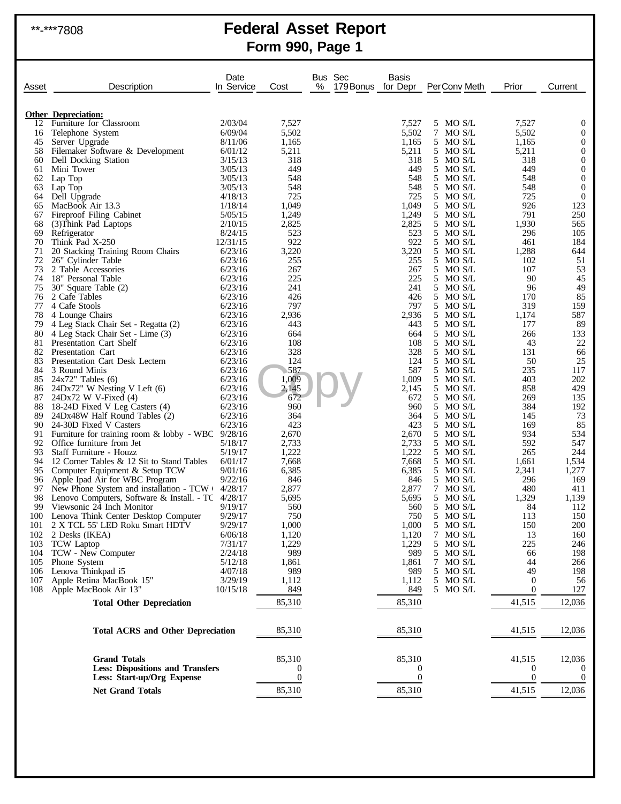# \*\*-\*\*\*7808 **Federal Asset Report Form 990, Page 1**

| Asset      | Description                                                      | Date<br>In Service | Cost             | Bus Sec<br>% | Basis<br>179 Bonus for Depr | PerConv Meth         | Prior              | Current            |
|------------|------------------------------------------------------------------|--------------------|------------------|--------------|-----------------------------|----------------------|--------------------|--------------------|
|            |                                                                  |                    |                  |              |                             |                      |                    |                    |
| 12         | <b>Other Depreciation:</b><br>Furniture for Classroom            | 2/03/04            | 7,527            |              | 7,527                       | 5 MO S/L             | 7,527              | 0                  |
| 16         | Telephone System                                                 | 6/09/04            | 5,502            |              | 5,502                       | 7 MO S/L             | 5,502              | $\boldsymbol{0}$   |
| 45         | Server Upgrade                                                   | 8/11/06            | 1,165            |              | 1,165                       | 5 MO S/L             | 1,165              | 0                  |
| 58         | Filemaker Software & Development                                 | 6/01/12            | 5,211            |              | 5,211                       | 5 MO S/L             | 5,211              | $\boldsymbol{0}$   |
| 60         | Dell Docking Station                                             | 3/15/13            | 318              |              | 318                         | 5 MO S/L             | 318                | $\mathbf{0}$       |
| 61         | Mini Tower                                                       | 3/05/13            | 449              |              | 449                         | 5 MO S/L             | 449                | $\boldsymbol{0}$   |
| 62         | Lap Top                                                          | 3/05/13            | 548              |              | 548                         | 5 MO S/L             | 548                | $\mathbf{0}$       |
| 63         | Lap Top                                                          | 3/05/13            | 548              |              | 548                         | 5 MO S/L             | 548                | $\boldsymbol{0}$   |
| 64         | Dell Upgrade                                                     | 4/18/13<br>1/18/14 | 725              |              | 725                         | 5 MO S/L<br>5 MO S/L | 725                | $\boldsymbol{0}$   |
| 65<br>67   | MacBook Air 13.3<br>Fireproof Filing Cabinet                     | 5/05/15            | 1,049<br>1,249   |              | 1,049<br>1,249              | 5 MO S/L             | 926<br>791         | 123<br>250         |
| 68         | (3) Think Pad Laptops                                            | 2/10/15            | 2,825            |              | 2,825                       | 5 MO S/L             | 1,930              | 565                |
| 69         | Refrigerator                                                     | 8/24/15            | 523              |              | 523                         | 5 MO S/L             | 296                | 105                |
| 70         | Think Pad X-250                                                  | 12/31/15           | 922              |              | 922                         | 5 MO S/L             | 461                | 184                |
| 71         | 20 Stacking Training Room Chairs                                 | 6/23/16            | 3,220            |              | 3,220                       | 5 MO S/L             | 1,288              | 644                |
| 72         | 26" Cylinder Table                                               | 6/23/16            | 255              |              | 255                         | 5 MO S/L             | 102                | 51                 |
| 73         | 2 Table Accessories                                              | 6/23/16            | 267              |              | 267                         | 5 MO S/L             | 107                | 53                 |
| 74         | 18" Personal Table                                               | 6/23/16            | 225              |              | 225                         | 5 MO S/L             | 90                 | 45                 |
| 75         | 30" Square Table (2)                                             | 6/23/16            | 241              |              | 241                         | 5 MO S/L             | 96                 | 49                 |
| 76<br>77   | 2 Cafe Tables<br>4 Cafe Stools                                   | 6/23/16<br>6/23/16 | 426<br>797       |              | 426<br>797                  | 5 MO S/L<br>5 MO S/L | 170<br>319         | 85<br>159          |
| 78         | 4 Lounge Chairs                                                  | 6/23/16            | 2,936            |              | 2,936                       | 5 MO S/L             | 1,174              | 587                |
| 79         | 4 Leg Stack Chair Set - Regatta (2)                              | 6/23/16            | 443              |              | 443                         | 5 MO S/L             | 177                | 89                 |
| 80         | 4 Leg Stack Chair Set - Lime (3)                                 | 6/23/16            | 664              |              | 664                         | 5 MO S/L             | 266                | 133                |
| 81         | Presentation Cart Shelf                                          | 6/23/16            | 108              |              | 108                         | 5 MO S/L             | 43                 | 22                 |
| 82         | Presentation Cart                                                | 6/23/16            | 328              |              | 328                         | 5 MO S/L             | 131                | 66                 |
| 83         | Presentation Cart Desk Lectern                                   | 6/23/16            | 124              |              | 124                         | 5 MO S/L             | 50                 | 25                 |
| 84         | 3 Round Minis                                                    | 6/23/16            | 587              |              | 587                         | 5 MO S/L             | 235                | 117                |
| 85         | $24x72$ " Tables (6)                                             | 6/23/16            | 1,009            |              | 1,009                       | 5 MO S/L             | 403                | 202                |
| 86<br>87   | 24Dx72" W Nesting V Left (6)<br>$24Dx72$ W V-Fixed (4)           | 6/23/16<br>6/23/16 | 2,145<br>672     |              | 2,145<br>672                | 5 MO S/L<br>5 MO S/L | 858<br>269         | 429<br>135         |
| 88         | 18-24D Fixed V Leg Casters (4)                                   | 6/23/16            | 960              |              | 960                         | 5 MO S/L             | 384                | 192                |
| 89         | 24Dx48W Half Round Tables (2)                                    | 6/23/16            | 364              |              | 364                         | 5 MO S/L             | 145                | 73                 |
| 90         | 24-30D Fixed V Casters                                           | 6/23/16            | 423              |              | 423                         | 5 MO S/L             | 169                | 85                 |
| 91         | Furniture for training room $\&$ lobby - WBC 9/28/16             |                    | 2,670            |              | 2,670                       | 5 MO S/L             | 934                | 534                |
| 92         | Office furniture from Jet                                        | 5/18/17            | 2,733            |              | 2,733                       | 5 MO S/L             | 592                | 547                |
| 93         | Staff Furniture - Houzz                                          | 5/19/17            | 1,222            |              | 1,222                       | 5 MO S/L             | 265                | 244                |
| 94         | 12 Corner Tables & 12 Sit to Stand Tables                        | 6/01/17            | 7,668            |              | 7,668                       | 5 MO S/L             | 1,661              | 1,534              |
| 95<br>96   | Computer Equipment & Setup TCW<br>Apple Ipad Air for WBC Program | 9/01/16<br>9/22/16 | 6,385<br>846     |              | 6,385<br>846                | 5 MO S/L<br>5 MO S/L | 2,341<br>296       | 1,277<br>169       |
| 97         | New Phone System and installation - TCW + 4/28/17                |                    | 2,877            |              | 2,877                       | 7 MO S/L             | 480                | 411                |
| 98         | Lenovo Computers, Software & Install. - TC 4/28/17               |                    | 5,695            |              | 5,695                       | 5 MO S/L             | 1,329              | 1,139              |
| 99.        | Viewsonic 24 Inch Monitor                                        | 9/19/17            | 560              |              | 560                         | 5 MO S/L             | 84                 | 112                |
|            | 100 Lenova Think Center Desktop Computer                         | 9/29/17            | 750              |              | 750                         | 5 MO S/L             | 113                | 150                |
| 101        | 2 X TCL 55' LED Roku Smart HDTV                                  | 9/29/17            | 1,000            |              | 1,000                       | 5 MO S/L             | 150                | <b>200</b>         |
| 102        | 2 Desks (IKEA)                                                   | 6/06/18            | 1,120            |              | 1,120                       | 7 MO S/L             | 13                 | 160                |
| 103        | <b>TCW</b> Laptop                                                | 7/31/17            | 1,229            |              | 1,229                       | 5 MO S/L             | 225                | 246                |
| 104        | TCW - New Computer<br>Phone System                               | 2/24/18<br>5/12/18 | 989<br>1,861     |              | 989<br>1,861                | 5 MO S/L<br>7 MO S/L | 66                 | 198                |
| 105<br>106 | Lenova Thinkpad i5                                               | 4/07/18            | 989              |              | 989                         | 5 MO S/L             | 44<br>49           | 266<br>198         |
| 107        | Apple Retina MacBook 15"                                         | 3/29/19            | 1,112            |              | 1,112                       | 5 MO S/L             | $\theta$           | 56                 |
| 108        | Apple MacBook Air 13"                                            | 10/15/18           | 849              |              | 849                         | 5 MO S/L             | $\mathbf{0}$       | 127                |
|            | <b>Total Other Depreciation</b>                                  |                    | 85,310           |              | 85,310                      |                      | 41,515             | 12,036             |
|            |                                                                  |                    |                  |              |                             |                      |                    |                    |
|            | <b>Total ACRS and Other Depreciation</b>                         |                    | 85,310           |              | 85,310                      |                      | 41,515             | 12,036             |
|            |                                                                  |                    |                  |              |                             |                      |                    |                    |
|            | <b>Grand Totals</b><br><b>Less: Dispositions and Transfers</b>   |                    | 85,310<br>0      |              | 85,310<br>O                 |                      | 41,515<br>$\theta$ | 12,036<br>$\theta$ |
|            | Less: Start-up/Org Expense                                       |                    | $\boldsymbol{0}$ |              | $\boldsymbol{0}$            |                      | $\boldsymbol{0}$   | $\boldsymbol{0}$   |
|            | <b>Net Grand Totals</b>                                          |                    | 85,310           |              | 85,310                      |                      | 41,515             | 12,036             |
|            |                                                                  |                    |                  |              |                             |                      |                    |                    |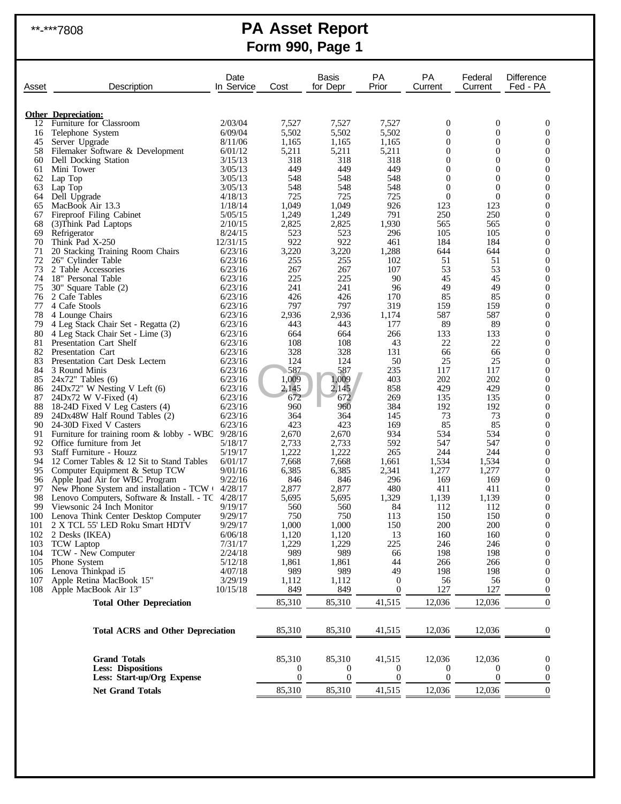# \*\*-\*\*\*7808 **PA Asset Report Form 990, Page 1**

|            |                                                                                                               | Date                |                  | Basis          | РA                    | <b>PA</b>           | Federal                        | <b>Difference</b>     |
|------------|---------------------------------------------------------------------------------------------------------------|---------------------|------------------|----------------|-----------------------|---------------------|--------------------------------|-----------------------|
| Asset      | Description                                                                                                   | In Service          | Cost             | for Depr       | Prior                 | Current             | Current                        | Fed - PA              |
|            |                                                                                                               |                     |                  |                |                       |                     |                                |                       |
| 12         | <b>Other Depreciation:</b><br>Furniture for Classroom                                                         | 2/03/04             | 7,527            | 7,527          | 7,527                 | 0                   | $\boldsymbol{0}$               | 0                     |
| 16         | Telephone System                                                                                              | 6/09/04             | 5,502            | 5,502          | 5,502                 | 0                   | $\overline{0}$                 | 0                     |
| 45         | Server Upgrade                                                                                                | 8/11/06             | 1,165            | 1,165          | 1,165                 | $\overline{0}$      | $\overline{0}$                 | $\Omega$              |
| 58         | Filemaker Software & Development                                                                              | 6/01/12             | 5,211            | 5,211          | 5,211                 | 0                   | $\mathbf{0}$                   | 0                     |
| 60<br>61   | Dell Docking Station<br>Mini Tower                                                                            | 3/15/13<br>3/05/13  | 318<br>449       | 318<br>449     | 318<br>449            | $\overline{0}$<br>0 | $\mathbf{0}$<br>$\overline{0}$ | 0<br>0                |
| 62         | Lap Top                                                                                                       | 3/05/13             | 548              | 548            | 548                   | $\overline{0}$      | $\mathbf{0}$                   | 0                     |
| 63         | Lap Top                                                                                                       | 3/05/13             | 548              | 548            | 548                   | $\overline{0}$      | $\overline{0}$                 | 0                     |
| 64         | Dell Upgrade                                                                                                  | 4/18/13             | 725              | 725            | 725                   | $\overline{0}$      | $\overline{0}$                 | 0                     |
| 65<br>67   | MacBook Air 13.3<br>Fireproof Filing Cabinet                                                                  | 1/18/14<br>5/05/15  | 1,049<br>1,249   | 1,049<br>1,249 | 926<br>791            | 123<br>250          | 123<br>250                     | 0<br>0                |
| 68         | (3) Think Pad Laptops                                                                                         | 2/10/15             | 2,825            | 2,825          | 1,930                 | 565                 | 565                            | 0                     |
| 69         | Refrigerator                                                                                                  | 8/24/15             | 523              | 523            | 296                   | 105                 | 105                            | 0                     |
| 70         | Think Pad X-250                                                                                               | 12/31/15            | 922              | 922            | 461                   | 184                 | 184                            | 0                     |
| 71<br>72   | 20 Stacking Training Room Chairs<br>26" Cylinder Table                                                        | 6/23/16<br>6/23/16  | 3,220<br>255     | 3,220<br>255   | 1,288<br>102          | 644<br>51           | 644<br>51                      | 0<br>0                |
| 73         | 2 Table Accessories                                                                                           | 6/23/16             | 267              | 267            | 107                   | 53                  | 53                             | 0                     |
| 74         | 18" Personal Table                                                                                            | 6/23/16             | 225              | 225            | 90                    | 45                  | 45                             | 0                     |
| 75         | 30" Square Table (2)                                                                                          | 6/23/16             | 241              | 241            | 96                    | 49                  | 49                             | 0                     |
| 76<br>77   | 2 Cafe Tables<br>4 Cafe Stools                                                                                | 6/23/16<br>6/23/16  | 426<br>797       | 426<br>797     | 170<br>319            | 85<br>159           | 85<br>159                      | 0<br>0                |
| 78         | 4 Lounge Chairs                                                                                               | 6/23/16             | 2,936            | 2,936          | 1,174                 | 587                 | 587                            | 0                     |
| 79         | 4 Leg Stack Chair Set - Regatta (2)                                                                           | 6/23/16             | 443              | 443            | 177                   | 89                  | 89                             | 0                     |
| 80         | 4 Leg Stack Chair Set - Lime (3)                                                                              | 6/23/16             | 664              | 664            | 266                   | 133                 | 133                            | 0                     |
| 81<br>82   | Presentation Cart Shelf                                                                                       | 6/23/16<br>6/23/16  | 108<br>328       | 108<br>328     | 43<br>131             | 22<br>66            | 22<br>66                       | 0<br>0                |
| 83         | Presentation Cart<br>Presentation Cart Desk Lectern                                                           | 6/23/16             | 124              | 124            | 50                    | 25                  | 25                             | 0                     |
| 84         | 3 Round Minis                                                                                                 | 6/23/16             | 587              | 587            | 235                   | 117                 | 117                            | 0                     |
| 85         | $24x72$ " Tables (6)                                                                                          | 6/23/16             | 1,009            | 1,009          | 403                   | 202                 | 202                            | 0                     |
| 86         | $24Dx72''$ W Nesting V Left (6)                                                                               | 6/23/16             | 2,145            | 2,145          | 858                   | 429                 | 429                            | 0                     |
| 87<br>88   | $24Dx72$ W V-Fixed (4)<br>18-24D Fixed V Leg Casters (4)                                                      | 6/23/16<br>6/23/16  | 672<br>960       | 672<br>960     | 269<br>384            | 135<br>192          | 135<br>192                     | 0<br>0                |
| 89         | 24Dx48W Half Round Tables (2)                                                                                 | 6/23/16             | 364              | 364            | 145                   | 73                  | 73                             | 0                     |
| 90         | 24-30D Fixed V Casters                                                                                        | 6/23/16             | 423              | 423            | 169                   | 85                  | 85                             | 0                     |
| 91         | Furniture for training room & lobby - WBC 9/28/16                                                             |                     | 2,670            | 2,670          | 934                   | 534                 | 534                            | 0                     |
| 92<br>93   | Office furniture from Jet<br>Staff Furniture - Houzz                                                          | 5/18/17<br>5/19/17  | 2,733<br>1,222   | 2,733<br>1,222 | 592<br>265            | 547<br>244          | 547<br>244                     | 0<br>0                |
| 94         | 12 Corner Tables & 12 Sit to Stand Tables                                                                     | 6/01/17             | 7,668            | 7,668          | 1,661                 | 1,534               | 1,534                          | 0                     |
| 95         | Computer Equipment & Setup TCW                                                                                | 9/01/16             | 6,385            | 6,385          | 2,341                 | 1,277               | 1,277                          | 0                     |
| 96         | Apple Ipad Air for WBC Program                                                                                | 9/22/16             | 846              | 846            | 296                   | 169                 | 169                            | 0                     |
| 97<br>98   | New Phone System and installation - $TCW \cdot 4/28/17$<br>Lenovo Computers, Software & Install. - TC 4/28/17 |                     | 2,877<br>5,695   | 2,877<br>5,695 | 480<br>1,329          | 411<br>1,139        | 411<br>1,139                   | 0<br>0                |
| 99         | Viewsonic 24 Inch Monitor                                                                                     | 9/19/17             | 560              | 560            | 84                    | 112                 | 112                            | $\overline{0}$        |
| 100        | Lenova Think Center Desktop Computer                                                                          | 9/29/17             | 750              | 750            | 113                   | 150                 | 150                            | 0                     |
| 101        | 2 X TCL 55' LED Roku Smart HDTV                                                                               | 9/29/17             | 1,000            | 1,000          | 150                   | 200                 | 200                            | 0                     |
| 102<br>103 | 2 Desks (IKEA)<br><b>TCW</b> Laptop                                                                           | 6/06/18<br>7/31/17  | 1,120<br>1,229   | 1,120<br>1,229 | 13<br>225             | 160<br>246          | 160<br>246                     | 0<br>0                |
| 104        | TCW - New Computer                                                                                            | 2/24/18             | 989              | 989            | 66                    | 198                 | 198                            | 0                     |
| 105        | Phone System                                                                                                  | 5/12/18             | 1,861            | 1,861          | 44                    | 266                 | 266                            | 0                     |
| 106        | Lenova Thinkpad i5                                                                                            | 4/07/18             | 989              | 989            | 49                    | 198                 | 198                            | 0                     |
| 107<br>108 | Apple Retina MacBook 15"<br>Apple MacBook Air 13"                                                             | 3/29/19<br>10/15/18 | 1,112<br>849     | 1,112<br>849   | $\boldsymbol{0}$<br>0 | 56<br>127           | 56<br>127                      | 0<br>$\boldsymbol{0}$ |
|            |                                                                                                               |                     |                  |                |                       |                     |                                |                       |
|            | <b>Total Other Depreciation</b>                                                                               |                     | 85,310           | 85,310         | 41,515                | 12,036              | 12,036                         | $\boldsymbol{0}$      |
|            | <b>Total ACRS and Other Depreciation</b>                                                                      |                     | 85,310           | 85,310         | 41,515                | 12,036              | 12,036                         | $\boldsymbol{0}$      |
|            |                                                                                                               |                     |                  |                |                       |                     |                                |                       |
|            | <b>Grand Totals</b>                                                                                           |                     | 85,310           | 85,310         | 41,515                | 12,036              | 12,036                         | 0                     |
|            | <b>Less: Dispositions</b>                                                                                     |                     | $\bf{0}$         | $\theta$       | $\theta$              | $\theta$            | $\theta$                       | $\mathbf{0}$          |
|            | Less: Start-up/Org Expense                                                                                    |                     | $\boldsymbol{0}$ | $\mathbf{0}$   | $\boldsymbol{0}$      | $\boldsymbol{0}$    | $\boldsymbol{0}$               | $\mathbf{0}$          |
|            | <b>Net Grand Totals</b>                                                                                       |                     | 85,310           | 85,310         | 41,515                | 12,036              | 12,036                         | $\mathbf{0}$          |
|            |                                                                                                               |                     |                  |                |                       |                     |                                |                       |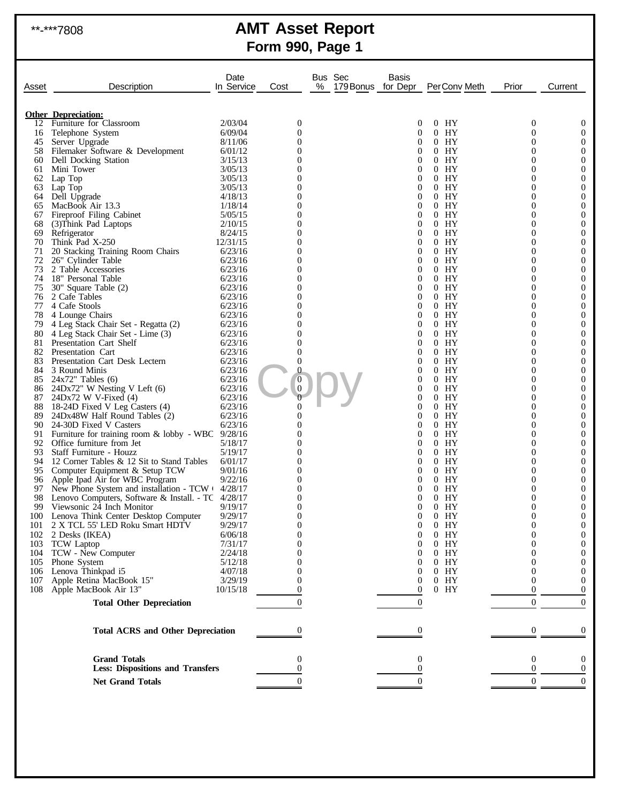# \*\*-\*\*\*7808 **AMT Asset Report Form 990, Page 1**

| Asset      | Description                                                                                                   | Date<br>In Service  | Cost                 | Bus Sec<br>% | Basis<br>179 Bonus for Depr      | PerConv Meth      | Prior          | Current                            |
|------------|---------------------------------------------------------------------------------------------------------------|---------------------|----------------------|--------------|----------------------------------|-------------------|----------------|------------------------------------|
|            |                                                                                                               |                     |                      |              |                                  |                   |                |                                    |
|            | <b>Other Depreciation:</b><br>12 Furniture for Classroom                                                      | 2/03/04             | $\boldsymbol{0}$     |              | 0                                | $0$ HY            | $\theta$       | $\boldsymbol{0}$                   |
| 16         | Telephone System                                                                                              | 6/09/04             | $\overline{0}$       |              | $\overline{0}$                   | HY<br>0           | 0              | $\overline{0}$                     |
| 45         | Server Upgrade                                                                                                | 8/11/06             | $\Omega$             |              | $\Omega$                         | $0$ HY            | $\theta$       | 0                                  |
| 58         | Filemaker Software & Development                                                                              | 6/01/12             | $\Omega$             |              | $\theta$                         | $0$ HY            | 0              | $\boldsymbol{0}$                   |
| 60         | Dell Docking Station                                                                                          | 3/15/13             | $\Omega$             |              | 0                                | $0$ HY            | $\theta$       | $\boldsymbol{0}$                   |
| 61         | Mini Tower                                                                                                    | 3/05/13             | 0                    |              | $\overline{0}$                   | HY<br>0           | 0              | $\boldsymbol{0}$                   |
| 62         | Lap Top                                                                                                       | 3/05/13             | $\Omega$             |              | $\overline{0}$                   | $0$ HY            | $\theta$       | $\boldsymbol{0}$                   |
| 63         | Lap Top                                                                                                       | 3/05/13             | 0                    |              | $\theta$                         | HY<br>0           | 0              | $\overline{0}$                     |
|            | 64 Dell Upgrade                                                                                               | 4/18/13             | $\Omega$             |              | $\theta$                         | $0$ HY            | 0              | $\boldsymbol{0}$                   |
| 65<br>67   | MacBook Air 13.3<br>Fireproof Filing Cabinet                                                                  | 1/18/14<br>5/05/15  | $\Omega$<br>$\Omega$ |              | $\overline{0}$<br>$\overline{0}$ | HY<br>0<br>$0$ HY | 0<br>0         | $\overline{0}$<br>$\boldsymbol{0}$ |
| 68         | (3) Think Pad Laptops                                                                                         | 2/10/15             | 0                    |              | $\theta$                         | HY<br>0           | 0              | $\overline{0}$                     |
| 69         | Refrigerator                                                                                                  | 8/24/15             | $\Omega$             |              | $\overline{0}$                   | $0$ HY            | 0              | $\boldsymbol{0}$                   |
| 70         | Think Pad X-250                                                                                               | 12/31/15            | 0                    |              | $\overline{0}$                   | HY<br>0           | 0              | $\overline{0}$                     |
| 71         | 20 Stacking Training Room Chairs                                                                              | 6/23/16             | $\Omega$             |              | $\overline{0}$                   | $0$ HY            | 0              | $\boldsymbol{0}$                   |
| 72         | 26" Cylinder Table                                                                                            | 6/23/16             | 0                    |              | $\overline{0}$                   | HY<br>0           | 0              | $\boldsymbol{0}$                   |
| 73         | 2 Table Accessories                                                                                           | 6/23/16             | $\Omega$             |              | $\overline{0}$                   | $0$ HY            | 0              | $\boldsymbol{0}$                   |
| 74         | 18" Personal Table                                                                                            | 6/23/16             | 0                    |              | $\overline{0}$                   | HY<br>0           | 0              | $\overline{0}$                     |
| 75         | 30" Square Table (2)                                                                                          | 6/23/16             | $\Omega$             |              | 0                                | $0$ HY            | $\theta$       | $\boldsymbol{0}$                   |
| 76         | 2 Cafe Tables                                                                                                 | 6/23/16             | 0                    |              | 0                                | HY<br>0           | 0              | $\boldsymbol{0}$                   |
| 77<br>78   | 4 Cafe Stools                                                                                                 | 6/23/16<br>6/23/16  | $\Omega$<br>0        |              | 0<br>0                           | $0$ HY<br>HY<br>0 | $\theta$<br>0  | $\boldsymbol{0}$<br>$\overline{0}$ |
| 79         | 4 Lounge Chairs<br>4 Leg Stack Chair Set - Regatta (2)                                                        | 6/23/16             | $\Omega$             |              | $\theta$                         | $0$ HY            | $\theta$       | $\boldsymbol{0}$                   |
| 80         | 4 Leg Stack Chair Set - Lime (3)                                                                              | 6/23/16             | 0                    |              | $\theta$                         | $0$ HY            | 0              | $\boldsymbol{0}$                   |
| 81         | Presentation Cart Shelf                                                                                       | 6/23/16             | $\Omega$             |              | 0                                | $0$ HY            | $\theta$       | $\boldsymbol{0}$                   |
| 82         | Presentation Cart                                                                                             | 6/23/16             | $\overline{0}$       |              | 0                                | HY<br>0           | 0              | $\boldsymbol{0}$                   |
| 83         | Presentation Cart Desk Lectern                                                                                | 6/23/16             | $\overline{0}$       |              | 0                                | $0$ HY            | $\Omega$       | $\boldsymbol{0}$                   |
| 84         | 3 Round Minis                                                                                                 | 6/23/16             | 0                    |              | 0                                | $0$ HY            | 0              | $\overline{0}$                     |
| 85         | $24x72$ " Tables (6)                                                                                          | 6/23/16             | O                    |              | 0                                | $0$ HY            | $\theta$       | $\boldsymbol{0}$                   |
| 86         | 24Dx72" W Nesting V Left (6)                                                                                  | 6/23/16             | $\overline{0}$       |              | 0                                | HY<br>0           | 0              | $\boldsymbol{0}$                   |
| 87         | $24Dx72$ W V-Fixed $(4)$                                                                                      | 6/23/16             | 0                    |              | 0<br>0                           | $0$ HY<br>HY<br>0 | $\Omega$<br>0  | $\boldsymbol{0}$<br>$\overline{0}$ |
| 88<br>89   | 18-24D Fixed V Leg Casters (4)<br>24Dx48W Half Round Tables (2)                                               | 6/23/16<br>6/23/16  | $\Omega$             |              | 0                                | $0$ HY            | $\theta$       | $\boldsymbol{0}$                   |
| 90         | 24-30D Fixed V Casters                                                                                        | 6/23/16             | 0                    |              | 0                                | HY<br>0           | 0              | $\boldsymbol{0}$                   |
| 91         | Furniture for training room $\&$ lobby - WBC 9/28/16                                                          |                     | 0                    |              | 0                                | $0$ HY            | $\Omega$       | $\boldsymbol{0}$                   |
| 92         | Office furniture from Jet                                                                                     | 5/18/17             | 0                    |              | 0                                | $0$ HY            | 0              | $\boldsymbol{0}$                   |
| 93         | Staff Furniture - Houzz                                                                                       | 5/19/17             | 0                    |              | 0                                | $0$ HY            | 0              | $\boldsymbol{0}$                   |
| 94         | 12 Corner Tables & 12 Sit to Stand Tables                                                                     | 6/01/17             | 0                    |              | 0                                | HY<br>0           | 0              | $\boldsymbol{0}$                   |
|            | 95 Computer Equipment & Setup TCW                                                                             | 9/01/16             | $\Omega$             |              | 0                                | $0$ HY            | $\Omega$       | $\boldsymbol{0}$                   |
| 96         | Apple Ipad Air for WBC Program                                                                                | 9/22/16             | 0                    |              | 0                                | HY<br>0           | 0              | $\boldsymbol{0}$                   |
| 97<br>98   | New Phone System and installation - $TCW \cdot 4/28/17$<br>Lenovo Computers, Software & Install. - TC 4/28/17 |                     | 0<br>0               |              | 0<br>0                           | $0$ HY<br>HY<br>0 | 0<br>0         | 0<br>$\boldsymbol{0}$              |
| 99         | Viewsonic 24 Inch Monitor                                                                                     | 9/19/17             | $\Omega$             |              | $\theta$                         | $0$ HY            | $\theta$       | $\theta$                           |
|            | 100 Lenova Think Center Desktop Computer                                                                      | 9/29/17             | $\boldsymbol{0}$     |              | 0                                | $0$ HY            | 0              | $\boldsymbol{0}$                   |
| 101        | 2 X TCL 55' LED Roku Smart HDTV                                                                               | 9/29/17             | $\overline{0}$       |              | 0                                | $0$ HY            | 0              | 0                                  |
| 102        | 2 Desks (IKEA)                                                                                                | 6/06/18             | $\Omega$             |              | 0                                | $0$ HY            | 0              | $\overline{0}$                     |
| 103        | <b>TCW</b> Laptop                                                                                             | 7/31/17             | 0                    |              | 0                                | $0$ HY            | 0              | 0                                  |
| 104        | TCW - New Computer                                                                                            | 2/24/18             |                      |              | 0                                | $0$ HY            | 0              | $\boldsymbol{0}$                   |
| 105        | Phone System                                                                                                  | 5/12/18             |                      |              | 0                                | $0$ HY            | 0              | 0                                  |
| 106        | Lenova Thinkpad i5                                                                                            | 4/07/18             |                      |              | 0                                | $0$ HY            | 0              | $\overline{0}$                     |
| 107<br>108 | Apple Retina MacBook 15"<br>Apple MacBook Air 13"                                                             | 3/29/19<br>10/15/18 | 0                    |              | 0<br>$\theta$                    | $0$ HY<br>$0$ HY  | $\Omega$<br>0  | 0<br>$\Omega$                      |
|            |                                                                                                               |                     |                      |              |                                  |                   |                |                                    |
|            | <b>Total Other Depreciation</b>                                                                               |                     | $\theta$             |              | $\boldsymbol{0}$                 |                   | $\overline{0}$ | $\overline{0}$                     |
|            | <b>Total ACRS and Other Depreciation</b>                                                                      |                     | $\Omega$             |              | $\Omega$                         |                   | $\theta$       | $\Omega$                           |
|            | <b>Grand Totals</b>                                                                                           |                     | 0                    |              | $\overline{0}$                   |                   | $\mathbf{0}$   | 0                                  |
|            | <b>Less: Dispositions and Transfers</b>                                                                       |                     | 0                    |              | 0                                |                   | $\theta$       | $\overline{0}$                     |
|            |                                                                                                               |                     |                      |              |                                  |                   |                |                                    |
|            | <b>Net Grand Totals</b>                                                                                       |                     | $\Omega$             |              | $\theta$                         |                   | $\overline{0}$ | $\overline{0}$                     |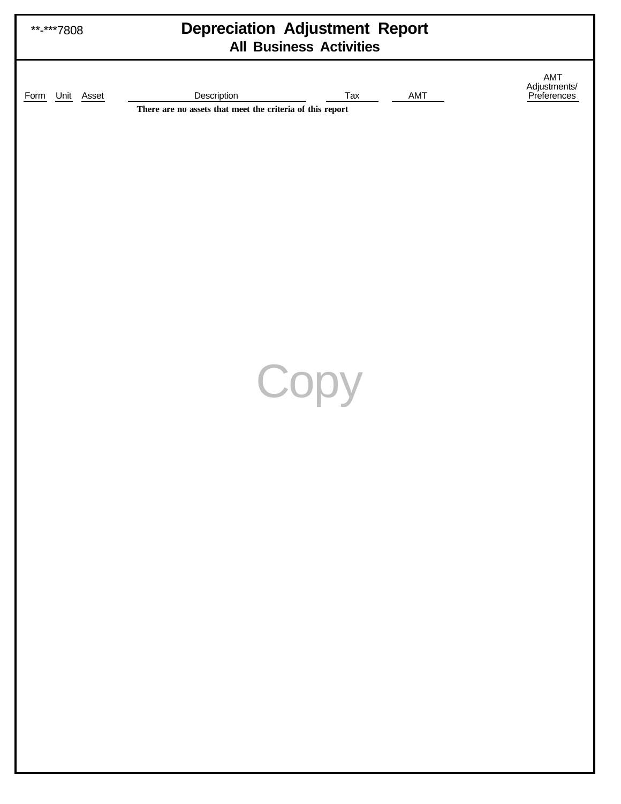| **-***7808         | <b>Depreciation Adjustment Report</b><br><b>All Business Activities</b>                |                                    |
|--------------------|----------------------------------------------------------------------------------------|------------------------------------|
| Unit Asset<br>Form | Description<br>AMT<br>Tax<br>There are no assets that meet the criteria of this report | AMT<br>Adjustments/<br>Preferences |
|                    |                                                                                        |                                    |
|                    |                                                                                        |                                    |
|                    |                                                                                        |                                    |
|                    | Copy                                                                                   |                                    |
|                    |                                                                                        |                                    |
|                    |                                                                                        |                                    |
|                    |                                                                                        |                                    |
|                    |                                                                                        |                                    |
|                    |                                                                                        |                                    |
|                    |                                                                                        |                                    |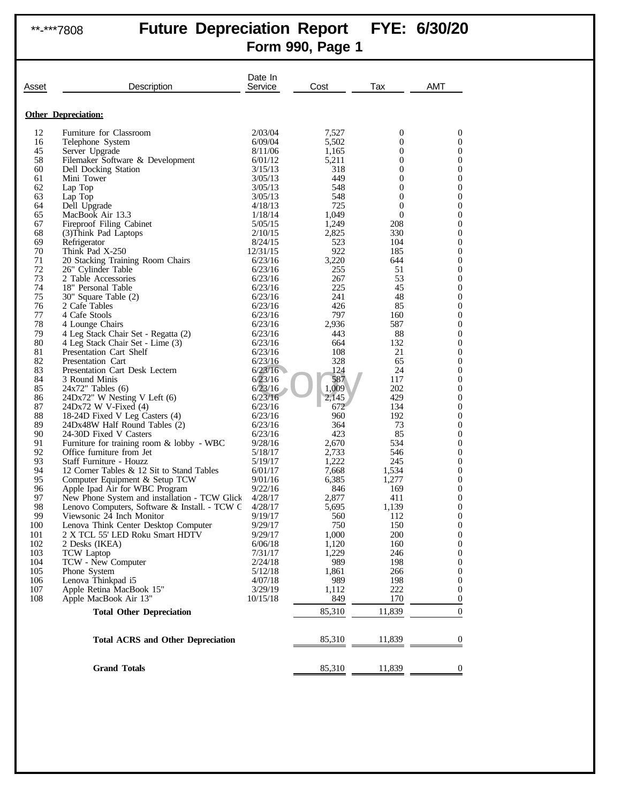# \*\*-\*\*\*7808 **Future Depreciation Report FYE: 6/30/20 Form 990, Page 1**

| Asset     | Description                                                       | Date In<br>Service | Cost           | Tax            | AMT                 |
|-----------|-------------------------------------------------------------------|--------------------|----------------|----------------|---------------------|
|           | <b>Other Depreciation:</b>                                        |                    |                |                |                     |
| 12        | Furniture for Classroom                                           | 2/03/04            | 7,527          | 0              | 0                   |
| 16        | Telephone System                                                  | 6/09/04            | 5,502          | 0              | 0                   |
| 45        | Server Upgrade                                                    | 8/11/06            | 1,165          | 0              | 0                   |
| 58        | Filemaker Software & Development                                  | 6/01/12            | 5,211          | 0              | 0                   |
| 60        | Dell Docking Station                                              | 3/15/13            | 318            | 0              | 0                   |
| 61        | Mini Tower                                                        | 3/05/13            | 449            | 0              | 0                   |
| 62        | Lap Top                                                           | 3/05/13            | 548            | 0              | 0                   |
| 63        | Lap Top                                                           | 3/05/13            | 548            | 0              | 0                   |
| 64        | Dell Upgrade                                                      | 4/18/13            | 725            | 0              | 0                   |
| 65        | MacBook Air 13.3                                                  | 1/18/14            | 1,049          | $\overline{0}$ | 0                   |
| 67        | Fireproof Filing Cabinet                                          | 5/05/15            | 1,249          | 208            | 0                   |
| 68<br>69  | (3) Think Pad Laptops                                             | 2/10/15<br>8/24/15 | 2,825<br>523   | 330<br>104     | 0<br>0              |
| 70        | Refrigerator<br>Think Pad X-250                                   | 12/31/15           | 922            | 185            | 0                   |
| 71        | 20 Stacking Training Room Chairs                                  | 6/23/16            | 3,220          | 644            | 0                   |
| 72        | 26" Cylinder Table                                                | 6/23/16            | 255            | 51             | 0                   |
| 73        | 2 Table Accessories                                               | 6/23/16            | 267            | 53             | 0                   |
| 74        | 18" Personal Table                                                | 6/23/16            | 225            | 45             | 0                   |
| 75        | 30" Square Table (2)                                              | 6/23/16            | 241            | 48             | 0                   |
| 76        | 2 Cafe Tables                                                     | 6/23/16            | 426            | 85             | 0                   |
| 77        | 4 Cafe Stools                                                     | 6/23/16            | 797            | 160            | 0                   |
| 78        | 4 Lounge Chairs                                                   | 6/23/16            | 2,936          | 587            | 0                   |
| 79        | 4 Leg Stack Chair Set - Regatta (2)                               | 6/23/16            | 443            | 88             | 0                   |
| 80        | 4 Leg Stack Chair Set - Lime (3)                                  | 6/23/16            | 664            | 132            | 0                   |
| 81        | Presentation Cart Shelf                                           | 6/23/16            | 108            | 21             | 0                   |
| 82        | Presentation Cart                                                 | 6/23/16            | 328            | 65             | 0                   |
| 83        | Presentation Cart Desk Lectern                                    | 6/23/16            | 124            | 24             | 0                   |
| 84<br>85  | 3 Round Minis                                                     | 6/23/16<br>6/23/16 | 587            | 117            | 0                   |
| 86        | $24x72$ " Tables $(6)$<br>$24Dx72$ " W Nesting V Left $(6)$       | 6/23/16            | 1,009<br>2,145 | 202<br>429     | 0<br>0              |
| 87        | $24Dx72$ W V-Fixed $(4)$                                          | 6/23/16            | 672            | 134            | 0                   |
| 88        | 18-24D Fixed V Leg Casters (4)                                    | 6/23/16            | 960            | 192            | 0                   |
| 89        | 24Dx48W Half Round Tables (2)                                     | 6/23/16            | 364            | 73             | 0                   |
| 90        | 24-30D Fixed V Casters                                            | 6/23/16            | 423            | 85             | 0                   |
| 91        | Furniture for training room $&$ lobby - WBC                       | 9/28/16            | 2,670          | 534            | 0                   |
| 92        | Office furniture from Jet                                         | 5/18/17            | 2,733          | 546            | 0                   |
| 93        | Staff Furniture - Houzz                                           | 5/19/17            | 1,222          | 245            | 0                   |
| 94        | 12 Corner Tables & 12 Sit to Stand Tables                         | 6/01/17            | 7,668          | 1,534          | 0                   |
| 95        | Computer Equipment & Setup TCW                                    | 9/01/16            | 6,385          | 1,277          | 0                   |
| 96        | Apple Ipad Air for WBC Program                                    | 9/22/16            | 846            | 169            | 0                   |
| 97        | New Phone System and installation - TCW Glick                     | 4/28/17            | 2,877          | 411            | 0                   |
| 98        | Lenovo Computers, Software & Install. - TCW C                     | 4/28/17            | 5,695          | 1,139          | 0                   |
| 99<br>100 | Viewsonic 24 Inch Monitor<br>Lenova Think Center Desktop Computer | 9/19/17<br>9/29/17 | 560<br>750     | 112<br>150     | 0<br>$\overline{0}$ |
| 101       | 2 X TCL 55' LED Roku Smart HDTV                                   | 9/29/17            | 1,000          | 200            | $\boldsymbol{0}$    |
| 102       | 2 Desks (IKEA)                                                    | 6/06/18            | 1,120          | 160            | 0                   |
| 103       | <b>TCW</b> Laptop                                                 | 7/31/17            | 1,229          | 246            | 0                   |
| 104       | TCW - New Computer                                                | 2/24/18            | 989            | 198            | 0                   |
| 105       | Phone System                                                      | 5/12/18            | 1,861          | 266            | 0                   |
| 106       | Lenova Thinkpad i5                                                | 4/07/18            | 989            | 198            | 0                   |
| 107       | Apple Retina MacBook 15"                                          | 3/29/19            | 1,112          | 222            | 0                   |
| 108       | Apple MacBook Air 13"                                             | 10/15/18           | 849            | 170            | 0                   |
|           | <b>Total Other Depreciation</b>                                   |                    | 85,310         | 11,839         | $\boldsymbol{0}$    |
|           | <b>Total ACRS and Other Depreciation</b>                          |                    | 85,310         | 11,839         | 0                   |
|           |                                                                   |                    |                |                |                     |
|           | <b>Grand Totals</b>                                               |                    | 85,310         | 11,839         | 0                   |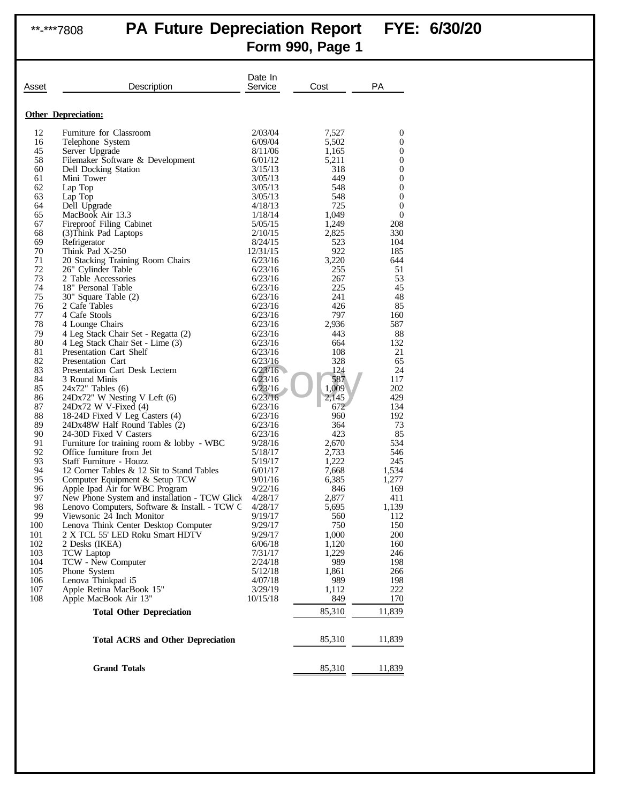# \*\*-\*\*\*7808 **PA Future Depreciation Report FYE: 6/30/20**

**Form 990, Page 1**

| Asset     | Description                                                             | Date In<br>Service | Cost          | PA                    |
|-----------|-------------------------------------------------------------------------|--------------------|---------------|-----------------------|
|           | <b>Other Depreciation:</b>                                              |                    |               |                       |
| 12        | Furniture for Classroom                                                 | 2/03/04            | 7,527         | 0                     |
| 16        | Telephone System                                                        | 6/09/04            | 5,502         | 0                     |
| 45        | Server Upgrade                                                          | 8/11/06            | 1,165         | $\boldsymbol{0}$      |
| 58        | Filemaker Software & Development                                        | 6/01/12            | 5,211         | 0                     |
| 60        | Dell Docking Station<br>Mini Tower                                      | 3/15/13            | 318           | $\boldsymbol{0}$      |
| 61<br>62  | Lap Top                                                                 | 3/05/13<br>3/05/13 | 449<br>548    | 0<br>$\boldsymbol{0}$ |
| 63        | Lap Top                                                                 | 3/05/13            | 548           | 0                     |
| 64        | Dell Upgrade                                                            | 4/18/13            | 725           | $\boldsymbol{0}$      |
| 65        | MacBook Air 13.3                                                        | 1/18/14            | 1,049         | $\boldsymbol{0}$      |
| 67        | Fireproof Filing Cabinet                                                | 5/05/15            | 1,249         | 208                   |
| 68        | (3) Think Pad Laptops                                                   | 2/10/15            | 2,825         | 330                   |
| 69        | Refrigerator                                                            | 8/24/15            | 523           | 104                   |
| 70        | Think Pad X-250                                                         | 12/31/15           | 922           | 185                   |
| 71<br>72  | 20 Stacking Training Room Chairs<br>26" Cylinder Table                  | 6/23/16<br>6/23/16 | 3,220<br>255  | 644<br>51             |
| 73        | 2 Table Accessories                                                     | 6/23/16            | 267           | 53                    |
| 74        | 18" Personal Table                                                      | 6/23/16            | 225           | 45                    |
| 75        | 30" Square Table (2)                                                    | 6/23/16            | 241           | 48                    |
| 76        | 2 Cafe Tables                                                           | 6/23/16            | 426           | 85                    |
| 77        | 4 Cafe Stools                                                           | 6/23/16            | 797           | 160                   |
| 78        | 4 Lounge Chairs                                                         | 6/23/16            | 2,936         | 587                   |
| 79<br>80  | 4 Leg Stack Chair Set - Regatta (2)                                     | 6/23/16            | 443           | 88                    |
| 81        | 4 Leg Stack Chair Set - Lime (3)<br>Presentation Cart Shelf             | 6/23/16<br>6/23/16 | 664<br>108    | 132<br>21             |
| 82        | Presentation Cart                                                       | 6/23/16            | 328           | 65                    |
| 83        | Presentation Cart Desk Lectern                                          | 6/23/16            | 124           | 24                    |
| 84        | 3 Round Minis                                                           | 6/23/16            | 587           | 117                   |
| 85        | $24x72$ " Tables $(6)$                                                  | 6/23/16            | 1,009         | 202                   |
| 86        | 24Dx72" W Nesting V Left (6)                                            | 6/23/16            | 2,145         | 429                   |
| 87        | 24Dx72 W V-Fixed (4)                                                    | 6/23/16            | 672           | 134                   |
| 88        | 18-24D Fixed V Leg Casters (4)                                          | 6/23/16            | 960           | 192                   |
| 89        | 24Dx48W Half Round Tables (2)                                           | 6/23/16            | 364           | 73                    |
| 90<br>91  | 24-30D Fixed V Casters<br>Furniture for training room $&$ lobby - WBC   | 6/23/16<br>9/28/16 | 423<br>2,670  | 85<br>534             |
| 92        | Office furniture from Jet                                               | 5/18/17            | 2,733         | 546                   |
| 93        | Staff Furniture - Houzz                                                 | 5/19/17            | 1,222         | 245                   |
| 94        | 12 Corner Tables & 12 Sit to Stand Tables                               | 6/01/17            | 7,668         | 1,534                 |
| 95        | Computer Equipment & Setup TCW                                          | 9/01/16            | 6,385         | 1,277                 |
| 96        | Apple Ipad Air for WBC Program                                          | 9/22/16            | 846           | 169                   |
| 97        | New Phone System and installation - TCW Glick                           | 4/28/17            | 2,877         | 411                   |
| 98        | Lenovo Computers, Software & Install. - TCW C                           | 4/28/17            | 5,695         | 1,139                 |
| 99<br>100 | Viewsonic 24 Inch Monitor                                               | 9/19/17            | 560<br>750    | 112                   |
| 101       | Lenova Think Center Desktop Computer<br>2 X TCL 55' LED Roku Smart HDTV | 9/29/17<br>9/29/17 | 1,000         | 150<br>200            |
| 102       | 2 Desks (IKEA)                                                          | 6/06/18            | 1,120         | 160                   |
| 103       | <b>TCW</b> Laptop                                                       | 7/31/17            | 1,229         | 246                   |
| 104       | TCW - New Computer                                                      | 2/24/18            | 989           | 198                   |
| 105       | Phone System                                                            | 5/12/18            | 1,861         | 266                   |
| 106       | Lenova Thinkpad i5                                                      | 4/07/18            | 989           | 198                   |
| 107       | Apple Retina MacBook 15"                                                | 3/29/19            | 1,112         | 222                   |
| 108       | Apple MacBook Air 13"<br><b>Total Other Depreciation</b>                | 10/15/18           | 849<br>85,310 | 170<br>11,839         |
|           |                                                                         |                    |               |                       |
|           | <b>Total ACRS and Other Depreciation</b>                                |                    | 85,310        | 11,839                |
|           | <b>Grand Totals</b>                                                     |                    | 85,310        | 11,839                |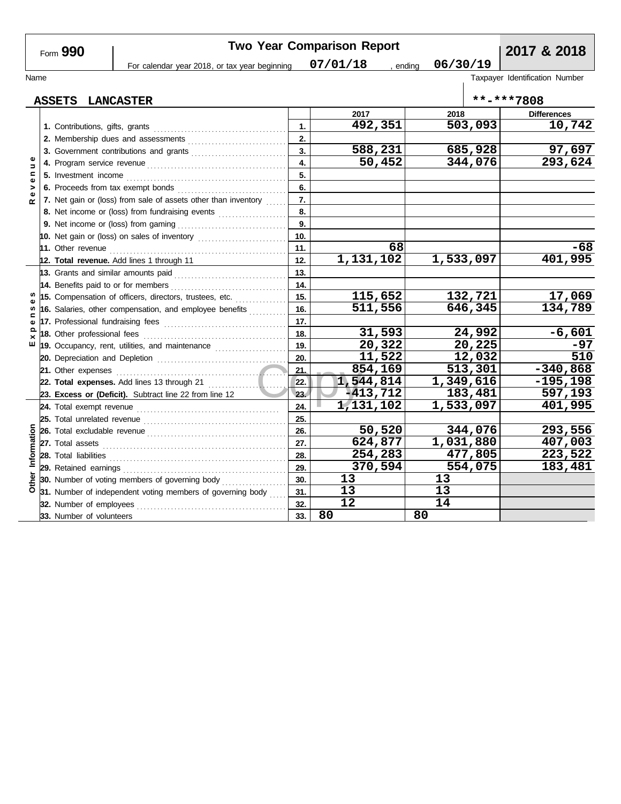**Two Year Comparison Report 2017 & 2018** Form **990** For calendar year 2018, or tax year beginning  $07/01/18$ , ending **07/01/18 06/30/19** Name Taxpayer Identification Number **ASSETS LANCASTER \*\*-\*\*\*7808 2017 2018 Differences 492,351 503,093 10,742 1. 1.** Contributions, gifts, grants . . . . . . . . . . . . . . . . . . . . . . . . . . . . . . . . . . . . . . . **2. 2.** Membership dues and assessments . . . . . . . . . . . . . . . . . . . . . . . . . . . . . **588,231 685,928 97,697 3. 3.** Government contributions and grants **......................... R e v e n u e 50,452 344,076 293,624 4. 4.** Program service revenue . . . . . . . . . . . . . . . . . . . . . . . . . . . . . . . . . . . . . . . . . **5. 5.** Investment income . . . . . . . . . . . . . . . . . . . . . . . . . . . . . . . . . . . . . . . . . . . . . . . **6. 6.** Proceeds from tax exempt bonds . . . . . . . . . . . . . . . . . . . . . . . . . . . . . . . . **7. 7.** Net gain or (loss) from sale of assets other than inventory  $\ldots$ **8. 8.** Net income or (loss) from fundraising events .................... **9.** Net income or (loss) from gaming . . . . . . . . . . . . . . . . . . . . . . . . . . . . . . . . **9. 10. 10.** Net gain or (loss) on sales of inventory ............................ **68 -68 11.** Other revenue . . . . . . . . . . . . . . . . . . . . . . . . . . . . . . . . . . . . . . . . . . . . . . . . . . . . **11. 1,131,102 1,533,097 401,995 12. Total revenue.** Add lines 1 through 11 **12. 13.** Grants and similar amounts paid . . . . . . . . . . . . . . . . . . . . . . . . . . . . . . . . . **13. 14. 14.** Benefits paid to or for members . . . . . . . . . . . . . . . . . . . . . . . . . . . . . . . . . . S **115,652 132,721 17,069 15. E x p e n s e s 15.** Compensation of officers, directors, trustees, etc. . . . . . . . . . . . . . . . **့ 16. 511,556 646,345 134,789 16.** Salaries, other compensation, and employee benefits *.........*... pen **17. 17.** Professional fundraising fees . . . . . . . . . . . . . . . . . . . . . . . . . . . . . . . . . . . . **31,593 24,992 -6,601 18. 18.** Other professional fees . . . . . . . . . . . . . . . . . . . . . . . . . . . . . . . . . . . . . . . . . .  $E \times$ **19. 20,322 20,225 -97 19.** Occupancy, rent, utilities, and maintenance *...................*... **11,522 12,032 510 20. 20.** Depreciation and Depletion . . . . . . . . . . . . . . . . . . . . . . . . . . . . . . . . . . . . . . .  $\begin{array}{|c|c|c|}\n\hline\n21. & 85 \\
\hline\n22. & 1,54 \\
\hline\n23. & -41 \\
\hline\n24 & 1,13\n\end{array}$ **854,169 513,301 -340,868 21. 21.** Other expenses . . . . . . . . . . . . . . . . . . . . . . . . . . . . . . . . . . . . . . . . . . . . . . . . . . **1,544,814 1,349,616 -195,198 22. Total expenses.** Add lines 13 through 21 . . . . . . . . . . . . . . . . . . . . . . . **22. 23. -413,712 183,481 597,193 Excess or (Deficit).** Subtract line 22 from line 12 **23. 1,131,102 1,533,097 401,995 24. 24.** Total exempt revenue . . . . . . . . . . . . . . . . . . . . . . . . . . . . . . . . . . . . . . . . . . **25. 25.** Total unrelated revenue . . . . . . . . . . . . . . . . . . . . . . . . . . . . . . . . . . . . . . . . . . **50,520 344,076 293,556** Information **Other Information 26.** Total excludable revenue . . . . . . . . . . . . . . . . . . . . . . . . . . . . . . . . . . . . . . . . . **26. 27.** Total assets **624,877 1,031,880 407,003 27. 254,283 477,805 223,522** Total liabilities . . . . . . . . . . . . . . . . . . . . . . . . . . . . . . . . . . . . . . . . . . . . . . . . . . . . **28. 28. 370,594 554,075 183,481** Retained earnings . . . . . . . . . . . . . . . . . . . . . . . . . . . . . . . . . . . . . . . . . . . . . . . . **29. 29.** Other

**32. 31. 30.** **13 13 13 13**

**80 80**

**12 14**

**30.** Number of voting members of governing body ................... **31.** Number of independent voting members of governing body  $\ldots$ **32.** Number of employees . . . . . . . . . . . . . . . . . . . . . . . . . . . . . . . . . . . . . . . . . . . . **33.** Number of volunteers **33.**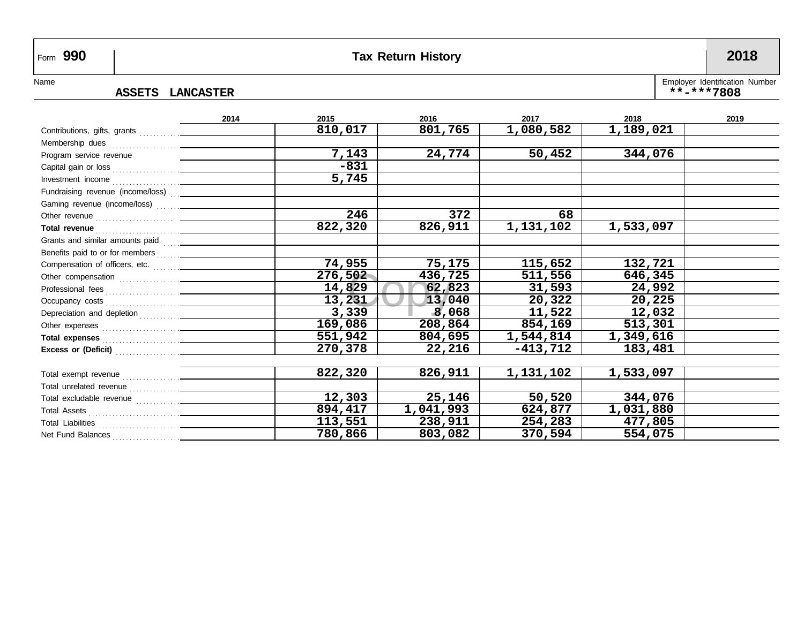# Form **990 Tax Return History 2018**

### **ASSETS LANCASTER \*\*-\*\*\*7808**

Name ASSETS LANCASTER **Employer Identification Number** 

|                                                  | 2014 | 2015    | 2016      | 2017       | 2018      | 2019 |
|--------------------------------------------------|------|---------|-----------|------------|-----------|------|
|                                                  |      | 810,017 | 801,765   | 1,080,582  | 1,189,021 |      |
|                                                  |      |         |           |            |           |      |
| Program service revenue                          |      | 7,143   | 24,774    | 50,452     | 344,076   |      |
|                                                  |      | $-831$  |           |            |           |      |
|                                                  |      | 5,745   |           |            |           |      |
| Fundraising revenue (income/loss)  _____________ |      |         |           |            |           |      |
|                                                  |      |         |           |            |           |      |
|                                                  |      | 246     | 372       | 68         |           |      |
|                                                  |      | 822,320 | 826,911   | 1,131,102  | 1,533,097 |      |
|                                                  |      |         |           |            |           |      |
|                                                  |      |         |           |            |           |      |
|                                                  |      | 74,955  | 75,175    | 115,652    | 132,721   |      |
|                                                  |      | 276,502 | 436,725   | 511,556    | 646,345   |      |
|                                                  |      | 14,829  | 62,823    | 31,593     | 24,992    |      |
|                                                  |      | 13,231  | 13,040    | 20,322     | 20,225    |      |
|                                                  |      | 3,339   | 8,068     | 11,522     | 12,032    |      |
|                                                  |      | 169,086 | 208,864   | 854,169    | 513,301   |      |
|                                                  |      | 551,942 | 804,695   | 1,544,814  | 1,349,616 |      |
|                                                  |      | 270,378 | 22,216    | $-413,712$ | 183,481   |      |
|                                                  |      |         |           |            |           |      |
|                                                  |      | 822,320 | 826,911   | 1,131,102  | 1,533,097 |      |
|                                                  |      |         |           |            |           |      |
|                                                  |      | 12,303  | 25,146    | 50,520     | 344,076   |      |
|                                                  |      | 894,417 | 1,041,993 | 624,877    | 1,031,880 |      |
|                                                  |      | 113,551 | 238,911   | 254,283    | 477,805   |      |
| Net Fund Balances                                |      | 780,866 | 803,082   | 370,594    | 554,075   |      |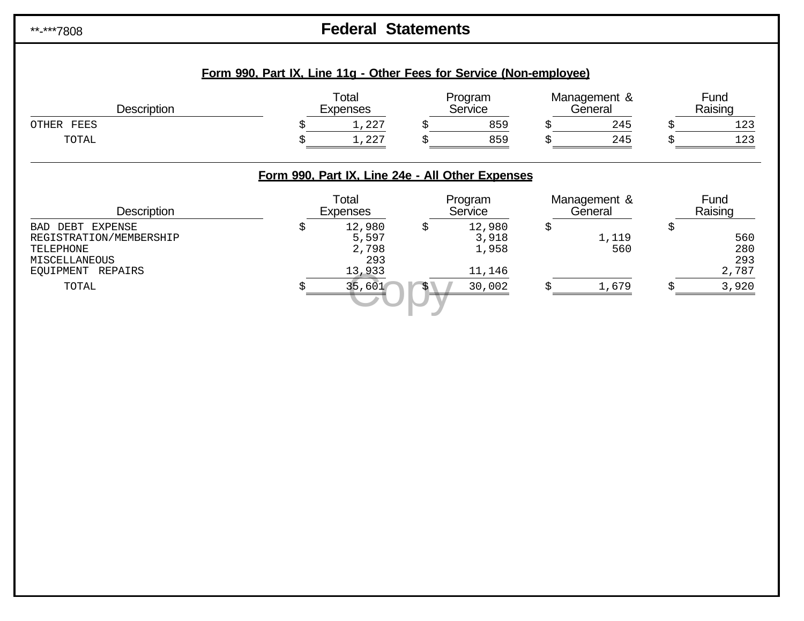# \*\*-\*\*\*7808 **Federal Statements**

| <b>Description</b>                                                                                          |    | Total<br><b>Expenses</b>                         |    | Program<br>Service                 | Management &<br>General | Fund<br>Raising                  |
|-------------------------------------------------------------------------------------------------------------|----|--------------------------------------------------|----|------------------------------------|-------------------------|----------------------------------|
| OTHER FEES                                                                                                  | S  | 1,227                                            | S  | 859                                | 245                     | 123                              |
| TOTAL                                                                                                       |    | 1,227                                            |    | 859                                | 245                     | 123                              |
|                                                                                                             |    | Form 990, Part IX, Line 24e - All Other Expenses |    |                                    |                         |                                  |
| <b>Description</b>                                                                                          |    | Total<br><b>Expenses</b>                         |    | Program<br>Service                 | Management &<br>General | Fund<br>Raising                  |
| DEBT<br>EXPENSE<br><b>BAD</b><br>REGISTRATION/MEMBERSHIP<br>TELEPHONE<br>MISCELLANEOUS<br>EOUIPMENT REPAIRS | \$ | 12,980<br>5,597<br>2,798<br>293<br>13,933        | \$ | 12,980<br>3,918<br>1,958<br>11,146 | \$<br>1,119<br>560      | \$<br>560<br>280<br>293<br>2,787 |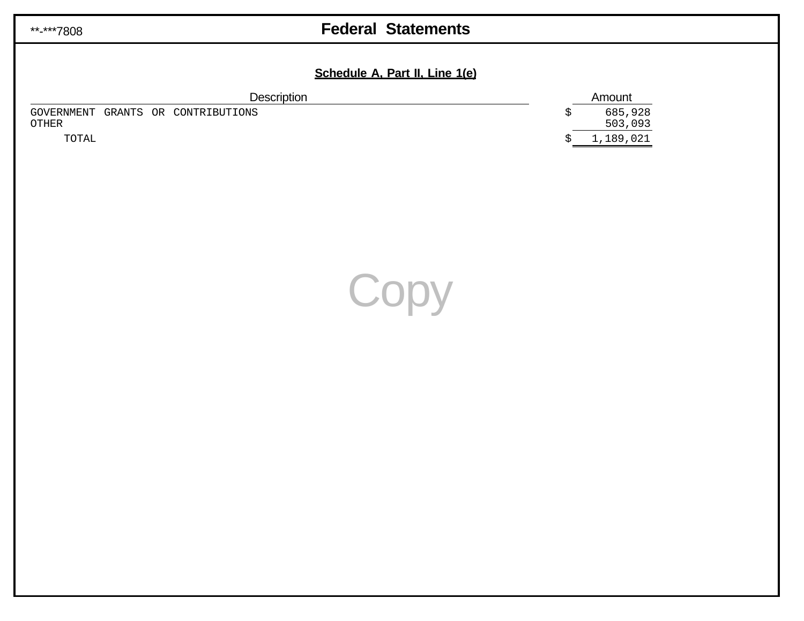# \*\*-\*\*\*7808 **Federal Statements**

### **Schedule A, Part II, Line 1(e)**

| <b>Description</b>                          |  | Amount             |  |
|---------------------------------------------|--|--------------------|--|
| GOVERNMENT GRANTS OR CONTRIBUTIONS<br>OTHER |  | 685,928<br>503,093 |  |
| TOTAL                                       |  | 1,189,021          |  |

**Copy**